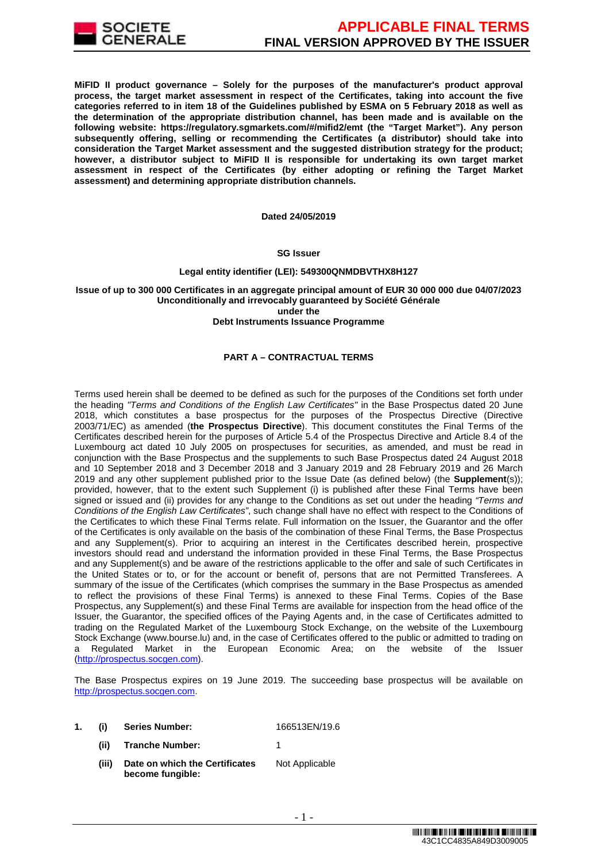

**MiFID II product governance – Solely for the purposes of the manufacturer's product approval process, the target market assessment in respect of the Certificates, taking into account the five categories referred to in item 18 of the Guidelines published by ESMA on 5 February 2018 as well as the determination of the appropriate distribution channel, has been made and is available on the following website: https://regulatory.sgmarkets.com/#/mifid2/emt (the "Target Market"). Any person subsequently offering, selling or recommending the Certificates (a distributor) should take into consideration the Target Market assessment and the suggested distribution strategy for the product; however, a distributor subject to MiFID II is responsible for undertaking its own target market assessment in respect of the Certificates (by either adopting or refining the Target Market assessment) and determining appropriate distribution channels.**

**Dated 24/05/2019**

#### **SG Issuer**

#### **Legal entity identifier (LEI): 549300QNMDBVTHX8H127**

**Issue of up to 300 000 Certificates in an aggregate principal amount of EUR 30 000 000 due 04/07/2023 Unconditionally and irrevocably guaranteed by Société Générale under the** 

**Debt Instruments Issuance Programme**

## **PART A – CONTRACTUAL TERMS**

Terms used herein shall be deemed to be defined as such for the purposes of the Conditions set forth under the heading "Terms and Conditions of the English Law Certificates" in the Base Prospectus dated 20 June 2018, which constitutes a base prospectus for the purposes of the Prospectus Directive (Directive 2003/71/EC) as amended (**the Prospectus Directive**). This document constitutes the Final Terms of the Certificates described herein for the purposes of Article 5.4 of the Prospectus Directive and Article 8.4 of the Luxembourg act dated 10 July 2005 on prospectuses for securities, as amended, and must be read in conjunction with the Base Prospectus and the supplements to such Base Prospectus dated 24 August 2018 and 10 September 2018 and 3 December 2018 and 3 January 2019 and 28 February 2019 and 26 March 2019 and any other supplement published prior to the Issue Date (as defined below) (the **Supplement**(s)); provided, however, that to the extent such Supplement (i) is published after these Final Terms have been signed or issued and (ii) provides for any change to the Conditions as set out under the heading "Terms and Conditions of the English Law Certificates", such change shall have no effect with respect to the Conditions of the Certificates to which these Final Terms relate. Full information on the Issuer, the Guarantor and the offer of the Certificates is only available on the basis of the combination of these Final Terms, the Base Prospectus and any Supplement(s). Prior to acquiring an interest in the Certificates described herein, prospective investors should read and understand the information provided in these Final Terms, the Base Prospectus and any Supplement(s) and be aware of the restrictions applicable to the offer and sale of such Certificates in the United States or to, or for the account or benefit of, persons that are not Permitted Transferees. A summary of the issue of the Certificates (which comprises the summary in the Base Prospectus as amended to reflect the provisions of these Final Terms) is annexed to these Final Terms. Copies of the Base Prospectus, any Supplement(s) and these Final Terms are available for inspection from the head office of the Issuer, the Guarantor, the specified offices of the Paying Agents and, in the case of Certificates admitted to trading on the Regulated Market of the Luxembourg Stock Exchange, on the website of the Luxembourg Stock Exchange (www.bourse.lu) and, in the case of Certificates offered to the public or admitted to trading on a Regulated Market in the European Economic Area; on the website of the Issuer (http://prospectus.socgen.com).

The Base Prospectus expires on 19 June 2019. The succeeding base prospectus will be available on http://prospectus.socgen.com.

| (i) | <b>Series Number:</b> | 166513EN/19.6 |
|-----|-----------------------|---------------|
|     | (ii) Tranche Number:  |               |

**(iii) Date on which the Certificates become fungible:** Not Applicable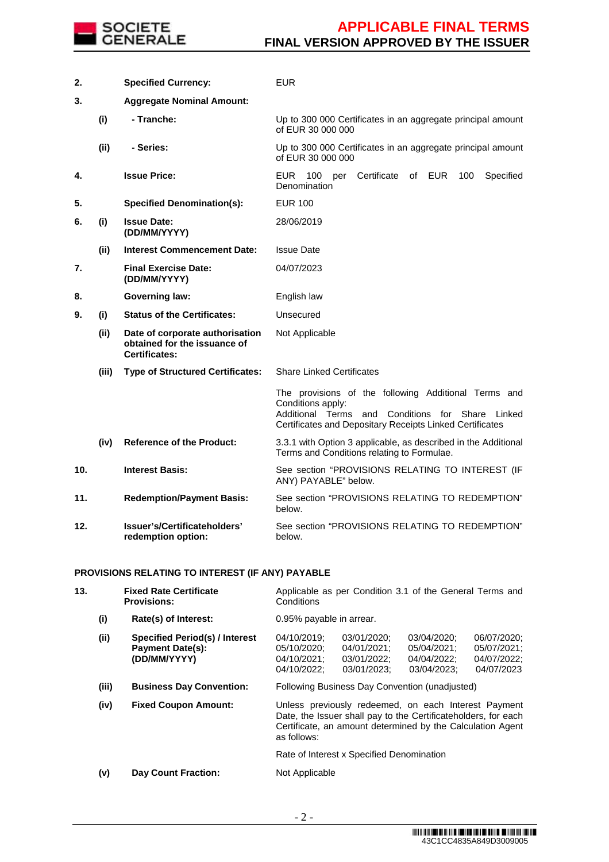

| 2.  |       | <b>Specified Currency:</b>                                                              | <b>EUR</b>                                                                                                                                                                                         |
|-----|-------|-----------------------------------------------------------------------------------------|----------------------------------------------------------------------------------------------------------------------------------------------------------------------------------------------------|
| 3.  |       | <b>Aggregate Nominal Amount:</b>                                                        |                                                                                                                                                                                                    |
|     | (i)   | - Tranche:                                                                              | Up to 300 000 Certificates in an aggregate principal amount<br>of EUR 30 000 000                                                                                                                   |
|     | (ii)  | - Series:                                                                               | Up to 300 000 Certificates in an aggregate principal amount<br>of EUR 30 000 000                                                                                                                   |
| 4.  |       | <b>Issue Price:</b>                                                                     | EUR.<br>100<br>Certificate of EUR<br>100<br>Specified<br>per<br>Denomination                                                                                                                       |
| 5.  |       | <b>Specified Denomination(s):</b>                                                       | <b>EUR 100</b>                                                                                                                                                                                     |
| 6.  | (i)   | <b>Issue Date:</b><br>(DD/MM/YYYY)                                                      | 28/06/2019                                                                                                                                                                                         |
|     | (ii)  | <b>Interest Commencement Date:</b>                                                      | <b>Issue Date</b>                                                                                                                                                                                  |
| 7.  |       | <b>Final Exercise Date:</b><br>(DD/MM/YYYY)                                             | 04/07/2023                                                                                                                                                                                         |
| 8.  |       | <b>Governing law:</b>                                                                   | English law                                                                                                                                                                                        |
| 9.  | (i)   | <b>Status of the Certificates:</b>                                                      | Unsecured                                                                                                                                                                                          |
|     | (ii)  | Date of corporate authorisation<br>obtained for the issuance of<br><b>Certificates:</b> | Not Applicable                                                                                                                                                                                     |
|     | (iii) | <b>Type of Structured Certificates:</b>                                                 | <b>Share Linked Certificates</b>                                                                                                                                                                   |
|     |       |                                                                                         | The provisions of the following Additional Terms and<br>Conditions apply:<br>Additional Terms<br>Conditions for Share<br>and<br>Linked<br>Certificates and Depositary Receipts Linked Certificates |
|     | (iv)  | <b>Reference of the Product:</b>                                                        | 3.3.1 with Option 3 applicable, as described in the Additional<br>Terms and Conditions relating to Formulae.                                                                                       |
| 10. |       | <b>Interest Basis:</b>                                                                  | See section "PROVISIONS RELATING TO INTEREST (IF<br>ANY) PAYABLE" below.                                                                                                                           |
| 11. |       | <b>Redemption/Payment Basis:</b>                                                        | See section "PROVISIONS RELATING TO REDEMPTION"<br>below.                                                                                                                                          |
| 12. |       | Issuer's/Certificateholders'<br>redemption option:                                      | See section "PROVISIONS RELATING TO REDEMPTION"<br>below.                                                                                                                                          |

## **PROVISIONS RELATING TO INTEREST (IF ANY) PAYABLE**

| 13. |       | <b>Fixed Rate Certificate</b><br><b>Provisions:</b>                              | Applicable as per Condition 3.1 of the General Terms and<br>Conditions                                                                                                                              |                                                          |                                                          |                                                         |  |
|-----|-------|----------------------------------------------------------------------------------|-----------------------------------------------------------------------------------------------------------------------------------------------------------------------------------------------------|----------------------------------------------------------|----------------------------------------------------------|---------------------------------------------------------|--|
|     | (i)   | Rate(s) of Interest:                                                             | 0.95% payable in arrear.                                                                                                                                                                            |                                                          |                                                          |                                                         |  |
|     | (ii)  | <b>Specified Period(s) / Interest</b><br><b>Payment Date(s):</b><br>(DD/MM/YYYY) | 04/10/2019:<br>05/10/2020;<br>04/10/2021;<br>04/10/2022;                                                                                                                                            | 03/01/2020:<br>04/01/2021:<br>03/01/2022;<br>03/01/2023; | 03/04/2020:<br>05/04/2021:<br>04/04/2022:<br>03/04/2023; | 06/07/2020;<br>05/07/2021;<br>04/07/2022;<br>04/07/2023 |  |
|     | (iii) | <b>Business Day Convention:</b>                                                  |                                                                                                                                                                                                     | Following Business Day Convention (unadjusted)           |                                                          |                                                         |  |
|     | (iv)  | <b>Fixed Coupon Amount:</b>                                                      | Unless previously redeemed, on each Interest Payment<br>Date, the Issuer shall pay to the Certificateholders, for each<br>Certificate, an amount determined by the Calculation Agent<br>as follows: |                                                          |                                                          |                                                         |  |
|     |       |                                                                                  |                                                                                                                                                                                                     | Rate of Interest x Specified Denomination                |                                                          |                                                         |  |
|     | (v)   | <b>Day Count Fraction:</b>                                                       | Not Applicable                                                                                                                                                                                      |                                                          |                                                          |                                                         |  |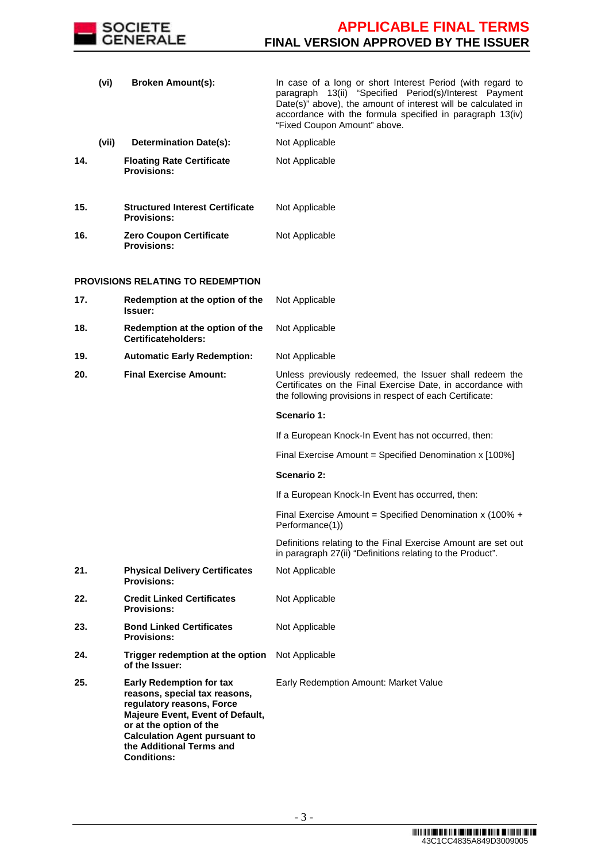

|     | (vi)  | <b>Broken Amount(s):</b>                                                                                                                                                                                                                               | In case of a long or short Interest Period (with regard to<br>paragraph 13(ii) "Specified Period(s)/Interest Payment<br>Date(s)" above), the amount of interest will be calculated in<br>accordance with the formula specified in paragraph 13(iv)<br>"Fixed Coupon Amount" above. |
|-----|-------|--------------------------------------------------------------------------------------------------------------------------------------------------------------------------------------------------------------------------------------------------------|------------------------------------------------------------------------------------------------------------------------------------------------------------------------------------------------------------------------------------------------------------------------------------|
|     | (vii) | <b>Determination Date(s):</b>                                                                                                                                                                                                                          | Not Applicable                                                                                                                                                                                                                                                                     |
| 14. |       | <b>Floating Rate Certificate</b><br><b>Provisions:</b>                                                                                                                                                                                                 | Not Applicable                                                                                                                                                                                                                                                                     |
| 15. |       | <b>Structured Interest Certificate</b><br><b>Provisions:</b>                                                                                                                                                                                           | Not Applicable                                                                                                                                                                                                                                                                     |
| 16. |       | <b>Zero Coupon Certificate</b><br><b>Provisions:</b>                                                                                                                                                                                                   | Not Applicable                                                                                                                                                                                                                                                                     |
|     |       | <b>PROVISIONS RELATING TO REDEMPTION</b>                                                                                                                                                                                                               |                                                                                                                                                                                                                                                                                    |
| 17. |       | Redemption at the option of the<br><b>Issuer:</b>                                                                                                                                                                                                      | Not Applicable                                                                                                                                                                                                                                                                     |
| 18. |       | Redemption at the option of the<br><b>Certificateholders:</b>                                                                                                                                                                                          | Not Applicable                                                                                                                                                                                                                                                                     |
| 19. |       | <b>Automatic Early Redemption:</b>                                                                                                                                                                                                                     | Not Applicable                                                                                                                                                                                                                                                                     |
| 20. |       | <b>Final Exercise Amount:</b>                                                                                                                                                                                                                          | Unless previously redeemed, the Issuer shall redeem the<br>Certificates on the Final Exercise Date, in accordance with<br>the following provisions in respect of each Certificate:                                                                                                 |
|     |       |                                                                                                                                                                                                                                                        | Scenario 1:                                                                                                                                                                                                                                                                        |
|     |       |                                                                                                                                                                                                                                                        | If a European Knock-In Event has not occurred, then:                                                                                                                                                                                                                               |
|     |       |                                                                                                                                                                                                                                                        | Final Exercise Amount = Specified Denomination x [100%]                                                                                                                                                                                                                            |
|     |       |                                                                                                                                                                                                                                                        | Scenario 2:                                                                                                                                                                                                                                                                        |
|     |       |                                                                                                                                                                                                                                                        | If a European Knock-In Event has occurred, then:                                                                                                                                                                                                                                   |
|     |       |                                                                                                                                                                                                                                                        | Final Exercise Amount = Specified Denomination x (100% +<br>Performance(1))                                                                                                                                                                                                        |
|     |       |                                                                                                                                                                                                                                                        | Definitions relating to the Final Exercise Amount are set out<br>in paragraph 27(ii) "Definitions relating to the Product".                                                                                                                                                        |
| 21. |       | <b>Physical Delivery Certificates</b><br><b>Provisions:</b>                                                                                                                                                                                            | Not Applicable                                                                                                                                                                                                                                                                     |
| 22. |       | <b>Credit Linked Certificates</b><br><b>Provisions:</b>                                                                                                                                                                                                | Not Applicable                                                                                                                                                                                                                                                                     |
| 23. |       | <b>Bond Linked Certificates</b><br><b>Provisions:</b>                                                                                                                                                                                                  | Not Applicable                                                                                                                                                                                                                                                                     |
| 24. |       | Trigger redemption at the option<br>of the Issuer:                                                                                                                                                                                                     | Not Applicable                                                                                                                                                                                                                                                                     |
| 25. |       | <b>Early Redemption for tax</b><br>reasons, special tax reasons,<br>regulatory reasons, Force<br>Majeure Event, Event of Default,<br>or at the option of the<br><b>Calculation Agent pursuant to</b><br>the Additional Terms and<br><b>Conditions:</b> | Early Redemption Amount: Market Value                                                                                                                                                                                                                                              |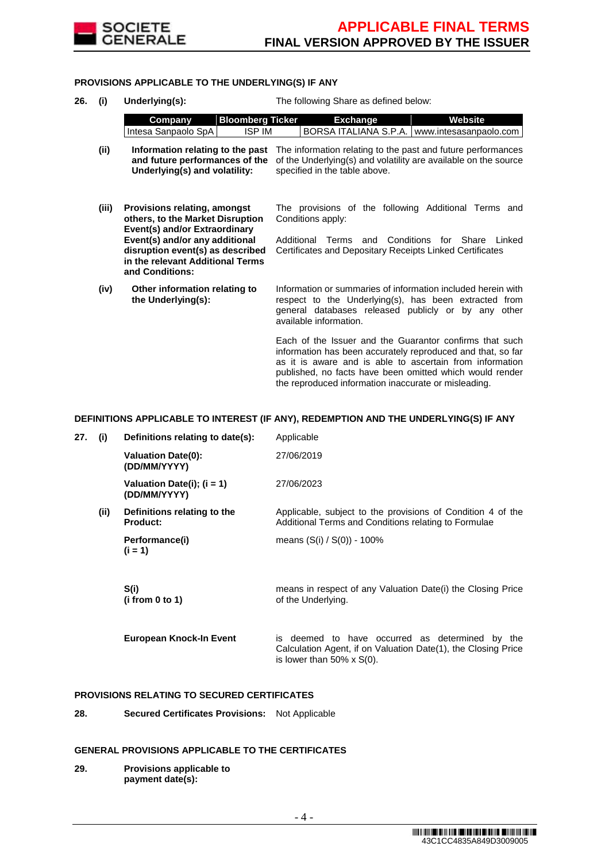

## **PROVISIONS APPLICABLE TO THE UNDERLYING(S) IF ANY**

| 26.<br>(i) |       | Underlying(s):                                                                                                                                                                                                                 | The following Share as defined below:                                                                                                                                                                                                                                                                  |  |
|------------|-------|--------------------------------------------------------------------------------------------------------------------------------------------------------------------------------------------------------------------------------|--------------------------------------------------------------------------------------------------------------------------------------------------------------------------------------------------------------------------------------------------------------------------------------------------------|--|
|            |       | <b>Bloomberg Ticker</b><br>Company<br>ISP IM<br>Intesa Sanpaolo SpA                                                                                                                                                            | <b>Exchange</b><br>Website<br>BORSA ITALIANA S.P.A.   www.intesasanpaolo.com                                                                                                                                                                                                                           |  |
|            | (ii)  | Information relating to the past<br>and future performances of the<br>Underlying(s) and volatility:                                                                                                                            | The information relating to the past and future performances<br>of the Underlying(s) and volatility are available on the source<br>specified in the table above.                                                                                                                                       |  |
|            | (iii) | Provisions relating, amongst<br>others, to the Market Disruption<br>Event(s) and/or Extraordinary<br>Event(s) and/or any additional<br>disruption event(s) as described<br>in the relevant Additional Terms<br>and Conditions: | The provisions of the following Additional Terms and<br>Conditions apply:<br>Terms and Conditions for Share<br>Additional<br>Linked<br>Certificates and Depositary Receipts Linked Certificates                                                                                                        |  |
|            | (iv)  | Other information relating to<br>the Underlying(s):                                                                                                                                                                            | Information or summaries of information included herein with<br>respect to the Underlying(s), has been extracted from<br>general databases released publicly or by any other<br>available information.                                                                                                 |  |
|            |       |                                                                                                                                                                                                                                | Each of the Issuer and the Guarantor confirms that such<br>information has been accurately reproduced and that, so far<br>as it is aware and is able to ascertain from information<br>published, no facts have been omitted which would render<br>the reproduced information inaccurate or misleading. |  |

## **DEFINITIONS APPLICABLE TO INTEREST (IF ANY), REDEMPTION AND THE UNDERLYING(S) IF ANY**

| 27. | (i)  | Definitions relating to date(s):               | Applicable                                                                                                          |
|-----|------|------------------------------------------------|---------------------------------------------------------------------------------------------------------------------|
|     |      | <b>Valuation Date(0):</b><br>(DD/MM/YYYY)      | 27/06/2019                                                                                                          |
|     |      | Valuation Date(i); $(i = 1)$<br>(DD/MM/YYYY)   | 27/06/2023                                                                                                          |
|     | (ii) | Definitions relating to the<br><b>Product:</b> | Applicable, subject to the provisions of Condition 4 of the<br>Additional Terms and Conditions relating to Formulae |
|     |      | Performance(i)<br>$(i = 1)$                    | means $(S(i) / S(0)) - 100\%$                                                                                       |
|     |      | S(i)<br>(i from $0$ to 1)                      | means in respect of any Valuation Date(i) the Closing Price<br>of the Underlying.                                   |
|     |      | European Knock-In Event                        | is deemed to have occurred as determined by<br>the<br>Calculation Agent, if on Valuation Date(1), the Closing Price |

is lower than 50% x S(0).

### **PROVISIONS RELATING TO SECURED CERTIFICATES**

**28. Secured Certificates Provisions:** Not Applicable

## **GENERAL PROVISIONS APPLICABLE TO THE CERTIFICATES**

**29. Provisions applicable to payment date(s):**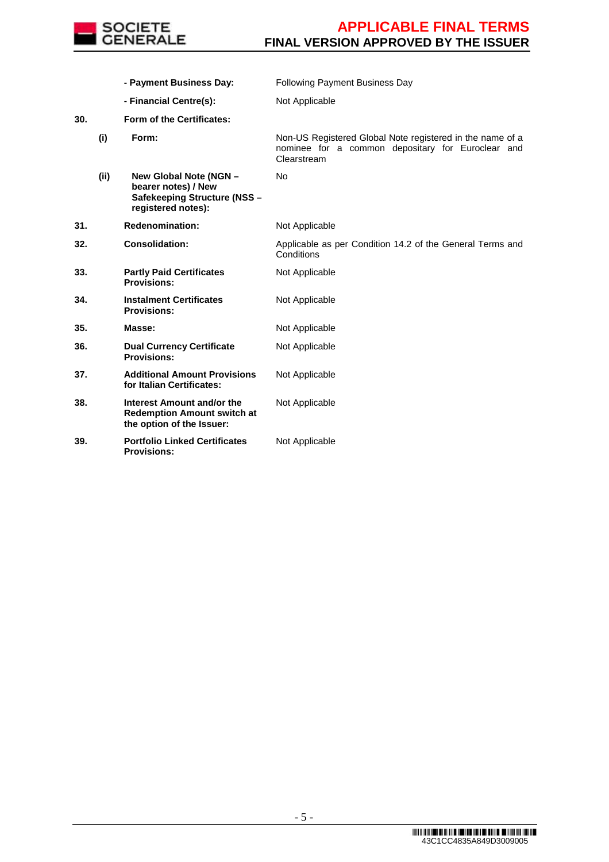

|     |      | - Payment Business Day:                                                                             | <b>Following Payment Business Day</b>                                                                                         |
|-----|------|-----------------------------------------------------------------------------------------------------|-------------------------------------------------------------------------------------------------------------------------------|
|     |      | - Financial Centre(s):                                                                              | Not Applicable                                                                                                                |
| 30. |      | Form of the Certificates:                                                                           |                                                                                                                               |
|     | (i)  | Form:                                                                                               | Non-US Registered Global Note registered in the name of a<br>nominee for a common depositary for Euroclear and<br>Clearstream |
|     | (ii) | New Global Note (NGN -<br>bearer notes) / New<br>Safekeeping Structure (NSS -<br>registered notes): | <b>No</b>                                                                                                                     |
| 31. |      | <b>Redenomination:</b>                                                                              | Not Applicable                                                                                                                |
| 32. |      | <b>Consolidation:</b>                                                                               | Applicable as per Condition 14.2 of the General Terms and<br>Conditions                                                       |
| 33. |      | <b>Partly Paid Certificates</b><br><b>Provisions:</b>                                               | Not Applicable                                                                                                                |
| 34. |      | <b>Instalment Certificates</b><br><b>Provisions:</b>                                                | Not Applicable                                                                                                                |
| 35. |      | Masse:                                                                                              | Not Applicable                                                                                                                |
| 36. |      | <b>Dual Currency Certificate</b><br><b>Provisions:</b>                                              | Not Applicable                                                                                                                |
| 37. |      | <b>Additional Amount Provisions</b><br>for Italian Certificates:                                    | Not Applicable                                                                                                                |
| 38. |      | Interest Amount and/or the<br><b>Redemption Amount switch at</b><br>the option of the Issuer:       | Not Applicable                                                                                                                |
| 39. |      | <b>Portfolio Linked Certificates</b><br><b>Provisions:</b>                                          | Not Applicable                                                                                                                |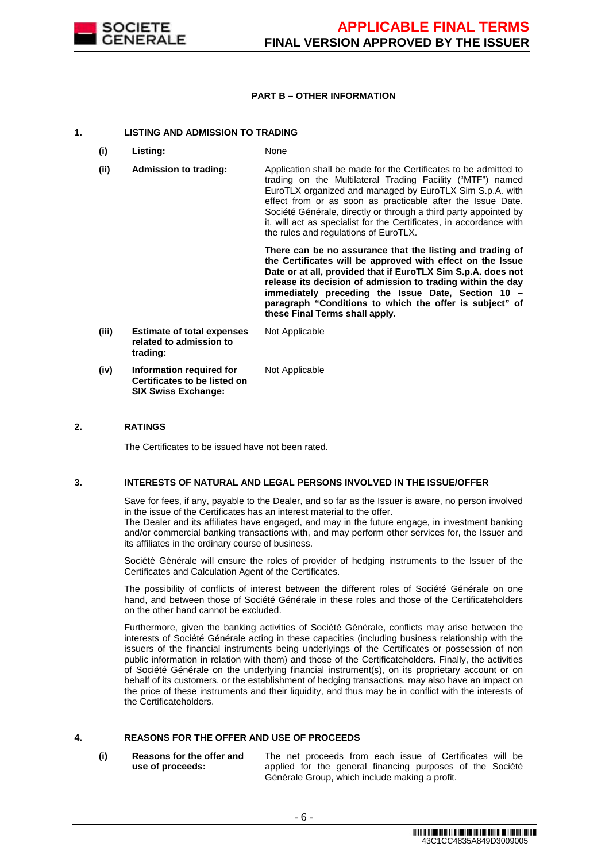

### **PART B – OTHER INFORMATION**

### **1. LISTING AND ADMISSION TO TRADING**

- **(i) Listing:** None
- **(ii) Admission to trading:** Application shall be made for the Certificates to be admitted to trading on the Multilateral Trading Facility ("MTF") named EuroTLX organized and managed by EuroTLX Sim S.p.A. with effect from or as soon as practicable after the Issue Date. Société Générale, directly or through a third party appointed by it, will act as specialist for the Certificates, in accordance with the rules and regulations of EuroTLX.

 **There can be no assurance that the listing and trading of the Certificates will be approved with effect on the Issue Date or at all, provided that if EuroTLX Sim S.p.A. does not release its decision of admission to trading within the day immediately preceding the Issue Date, Section 10 – paragraph "Conditions to which the offer is subject" of these Final Terms shall apply.**

**(iii) Estimate of total expenses related to admission to trading:** Not Applicable **(iv) Information required for Certificates to be listed on SIX Swiss Exchange:** Not Applicable

### **2. RATINGS**

The Certificates to be issued have not been rated.

#### **3. INTERESTS OF NATURAL AND LEGAL PERSONS INVOLVED IN THE ISSUE/OFFER**

 Save for fees, if any, payable to the Dealer, and so far as the Issuer is aware, no person involved in the issue of the Certificates has an interest material to the offer.

The Dealer and its affiliates have engaged, and may in the future engage, in investment banking and/or commercial banking transactions with, and may perform other services for, the Issuer and its affiliates in the ordinary course of business.

 Société Générale will ensure the roles of provider of hedging instruments to the Issuer of the Certificates and Calculation Agent of the Certificates.

 The possibility of conflicts of interest between the different roles of Société Générale on one hand, and between those of Société Générale in these roles and those of the Certificateholders on the other hand cannot be excluded.

 Furthermore, given the banking activities of Société Générale, conflicts may arise between the interests of Société Générale acting in these capacities (including business relationship with the issuers of the financial instruments being underlyings of the Certificates or possession of non public information in relation with them) and those of the Certificateholders. Finally, the activities of Société Générale on the underlying financial instrument(s), on its proprietary account or on behalf of its customers, or the establishment of hedging transactions, may also have an impact on the price of these instruments and their liquidity, and thus may be in conflict with the interests of the Certificateholders.

## **4. REASONS FOR THE OFFER AND USE OF PROCEEDS**

**(i) Reasons for the offer and use of proceeds:**

The net proceeds from each issue of Certificates will be applied for the general financing purposes of the Société Générale Group, which include making a profit.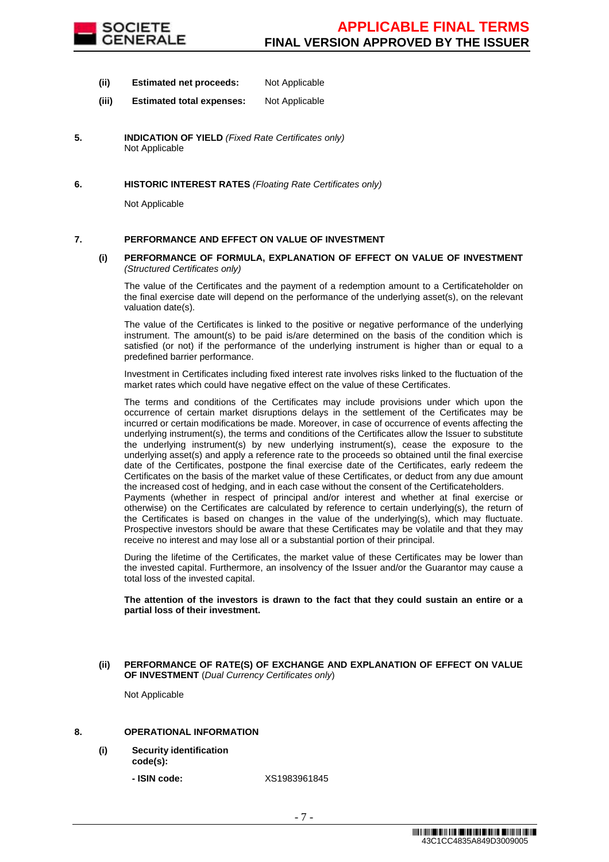

- **(ii) Estimated net proceeds:** Not Applicable
- **(iii) Estimated total expenses:** Not Applicable
- **5. INDICATION OF YIELD** (Fixed Rate Certificates only) Not Applicable
- **6. HISTORIC INTEREST RATES** (Floating Rate Certificates only)

Not Applicable

### **7. PERFORMANCE AND EFFECT ON VALUE OF INVESTMENT**

#### **(i) PERFORMANCE OF FORMULA, EXPLANATION OF EFFECT ON VALUE OF INVESTMENT**  (Structured Certificates only)

 The value of the Certificates and the payment of a redemption amount to a Certificateholder on the final exercise date will depend on the performance of the underlying asset(s), on the relevant valuation date(s).

 The value of the Certificates is linked to the positive or negative performance of the underlying instrument. The amount(s) to be paid is/are determined on the basis of the condition which is satisfied (or not) if the performance of the underlying instrument is higher than or equal to a predefined barrier performance.

 Investment in Certificates including fixed interest rate involves risks linked to the fluctuation of the market rates which could have negative effect on the value of these Certificates.

 The terms and conditions of the Certificates may include provisions under which upon the occurrence of certain market disruptions delays in the settlement of the Certificates may be incurred or certain modifications be made. Moreover, in case of occurrence of events affecting the underlying instrument(s), the terms and conditions of the Certificates allow the Issuer to substitute the underlying instrument(s) by new underlying instrument(s), cease the exposure to the underlying asset(s) and apply a reference rate to the proceeds so obtained until the final exercise date of the Certificates, postpone the final exercise date of the Certificates, early redeem the Certificates on the basis of the market value of these Certificates, or deduct from any due amount the increased cost of hedging, and in each case without the consent of the Certificateholders.

Payments (whether in respect of principal and/or interest and whether at final exercise or otherwise) on the Certificates are calculated by reference to certain underlying(s), the return of the Certificates is based on changes in the value of the underlying(s), which may fluctuate. Prospective investors should be aware that these Certificates may be volatile and that they may receive no interest and may lose all or a substantial portion of their principal.

 During the lifetime of the Certificates, the market value of these Certificates may be lower than the invested capital. Furthermore, an insolvency of the Issuer and/or the Guarantor may cause a total loss of the invested capital.

**The attention of the investors is drawn to the fact that they could sustain an entire or a partial loss of their investment.**

**(ii) PERFORMANCE OF RATE(S) OF EXCHANGE AND EXPLANATION OF EFFECT ON VALUE OF INVESTMENT** (Dual Currency Certificates only)

Not Applicable

### **8. OPERATIONAL INFORMATION**

**(i) Security identification code(s):**

**- ISIN code:** XS1983961845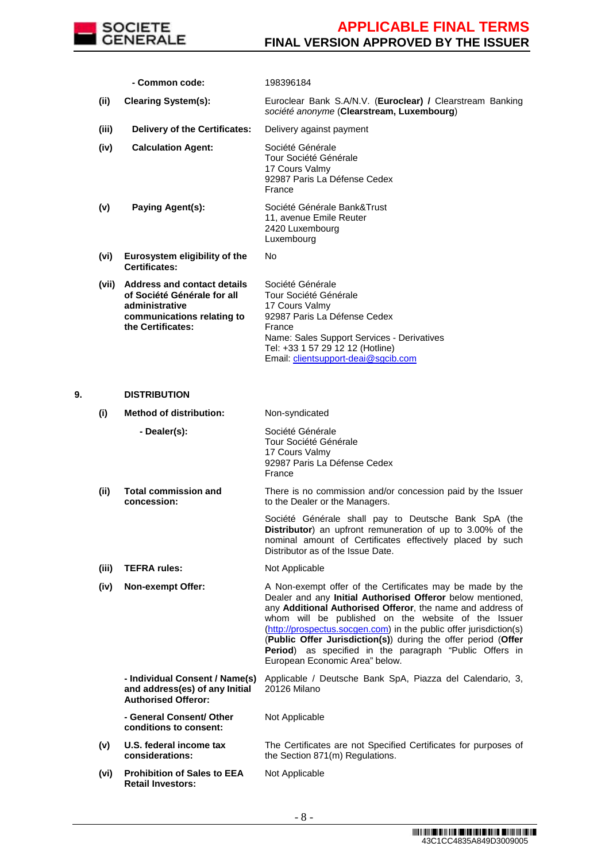

**- Common code:** 198396184

|    |       | - Common code:                                                                                                                        | 19099010 <del>4</del>                                                                                                                                                                                                                                                                                                                                                               |
|----|-------|---------------------------------------------------------------------------------------------------------------------------------------|-------------------------------------------------------------------------------------------------------------------------------------------------------------------------------------------------------------------------------------------------------------------------------------------------------------------------------------------------------------------------------------|
|    | (ii)  | <b>Clearing System(s):</b>                                                                                                            | Euroclear Bank S.A/N.V. (Euroclear) / Clearstream Banking<br>société anonyme (Clearstream, Luxembourg)                                                                                                                                                                                                                                                                              |
|    | (iii) | <b>Delivery of the Certificates:</b>                                                                                                  | Delivery against payment                                                                                                                                                                                                                                                                                                                                                            |
|    | (iv)  | <b>Calculation Agent:</b>                                                                                                             | Société Générale<br>Tour Société Générale<br>17 Cours Valmy<br>92987 Paris La Défense Cedex<br>France                                                                                                                                                                                                                                                                               |
|    | (v)   | Paying Agent(s):                                                                                                                      | Société Générale Bank&Trust<br>11, avenue Emile Reuter<br>2420 Luxembourg<br>Luxembourg                                                                                                                                                                                                                                                                                             |
|    | (vi)  | Eurosystem eligibility of the<br><b>Certificates:</b>                                                                                 | No                                                                                                                                                                                                                                                                                                                                                                                  |
|    |       | (vii) Address and contact details<br>of Société Générale for all<br>administrative<br>communications relating to<br>the Certificates: | Société Générale<br>Tour Société Générale<br>17 Cours Valmy<br>92987 Paris La Défense Cedex<br>France<br>Name: Sales Support Services - Derivatives<br>Tel: +33 1 57 29 12 12 (Hotline)<br>Email: clientsupport-deai@sgcib.com                                                                                                                                                      |
| 9. |       | <b>DISTRIBUTION</b>                                                                                                                   |                                                                                                                                                                                                                                                                                                                                                                                     |
|    | (i)   | <b>Method of distribution:</b>                                                                                                        | Non-syndicated                                                                                                                                                                                                                                                                                                                                                                      |
|    |       | - Dealer(s):                                                                                                                          | Société Générale<br>Tour Société Générale<br>17 Cours Valmy<br>92987 Paris La Défense Cedex<br>France                                                                                                                                                                                                                                                                               |
|    | (ii)  | <b>Total commission and</b><br>concession:                                                                                            | There is no commission and/or concession paid by the Issuer<br>to the Dealer or the Managers.                                                                                                                                                                                                                                                                                       |
|    |       |                                                                                                                                       | Société Générale shall pay to Deutsche Bank SpA (the<br>Distributor) an upfront remuneration of up to 3.00% of the<br>nominal amount of Certificates effectively placed by such<br>Distributor as of the Issue Date.                                                                                                                                                                |
|    | (iii) | <b>TEFRA rules:</b>                                                                                                                   | Not Applicable                                                                                                                                                                                                                                                                                                                                                                      |
|    | (iv)  | <b>Non-exempt Offer:</b>                                                                                                              | A Non-exempt offer of the Certificates may be made by the<br>Dealer and any Initial Authorised Offeror below mentioned,<br>any Additional Authorised Offeror, the name and address of<br>whom will be published on the website of the Issuer<br>(http://prospectus.socgen.com) in the public offer jurisdiction(s)<br>(Public Offer Jurisdiction(s)) during the offer period (Offer |

 **- Individual Consent / Name(s) and address(es) of any Initial Authorised Offeror:** Applicable / Deutsche Bank SpA, Piazza del Calendario, 3, 20126 Milano

 **- General Consent/ Other conditions to consent:** Not Applicable

**(v) U.S. federal income tax considerations:** The Certificates are not Specified Certificates for purposes of the Section 871(m) Regulations. Not Applicable

European Economic Area" below.

**Period**) as specified in the paragraph "Public Offers in

**(vi) Prohibition of Sales to EEA Retail Investors:**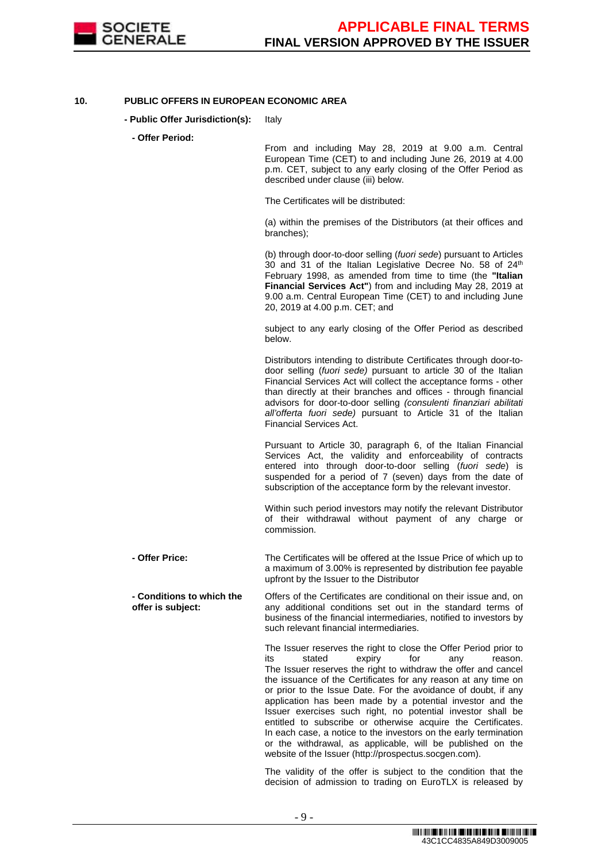

### **10. PUBLIC OFFERS IN EUROPEAN ECONOMIC AREA**

### **- Public Offer Jurisdiction(s):** Italy

**- Offer Period:**

From and including May 28, 2019 at 9.00 a.m. Central European Time (CET) to and including June 26, 2019 at 4.00 p.m. CET, subject to any early closing of the Offer Period as described under clause (iii) below.

The Certificates will be distributed:

(a) within the premises of the Distributors (at their offices and branches);

(b) through door-to-door selling (fuori sede) pursuant to Articles  $30$  and  $31$  of the Italian Legislative Decree No. 58 of 24<sup>th</sup> February 1998, as amended from time to time (the **"Italian Financial Services Act"**) from and including May 28, 2019 at 9.00 a.m. Central European Time (CET) to and including June 20, 2019 at 4.00 p.m. CET; and

subject to any early closing of the Offer Period as described below.

Distributors intending to distribute Certificates through door-todoor selling (fuori sede) pursuant to article 30 of the Italian Financial Services Act will collect the acceptance forms - other than directly at their branches and offices - through financial advisors for door-to-door selling (consulenti finanziari abilitati all'offerta fuori sede) pursuant to Article 31 of the Italian Financial Services Act.

Pursuant to Article 30, paragraph 6, of the Italian Financial Services Act, the validity and enforceability of contracts entered into through door-to-door selling (fuori sede) is suspended for a period of 7 (seven) days from the date of subscription of the acceptance form by the relevant investor.

Within such period investors may notify the relevant Distributor of their withdrawal without payment of any charge or commission.

 **- Offer Price:** The Certificates will be offered at the Issue Price of which up to a maximum of 3.00% is represented by distribution fee payable upfront by the Issuer to the Distributor

 **- Conditions to which the offer is subject:** Offers of the Certificates are conditional on their issue and, on any additional conditions set out in the standard terms of business of the financial intermediaries, notified to investors by such relevant financial intermediaries.

> The Issuer reserves the right to close the Offer Period prior to its stated expiry for any reason. The Issuer reserves the right to withdraw the offer and cancel the issuance of the Certificates for any reason at any time on or prior to the Issue Date. For the avoidance of doubt, if any application has been made by a potential investor and the Issuer exercises such right, no potential investor shall be entitled to subscribe or otherwise acquire the Certificates. In each case, a notice to the investors on the early termination or the withdrawal, as applicable, will be published on the website of the Issuer (http://prospectus.socgen.com).

> The validity of the offer is subject to the condition that the decision of admission to trading on EuroTLX is released by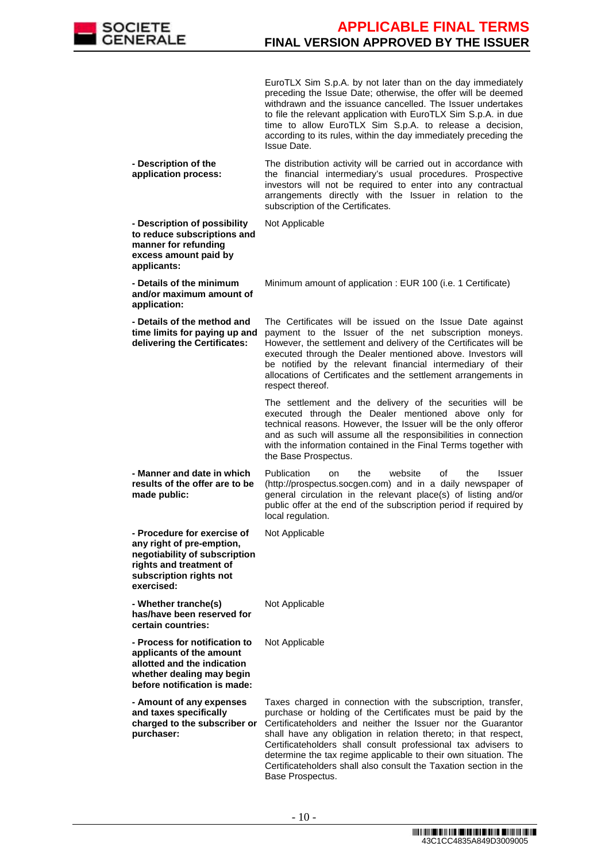

EuroTLX Sim S.p.A. by not later than on the day immediately preceding the Issue Date; otherwise, the offer will be deemed withdrawn and the issuance cancelled. The Issuer undertakes to file the relevant application with EuroTLX Sim S.p.A. in due time to allow EuroTLX Sim S.p.A. to release a decision, according to its rules, within the day immediately preceding the Issue Date.

 **- Description of the application process:** The distribution activity will be carried out in accordance with the financial intermediary's usual procedures. Prospective investors will not be required to enter into any contractual arrangements directly with the Issuer in relation to the subscription of the Certificates.

Not Applicable

**manner for refunding excess amount paid by applicants:** Minimum amount of application : EUR 100 (i.e. 1 Certificate)

 **- Details of the minimum and/or maximum amount of application:**

 **- Description of possibility to reduce subscriptions and** 

 **- Details of the method and time limits for paying up and delivering the Certificates:**

The Certificates will be issued on the Issue Date against payment to the Issuer of the net subscription moneys. However, the settlement and delivery of the Certificates will be executed through the Dealer mentioned above. Investors will be notified by the relevant financial intermediary of their allocations of Certificates and the settlement arrangements in respect thereof.

 The settlement and the delivery of the securities will be executed through the Dealer mentioned above only for technical reasons. However, the Issuer will be the only offeror and as such will assume all the responsibilities in connection with the information contained in the Final Terms together with the Base Prospectus.

 **- Manner and date in which results of the offer are to be made public:** Publication on the website of the Issuer (http://prospectus.socgen.com) and in a daily newspaper of general circulation in the relevant place(s) of listing and/or public offer at the end of the subscription period if required by local regulation.

Not Applicable

 **- Procedure for exercise of any right of pre-emption, negotiability of subscription rights and treatment of subscription rights not exercised:**

 **- Whether tranche(s) has/have been reserved for certain countries:**

 **- Process for notification to applicants of the amount allotted and the indication whether dealing may begin before notification is made:**

 **- Amount of any expenses and taxes specifically charged to the subscriber or purchaser:**

Not Applicable

Not Applicable

Taxes charged in connection with the subscription, transfer, purchase or holding of the Certificates must be paid by the Certificateholders and neither the Issuer nor the Guarantor shall have any obligation in relation thereto; in that respect, Certificateholders shall consult professional tax advisers to determine the tax regime applicable to their own situation. The Certificateholders shall also consult the Taxation section in the Base Prospectus.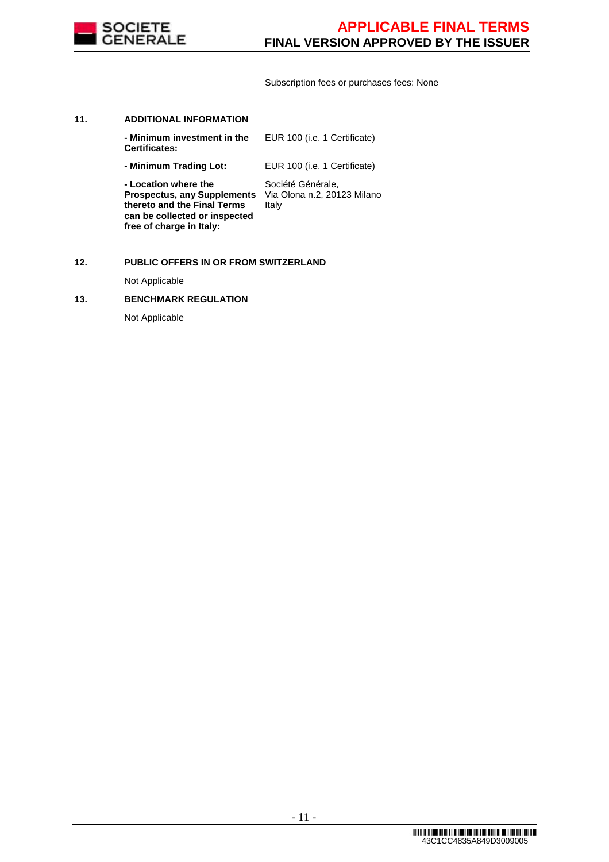

Subscription fees or purchases fees: None

## **11. ADDITIONAL INFORMATION**

| - Minimum investment in the<br><b>Certificates:</b> | EUR 100 (i.e. 1 Certificate) |
|-----------------------------------------------------|------------------------------|
| - Minimum Trading Lot:                              | EUR 100 (i.e. 1 Certificate) |
| - Location where the                                | Société Générale,            |
| <b>Prospectus, any Supplements</b>                  | Via Olona n.2, 20123 Milano  |
| thereto and the Final Terms                         | Italy                        |

### **12. PUBLIC OFFERS IN OR FROM SWITZERLAND**

**can be collected or inspected** 

**free of charge in Italy:**

Not Applicable

## **13. BENCHMARK REGULATION**

Not Applicable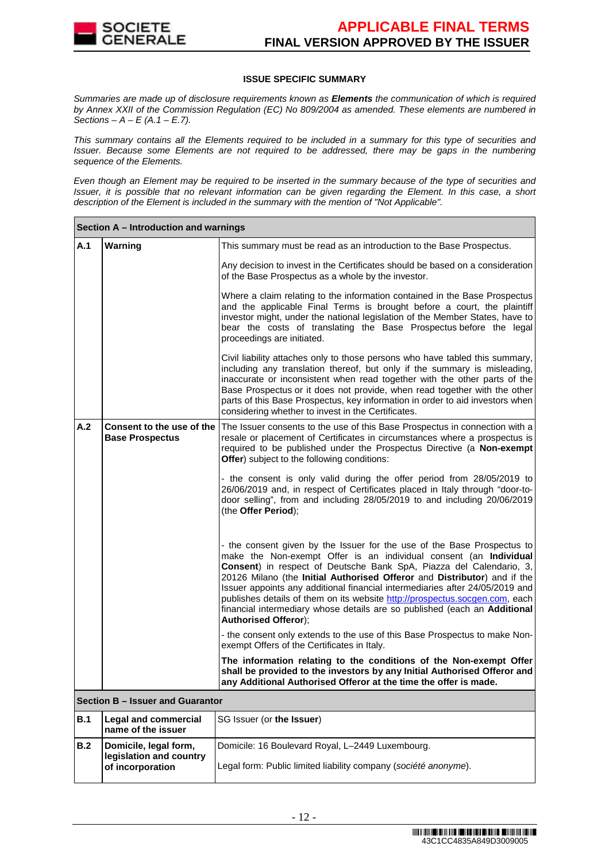

### **ISSUE SPECIFIC SUMMARY**

Summaries are made up of disclosure requirements known as **Elements** the communication of which is required by Annex XXII of the Commission Regulation (EC) No 809/2004 as amended. These elements are numbered in Sections –  $A - E(A.1 - E.7)$ .

This summary contains all the Elements required to be included in a summary for this type of securities and Issuer. Because some Elements are not required to be addressed, there may be gaps in the numbering sequence of the Elements.

Even though an Element may be required to be inserted in the summary because of the type of securities and Issuer, it is possible that no relevant information can be given regarding the Element. In this case, a short description of the Element is included in the summary with the mention of "Not Applicable".

|            | Section A - Introduction and warnings                                |                                                                                                                                                                                                                                                                                                                                                                                                                                                                                                                                                                            |  |  |  |
|------------|----------------------------------------------------------------------|----------------------------------------------------------------------------------------------------------------------------------------------------------------------------------------------------------------------------------------------------------------------------------------------------------------------------------------------------------------------------------------------------------------------------------------------------------------------------------------------------------------------------------------------------------------------------|--|--|--|
| A.1        | Warning                                                              | This summary must be read as an introduction to the Base Prospectus.                                                                                                                                                                                                                                                                                                                                                                                                                                                                                                       |  |  |  |
|            |                                                                      | Any decision to invest in the Certificates should be based on a consideration<br>of the Base Prospectus as a whole by the investor.                                                                                                                                                                                                                                                                                                                                                                                                                                        |  |  |  |
|            |                                                                      | Where a claim relating to the information contained in the Base Prospectus<br>and the applicable Final Terms is brought before a court, the plaintiff<br>investor might, under the national legislation of the Member States, have to<br>bear the costs of translating the Base Prospectus before the legal<br>proceedings are initiated.                                                                                                                                                                                                                                  |  |  |  |
|            |                                                                      | Civil liability attaches only to those persons who have tabled this summary,<br>including any translation thereof, but only if the summary is misleading,<br>inaccurate or inconsistent when read together with the other parts of the<br>Base Prospectus or it does not provide, when read together with the other<br>parts of this Base Prospectus, key information in order to aid investors when<br>considering whether to invest in the Certificates.                                                                                                                 |  |  |  |
| A.2        | Consent to the use of the<br><b>Base Prospectus</b>                  | The Issuer consents to the use of this Base Prospectus in connection with a<br>resale or placement of Certificates in circumstances where a prospectus is<br>required to be published under the Prospectus Directive (a Non-exempt<br>Offer) subject to the following conditions:                                                                                                                                                                                                                                                                                          |  |  |  |
|            |                                                                      | - the consent is only valid during the offer period from 28/05/2019 to<br>26/06/2019 and, in respect of Certificates placed in Italy through "door-to-<br>door selling", from and including 28/05/2019 to and including 20/06/2019<br>(the Offer Period);                                                                                                                                                                                                                                                                                                                  |  |  |  |
|            |                                                                      | - the consent given by the Issuer for the use of the Base Prospectus to<br>make the Non-exempt Offer is an individual consent (an Individual<br>Consent) in respect of Deutsche Bank SpA, Piazza del Calendario, 3,<br>20126 Milano (the Initial Authorised Offeror and Distributor) and if the<br>Issuer appoints any additional financial intermediaries after 24/05/2019 and<br>publishes details of them on its website http://prospectus.socgen.com, each<br>financial intermediary whose details are so published (each an Additional<br><b>Authorised Offeror);</b> |  |  |  |
|            |                                                                      | - the consent only extends to the use of this Base Prospectus to make Non-<br>exempt Offers of the Certificates in Italy.                                                                                                                                                                                                                                                                                                                                                                                                                                                  |  |  |  |
|            |                                                                      | The information relating to the conditions of the Non-exempt Offer<br>shall be provided to the investors by any Initial Authorised Offeror and<br>any Additional Authorised Offeror at the time the offer is made.                                                                                                                                                                                                                                                                                                                                                         |  |  |  |
|            | Section B - Issuer and Guarantor                                     |                                                                                                                                                                                                                                                                                                                                                                                                                                                                                                                                                                            |  |  |  |
| <b>B.1</b> | <b>Legal and commercial</b><br>name of the issuer                    | SG Issuer (or the Issuer)                                                                                                                                                                                                                                                                                                                                                                                                                                                                                                                                                  |  |  |  |
| B.2        | Domicile, legal form,<br>legislation and country<br>of incorporation | Domicile: 16 Boulevard Royal, L-2449 Luxembourg.<br>Legal form: Public limited liability company (société anonyme).                                                                                                                                                                                                                                                                                                                                                                                                                                                        |  |  |  |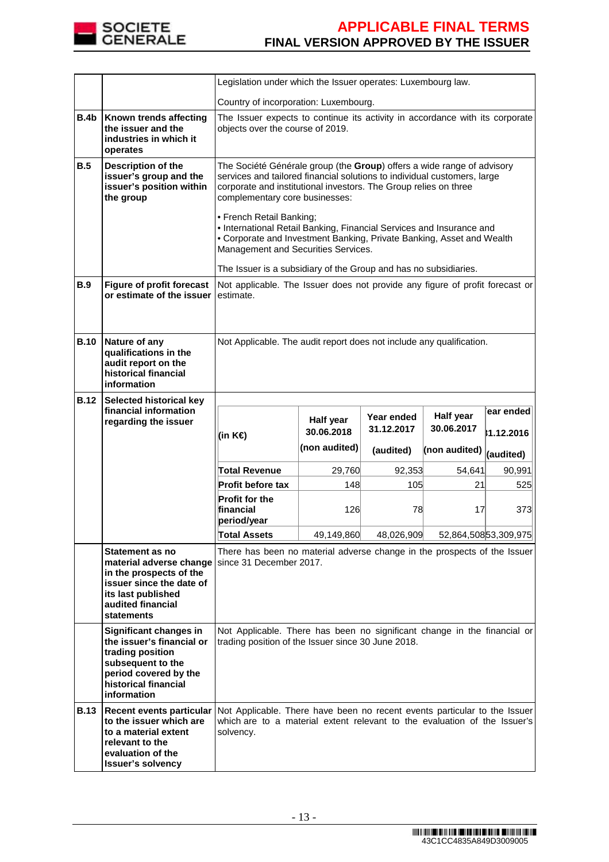

|             |                                                                                                                                                              | Legislation under which the Issuer operates: Luxembourg law.                                                                                                                                                                                                                                                                                                                                                                                                                                                                                     |                         |                          |                         |                        |
|-------------|--------------------------------------------------------------------------------------------------------------------------------------------------------------|--------------------------------------------------------------------------------------------------------------------------------------------------------------------------------------------------------------------------------------------------------------------------------------------------------------------------------------------------------------------------------------------------------------------------------------------------------------------------------------------------------------------------------------------------|-------------------------|--------------------------|-------------------------|------------------------|
|             |                                                                                                                                                              | Country of incorporation: Luxembourg.                                                                                                                                                                                                                                                                                                                                                                                                                                                                                                            |                         |                          |                         |                        |
| B.4b        | Known trends affecting<br>the issuer and the<br>industries in which it<br>operates                                                                           | The Issuer expects to continue its activity in accordance with its corporate<br>objects over the course of 2019.                                                                                                                                                                                                                                                                                                                                                                                                                                 |                         |                          |                         |                        |
| B.5         | Description of the<br>issuer's group and the<br>issuer's position within<br>the group                                                                        | The Société Générale group (the Group) offers a wide range of advisory<br>services and tailored financial solutions to individual customers, large<br>corporate and institutional investors. The Group relies on three<br>complementary core businesses:<br>• French Retail Banking;<br>• International Retail Banking, Financial Services and Insurance and<br>• Corporate and Investment Banking, Private Banking, Asset and Wealth<br>Management and Securities Services.<br>The Issuer is a subsidiary of the Group and has no subsidiaries. |                         |                          |                         |                        |
| <b>B.9</b>  | <b>Figure of profit forecast</b><br>or estimate of the issuer                                                                                                | Not applicable. The Issuer does not provide any figure of profit forecast or<br>estimate.                                                                                                                                                                                                                                                                                                                                                                                                                                                        |                         |                          |                         |                        |
| <b>B.10</b> | Nature of any<br>qualifications in the<br>audit report on the<br>historical financial<br>information                                                         | Not Applicable. The audit report does not include any qualification.                                                                                                                                                                                                                                                                                                                                                                                                                                                                             |                         |                          |                         |                        |
| <b>B.12</b> | Selected historical key                                                                                                                                      |                                                                                                                                                                                                                                                                                                                                                                                                                                                                                                                                                  |                         |                          |                         |                        |
|             | financial information<br>regarding the issuer                                                                                                                | (in K€)                                                                                                                                                                                                                                                                                                                                                                                                                                                                                                                                          | Half year<br>30.06.2018 | Year ended<br>31.12.2017 | Half year<br>30.06.2017 | ear ended<br>1.12.2016 |
|             |                                                                                                                                                              |                                                                                                                                                                                                                                                                                                                                                                                                                                                                                                                                                  | (non audited)           | (audited)                | (non audited)           | (audited)              |
|             |                                                                                                                                                              | <b>Total Revenue</b>                                                                                                                                                                                                                                                                                                                                                                                                                                                                                                                             | 29,760                  | 92,353                   | 54,641                  | 90,991                 |
|             |                                                                                                                                                              | Profit before tax                                                                                                                                                                                                                                                                                                                                                                                                                                                                                                                                | 148                     | 105                      | 21                      | 525                    |
|             |                                                                                                                                                              | Profit for the<br>financial<br>period/year                                                                                                                                                                                                                                                                                                                                                                                                                                                                                                       | 126                     | 78                       | 17                      | 373                    |
|             |                                                                                                                                                              | Total Assets                                                                                                                                                                                                                                                                                                                                                                                                                                                                                                                                     | 49,149,860              | 48,026,909               |                         | 52,864,50853,309,975   |
|             | Statement as no<br>in the prospects of the<br>issuer since the date of<br>its last published<br>audited financial<br>statements                              | There has been no material adverse change in the prospects of the Issuer<br>material adverse change since 31 December 2017.                                                                                                                                                                                                                                                                                                                                                                                                                      |                         |                          |                         |                        |
|             | Significant changes in<br>the issuer's financial or<br>trading position<br>subsequent to the<br>period covered by the<br>historical financial<br>information | Not Applicable. There has been no significant change in the financial or<br>trading position of the Issuer since 30 June 2018.                                                                                                                                                                                                                                                                                                                                                                                                                   |                         |                          |                         |                        |
| <b>B.13</b> | to the issuer which are<br>to a material extent<br>relevant to the<br>evaluation of the<br><b>Issuer's solvency</b>                                          | Recent events particular Not Applicable. There have been no recent events particular to the Issuer<br>which are to a material extent relevant to the evaluation of the Issuer's<br>solvency.                                                                                                                                                                                                                                                                                                                                                     |                         |                          |                         |                        |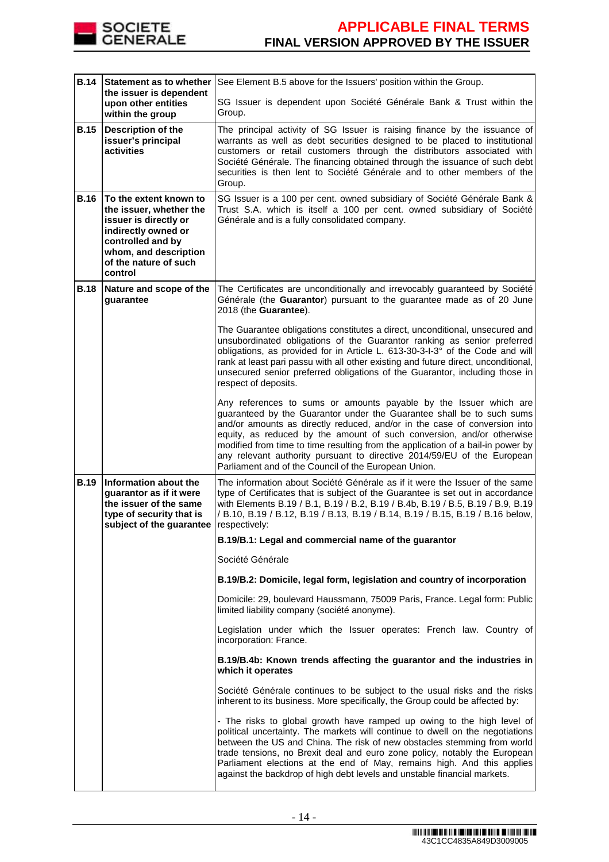

| <b>B.14</b> | <b>Statement as to whether</b>                                                                                                                                                      | See Element B.5 above for the Issuers' position within the Group.                                                                                                                                                                                                                                                                                                                                                                                                                                                      |  |
|-------------|-------------------------------------------------------------------------------------------------------------------------------------------------------------------------------------|------------------------------------------------------------------------------------------------------------------------------------------------------------------------------------------------------------------------------------------------------------------------------------------------------------------------------------------------------------------------------------------------------------------------------------------------------------------------------------------------------------------------|--|
|             | the issuer is dependent<br>upon other entities<br>within the group                                                                                                                  | SG Issuer is dependent upon Société Générale Bank & Trust within the<br>Group.                                                                                                                                                                                                                                                                                                                                                                                                                                         |  |
| <b>B.15</b> | <b>Description of the</b><br>issuer's principal<br>activities                                                                                                                       | The principal activity of SG Issuer is raising finance by the issuance of<br>warrants as well as debt securities designed to be placed to institutional<br>customers or retail customers through the distributors associated with<br>Société Générale. The financing obtained through the issuance of such debt<br>securities is then lent to Société Générale and to other members of the<br>Group.                                                                                                                   |  |
| <b>B.16</b> | To the extent known to<br>the issuer, whether the<br>issuer is directly or<br>indirectly owned or<br>controlled and by<br>whom, and description<br>of the nature of such<br>control | SG Issuer is a 100 per cent. owned subsidiary of Société Générale Bank &<br>Trust S.A. which is itself a 100 per cent. owned subsidiary of Société<br>Générale and is a fully consolidated company.                                                                                                                                                                                                                                                                                                                    |  |
| <b>B.18</b> | Nature and scope of the<br>guarantee                                                                                                                                                | The Certificates are unconditionally and irrevocably guaranteed by Société<br>Générale (the Guarantor) pursuant to the guarantee made as of 20 June<br>2018 (the Guarantee).                                                                                                                                                                                                                                                                                                                                           |  |
|             |                                                                                                                                                                                     | The Guarantee obligations constitutes a direct, unconditional, unsecured and<br>unsubordinated obligations of the Guarantor ranking as senior preferred<br>obligations, as provided for in Article L. 613-30-3-I-3° of the Code and will<br>rank at least pari passu with all other existing and future direct, unconditional,<br>unsecured senior preferred obligations of the Guarantor, including those in<br>respect of deposits.                                                                                  |  |
|             |                                                                                                                                                                                     | Any references to sums or amounts payable by the Issuer which are<br>guaranteed by the Guarantor under the Guarantee shall be to such sums<br>and/or amounts as directly reduced, and/or in the case of conversion into<br>equity, as reduced by the amount of such conversion, and/or otherwise<br>modified from time to time resulting from the application of a bail-in power by<br>any relevant authority pursuant to directive 2014/59/EU of the European<br>Parliament and of the Council of the European Union. |  |
| <b>B.19</b> | Information about the<br>guarantor as if it were<br>the issuer of the same<br>type of security that is<br>subject of the guarantee                                                  | The information about Société Générale as if it were the Issuer of the same<br>type of Certificates that is subject of the Guarantee is set out in accordance<br>with Elements B.19 / B.1, B.19 / B.2, B.19 / B.4b, B.19 / B.5, B.19 / B.9, B.19<br>/ B.10, B.19 / B.12, B.19 / B.13, B.19 / B.14, B.19 / B.15, B.19 / B.16 below,<br>respectively:                                                                                                                                                                    |  |
|             |                                                                                                                                                                                     | B.19/B.1: Legal and commercial name of the guarantor                                                                                                                                                                                                                                                                                                                                                                                                                                                                   |  |
|             |                                                                                                                                                                                     | Société Générale                                                                                                                                                                                                                                                                                                                                                                                                                                                                                                       |  |
|             |                                                                                                                                                                                     | B.19/B.2: Domicile, legal form, legislation and country of incorporation                                                                                                                                                                                                                                                                                                                                                                                                                                               |  |
|             |                                                                                                                                                                                     | Domicile: 29, boulevard Haussmann, 75009 Paris, France. Legal form: Public<br>limited liability company (société anonyme).                                                                                                                                                                                                                                                                                                                                                                                             |  |
|             |                                                                                                                                                                                     | Legislation under which the Issuer operates: French law. Country of<br>incorporation: France.                                                                                                                                                                                                                                                                                                                                                                                                                          |  |
|             |                                                                                                                                                                                     | B.19/B.4b: Known trends affecting the guarantor and the industries in<br>which it operates                                                                                                                                                                                                                                                                                                                                                                                                                             |  |
|             |                                                                                                                                                                                     | Société Générale continues to be subject to the usual risks and the risks<br>inherent to its business. More specifically, the Group could be affected by:                                                                                                                                                                                                                                                                                                                                                              |  |
|             |                                                                                                                                                                                     | - The risks to global growth have ramped up owing to the high level of<br>political uncertainty. The markets will continue to dwell on the negotiations<br>between the US and China. The risk of new obstacles stemming from world<br>trade tensions, no Brexit deal and euro zone policy, notably the European<br>Parliament elections at the end of May, remains high. And this applies<br>against the backdrop of high debt levels and unstable financial markets.                                                  |  |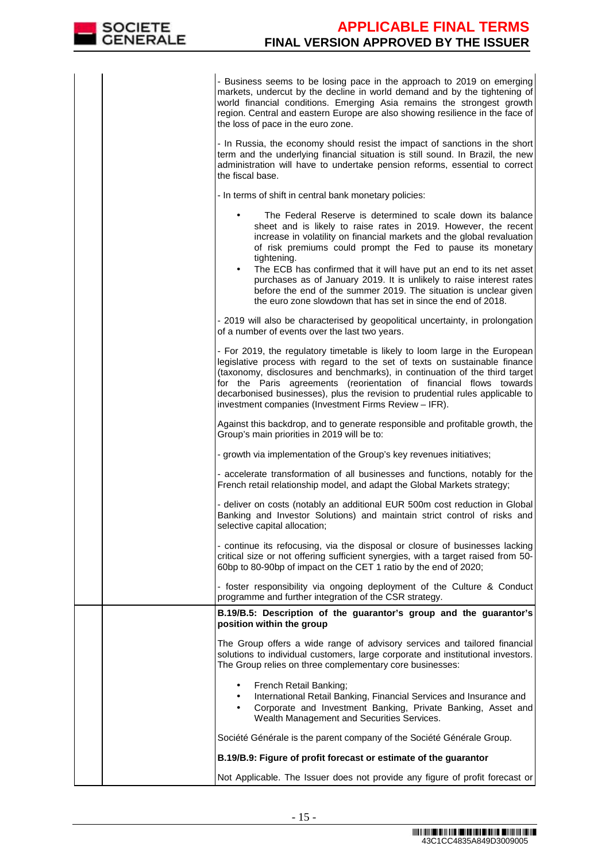

|  | - Business seems to be losing pace in the approach to 2019 on emerging<br>markets, undercut by the decline in world demand and by the tightening of<br>world financial conditions. Emerging Asia remains the strongest growth<br>region. Central and eastern Europe are also showing resilience in the face of<br>the loss of pace in the euro zone.                                                                                                      |
|--|-----------------------------------------------------------------------------------------------------------------------------------------------------------------------------------------------------------------------------------------------------------------------------------------------------------------------------------------------------------------------------------------------------------------------------------------------------------|
|  | - In Russia, the economy should resist the impact of sanctions in the short<br>term and the underlying financial situation is still sound. In Brazil, the new<br>administration will have to undertake pension reforms, essential to correct<br>the fiscal base.                                                                                                                                                                                          |
|  | - In terms of shift in central bank monetary policies:                                                                                                                                                                                                                                                                                                                                                                                                    |
|  | The Federal Reserve is determined to scale down its balance<br>sheet and is likely to raise rates in 2019. However, the recent<br>increase in volatility on financial markets and the global revaluation<br>of risk premiums could prompt the Fed to pause its monetary<br>tightening.<br>The ECB has confirmed that it will have put an end to its net asset<br>$\bullet$                                                                                |
|  | purchases as of January 2019. It is unlikely to raise interest rates<br>before the end of the summer 2019. The situation is unclear given<br>the euro zone slowdown that has set in since the end of 2018.                                                                                                                                                                                                                                                |
|  | - 2019 will also be characterised by geopolitical uncertainty, in prolongation<br>of a number of events over the last two years.                                                                                                                                                                                                                                                                                                                          |
|  | - For 2019, the regulatory timetable is likely to loom large in the European<br>legislative process with regard to the set of texts on sustainable finance<br>(taxonomy, disclosures and benchmarks), in continuation of the third target<br>for the Paris agreements (reorientation of financial flows towards<br>decarbonised businesses), plus the revision to prudential rules applicable to<br>investment companies (Investment Firms Review - IFR). |
|  | Against this backdrop, and to generate responsible and profitable growth, the<br>Group's main priorities in 2019 will be to:                                                                                                                                                                                                                                                                                                                              |
|  | - growth via implementation of the Group's key revenues initiatives;                                                                                                                                                                                                                                                                                                                                                                                      |
|  | - accelerate transformation of all businesses and functions, notably for the<br>French retail relationship model, and adapt the Global Markets strategy;                                                                                                                                                                                                                                                                                                  |
|  | - deliver on costs (notably an additional EUR 500m cost reduction in Global<br>Banking and Investor Solutions) and maintain strict control of risks and<br>selective capital allocation;                                                                                                                                                                                                                                                                  |
|  | - continue its refocusing, via the disposal or closure of businesses lacking<br>critical size or not offering sufficient synergies, with a target raised from 50-<br>60bp to 80-90bp of impact on the CET 1 ratio by the end of 2020;                                                                                                                                                                                                                     |
|  | - foster responsibility via ongoing deployment of the Culture & Conduct<br>programme and further integration of the CSR strategy.                                                                                                                                                                                                                                                                                                                         |
|  | B.19/B.5: Description of the guarantor's group and the guarantor's<br>position within the group                                                                                                                                                                                                                                                                                                                                                           |
|  | The Group offers a wide range of advisory services and tailored financial<br>solutions to individual customers, large corporate and institutional investors.<br>The Group relies on three complementary core businesses:                                                                                                                                                                                                                                  |
|  | French Retail Banking;<br>International Retail Banking, Financial Services and Insurance and<br>Corporate and Investment Banking, Private Banking, Asset and<br>Wealth Management and Securities Services.                                                                                                                                                                                                                                                |
|  | Société Générale is the parent company of the Société Générale Group.                                                                                                                                                                                                                                                                                                                                                                                     |
|  | B.19/B.9: Figure of profit forecast or estimate of the guarantor                                                                                                                                                                                                                                                                                                                                                                                          |
|  | Not Applicable. The Issuer does not provide any figure of profit forecast or                                                                                                                                                                                                                                                                                                                                                                              |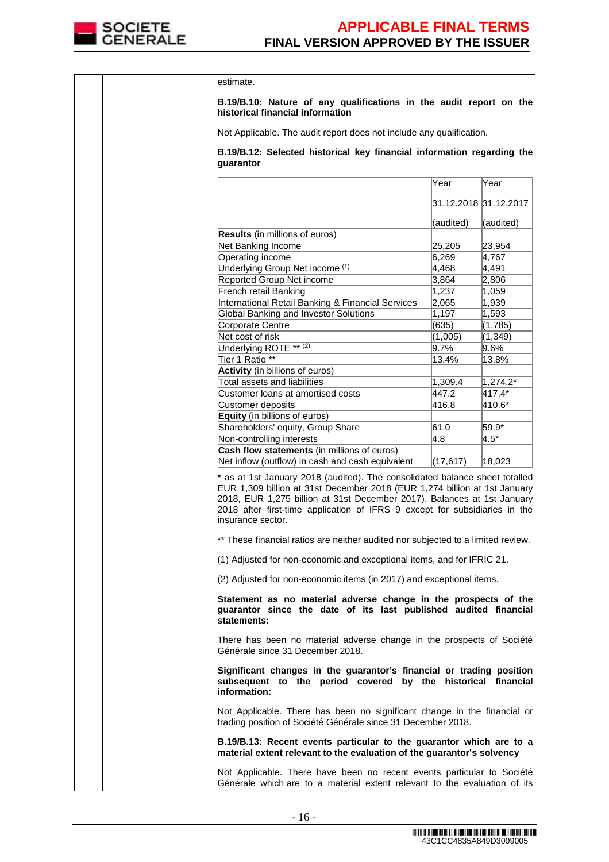

| estimate.                                                                                                                                                                                                                                                                                                                              |           |                       |
|----------------------------------------------------------------------------------------------------------------------------------------------------------------------------------------------------------------------------------------------------------------------------------------------------------------------------------------|-----------|-----------------------|
| B.19/B.10: Nature of any qualifications in the audit report on the<br>historical financial information                                                                                                                                                                                                                                 |           |                       |
| Not Applicable. The audit report does not include any qualification.                                                                                                                                                                                                                                                                   |           |                       |
| B.19/B.12: Selected historical key financial information regarding the<br>guarantor                                                                                                                                                                                                                                                    |           |                       |
|                                                                                                                                                                                                                                                                                                                                        | Year      | Year                  |
|                                                                                                                                                                                                                                                                                                                                        |           |                       |
|                                                                                                                                                                                                                                                                                                                                        |           | 31.12.2018 31.12.2017 |
|                                                                                                                                                                                                                                                                                                                                        | (audited) | (audited)             |
| <b>Results</b> (in millions of euros)                                                                                                                                                                                                                                                                                                  |           |                       |
| Net Banking Income                                                                                                                                                                                                                                                                                                                     | 25,205    | 23,954                |
| Operating income                                                                                                                                                                                                                                                                                                                       | 6,269     | 4,767                 |
| Underlying Group Net income (1)                                                                                                                                                                                                                                                                                                        | 4,468     | 4,491                 |
| Reported Group Net income                                                                                                                                                                                                                                                                                                              | 3,864     | 2,806                 |
| French retail Banking                                                                                                                                                                                                                                                                                                                  | 1,237     | 1,059                 |
| International Retail Banking & Financial Services                                                                                                                                                                                                                                                                                      | 2,065     | 1,939                 |
| Global Banking and Investor Solutions                                                                                                                                                                                                                                                                                                  | 1,197     | 1,593                 |
| Corporate Centre                                                                                                                                                                                                                                                                                                                       | (635)     | (1,785)               |
| Net cost of risk                                                                                                                                                                                                                                                                                                                       | (1,005)   | (1, 349)              |
| Underlying ROTE ** (2)                                                                                                                                                                                                                                                                                                                 | 9.7%      | 9.6%                  |
| Tier 1 Ratio **                                                                                                                                                                                                                                                                                                                        | 13.4%     | 13.8%                 |
| Activity (in billions of euros)                                                                                                                                                                                                                                                                                                        |           |                       |
| Total assets and liabilities                                                                                                                                                                                                                                                                                                           | 1,309.4   | $1,274.2*$            |
|                                                                                                                                                                                                                                                                                                                                        |           |                       |
| Customer loans at amortised costs                                                                                                                                                                                                                                                                                                      | 447.2     | 417.4*                |
| Customer deposits                                                                                                                                                                                                                                                                                                                      | 416.8     | 410.6*                |
| Equity (in billions of euros)                                                                                                                                                                                                                                                                                                          |           |                       |
| Shareholders' equity, Group Share                                                                                                                                                                                                                                                                                                      | 61.0      | 59.9*                 |
| Non-controlling interests                                                                                                                                                                                                                                                                                                              | 4.8       | $4.5*$                |
| Cash flow statements (in millions of euros)<br>Net inflow (outflow) in cash and cash equivalent                                                                                                                                                                                                                                        | (17, 617) | 18,023                |
| * as at 1st January 2018 (audited). The consolidated balance sheet totalled<br>EUR 1,309 billion at 31st December 2018 (EUR 1,274 billion at 1st January<br>2018, EUR 1,275 billion at 31st December 2017). Balances at 1st January<br>2018 after first-time application of IFRS 9 except for subsidiaries in the<br>insurance sector. |           |                       |
| ** These financial ratios are neither audited nor subjected to a limited review.                                                                                                                                                                                                                                                       |           |                       |
| (1) Adjusted for non-economic and exceptional items, and for IFRIC 21.                                                                                                                                                                                                                                                                 |           |                       |
| (2) Adjusted for non-economic items (in 2017) and exceptional items.                                                                                                                                                                                                                                                                   |           |                       |
| Statement as no material adverse change in the prospects of the<br>guarantor since the date of its last published audited financial<br>statements:                                                                                                                                                                                     |           |                       |
| There has been no material adverse change in the prospects of Société<br>Générale since 31 December 2018.                                                                                                                                                                                                                              |           |                       |
| Significant changes in the guarantor's financial or trading position<br>subsequent to the period covered by the historical financial<br>information:                                                                                                                                                                                   |           |                       |
| Not Applicable. There has been no significant change in the financial or<br>trading position of Société Générale since 31 December 2018.                                                                                                                                                                                               |           |                       |
| B.19/B.13: Recent events particular to the guarantor which are to a<br>material extent relevant to the evaluation of the guarantor's solvency                                                                                                                                                                                          |           |                       |
| Not Applicable. There have been no recent events particular to Société<br>Générale which are to a material extent relevant to the evaluation of its                                                                                                                                                                                    |           |                       |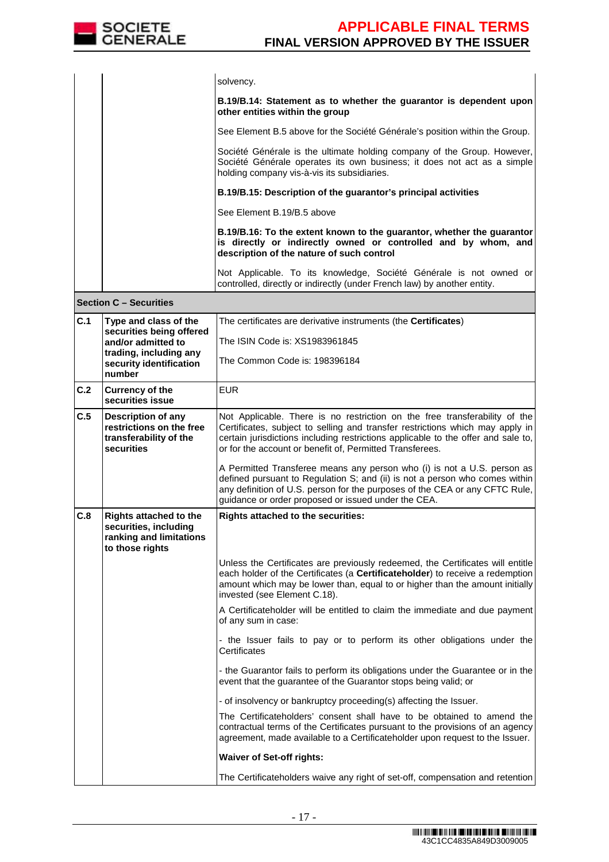

| solvency.                                                                                                                                                                                         |
|---------------------------------------------------------------------------------------------------------------------------------------------------------------------------------------------------|
| B.19/B.14: Statement as to whether the guarantor is dependent upon<br>other entities within the group                                                                                             |
| See Element B.5 above for the Société Générale's position within the Group.                                                                                                                       |
| Société Générale is the ultimate holding company of the Group. However,<br>Société Générale operates its own business; it does not act as a simple<br>holding company vis-à-vis its subsidiaries. |
| B.19/B.15: Description of the guarantor's principal activities                                                                                                                                    |
| See Element B.19/B.5 above                                                                                                                                                                        |
| B.19/B.16: To the extent known to the guarantor, whether the guarantor<br>is directly or indirectly owned or controlled and by whom, and<br>description of the nature of such control             |
| Not Applicable. To its knowledge, Société Générale is not owned or<br>controlled, directly or indirectly (under French law) by another entity.                                                    |

**Section C – Securities**

| C.1 | Type and class of the<br>securities being offered                                      | The certificates are derivative instruments (the Certificates)                                                                                                                                                                                                                                               |
|-----|----------------------------------------------------------------------------------------|--------------------------------------------------------------------------------------------------------------------------------------------------------------------------------------------------------------------------------------------------------------------------------------------------------------|
|     | and/or admitted to<br>trading, including any<br>security identification                | The ISIN Code is: XS1983961845                                                                                                                                                                                                                                                                               |
|     |                                                                                        | The Common Code is: 198396184                                                                                                                                                                                                                                                                                |
|     | number                                                                                 |                                                                                                                                                                                                                                                                                                              |
| C.2 | <b>Currency of the</b><br>securities issue                                             | <b>EUR</b>                                                                                                                                                                                                                                                                                                   |
| C.5 | Description of any<br>restrictions on the free<br>transferability of the<br>securities | Not Applicable. There is no restriction on the free transferability of the<br>Certificates, subject to selling and transfer restrictions which may apply in<br>certain jurisdictions including restrictions applicable to the offer and sale to,<br>or for the account or benefit of, Permitted Transferees. |
|     |                                                                                        | A Permitted Transferee means any person who (i) is not a U.S. person as<br>defined pursuant to Regulation S; and (ii) is not a person who comes within<br>any definition of U.S. person for the purposes of the CEA or any CFTC Rule,<br>guidance or order proposed or issued under the CEA.                 |
| C.8 | <b>Rights attached to the</b>                                                          | <b>Rights attached to the securities:</b>                                                                                                                                                                                                                                                                    |
|     | securities, including<br>ranking and limitations<br>to those rights                    |                                                                                                                                                                                                                                                                                                              |
|     |                                                                                        | Unless the Certificates are previously redeemed, the Certificates will entitle<br>each holder of the Certificates (a Certificateholder) to receive a redemption<br>amount which may be lower than, equal to or higher than the amount initially<br>invested (see Element C.18).                              |
|     |                                                                                        | A Certificateholder will be entitled to claim the immediate and due payment<br>of any sum in case:                                                                                                                                                                                                           |
|     |                                                                                        | - the Issuer fails to pay or to perform its other obligations under the<br>Certificates                                                                                                                                                                                                                      |
|     |                                                                                        | - the Guarantor fails to perform its obligations under the Guarantee or in the<br>event that the guarantee of the Guarantor stops being valid; or                                                                                                                                                            |
|     |                                                                                        | - of insolvency or bankruptcy proceeding(s) affecting the Issuer.                                                                                                                                                                                                                                            |
|     |                                                                                        | The Certificateholders' consent shall have to be obtained to amend the<br>contractual terms of the Certificates pursuant to the provisions of an agency<br>agreement, made available to a Certificateholder upon request to the Issuer.                                                                      |
|     |                                                                                        | <b>Waiver of Set-off rights:</b>                                                                                                                                                                                                                                                                             |
|     |                                                                                        | The Certificateholders waive any right of set-off, compensation and retention                                                                                                                                                                                                                                |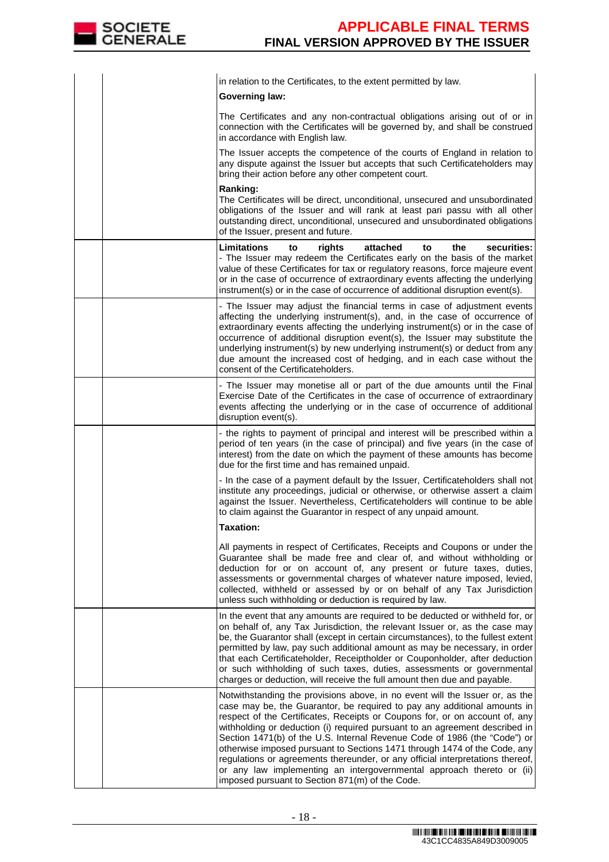

|  | in relation to the Certificates, to the extent permitted by law.                                                                                                                                                                                                                                                                                                                                                                                                                                                                                                                                                                                                                               |
|--|------------------------------------------------------------------------------------------------------------------------------------------------------------------------------------------------------------------------------------------------------------------------------------------------------------------------------------------------------------------------------------------------------------------------------------------------------------------------------------------------------------------------------------------------------------------------------------------------------------------------------------------------------------------------------------------------|
|  | <b>Governing law:</b>                                                                                                                                                                                                                                                                                                                                                                                                                                                                                                                                                                                                                                                                          |
|  | The Certificates and any non-contractual obligations arising out of or in<br>connection with the Certificates will be governed by, and shall be construed<br>in accordance with English law.                                                                                                                                                                                                                                                                                                                                                                                                                                                                                                   |
|  | The Issuer accepts the competence of the courts of England in relation to<br>any dispute against the Issuer but accepts that such Certificateholders may<br>bring their action before any other competent court.                                                                                                                                                                                                                                                                                                                                                                                                                                                                               |
|  | Ranking:<br>The Certificates will be direct, unconditional, unsecured and unsubordinated<br>obligations of the Issuer and will rank at least pari passu with all other<br>outstanding direct, unconditional, unsecured and unsubordinated obligations<br>of the Issuer, present and future.                                                                                                                                                                                                                                                                                                                                                                                                    |
|  | <b>Limitations</b><br>attached<br>the<br>to<br>rights<br>to<br>securities:<br>- The Issuer may redeem the Certificates early on the basis of the market<br>value of these Certificates for tax or regulatory reasons, force majeure event<br>or in the case of occurrence of extraordinary events affecting the underlying<br>instrument(s) or in the case of occurrence of additional disruption event(s).                                                                                                                                                                                                                                                                                    |
|  | - The Issuer may adjust the financial terms in case of adjustment events<br>affecting the underlying instrument(s), and, in the case of occurrence of<br>extraordinary events affecting the underlying instrument(s) or in the case of<br>occurrence of additional disruption event(s), the Issuer may substitute the<br>underlying instrument(s) by new underlying instrument(s) or deduct from any<br>due amount the increased cost of hedging, and in each case without the<br>consent of the Certificateholders.                                                                                                                                                                           |
|  | - The Issuer may monetise all or part of the due amounts until the Final<br>Exercise Date of the Certificates in the case of occurrence of extraordinary<br>events affecting the underlying or in the case of occurrence of additional<br>disruption event(s).                                                                                                                                                                                                                                                                                                                                                                                                                                 |
|  | - the rights to payment of principal and interest will be prescribed within a<br>period of ten years (in the case of principal) and five years (in the case of<br>interest) from the date on which the payment of these amounts has become<br>due for the first time and has remained unpaid.                                                                                                                                                                                                                                                                                                                                                                                                  |
|  | - In the case of a payment default by the Issuer, Certificateholders shall not<br>institute any proceedings, judicial or otherwise, or otherwise assert a claim<br>against the Issuer. Nevertheless, Certificateholders will continue to be able<br>to claim against the Guarantor in respect of any unpaid amount.                                                                                                                                                                                                                                                                                                                                                                            |
|  | <b>Taxation:</b>                                                                                                                                                                                                                                                                                                                                                                                                                                                                                                                                                                                                                                                                               |
|  | All payments in respect of Certificates, Receipts and Coupons or under the<br>Guarantee shall be made free and clear of, and without withholding or<br>deduction for or on account of, any present or future taxes, duties,<br>assessments or governmental charges of whatever nature imposed, levied,<br>collected, withheld or assessed by or on behalf of any Tax Jurisdiction<br>unless such withholding or deduction is required by law.                                                                                                                                                                                                                                                  |
|  | In the event that any amounts are required to be deducted or withheld for, or<br>on behalf of, any Tax Jurisdiction, the relevant Issuer or, as the case may<br>be, the Guarantor shall (except in certain circumstances), to the fullest extent<br>permitted by law, pay such additional amount as may be necessary, in order<br>that each Certificateholder, Receiptholder or Couponholder, after deduction<br>or such withholding of such taxes, duties, assessments or governmental<br>charges or deduction, will receive the full amount then due and payable.                                                                                                                            |
|  | Notwithstanding the provisions above, in no event will the Issuer or, as the<br>case may be, the Guarantor, be required to pay any additional amounts in<br>respect of the Certificates, Receipts or Coupons for, or on account of, any<br>withholding or deduction (i) required pursuant to an agreement described in<br>Section 1471(b) of the U.S. Internal Revenue Code of 1986 (the "Code") or<br>otherwise imposed pursuant to Sections 1471 through 1474 of the Code, any<br>regulations or agreements thereunder, or any official interpretations thereof,<br>or any law implementing an intergovernmental approach thereto or (ii)<br>imposed pursuant to Section 871(m) of the Code. |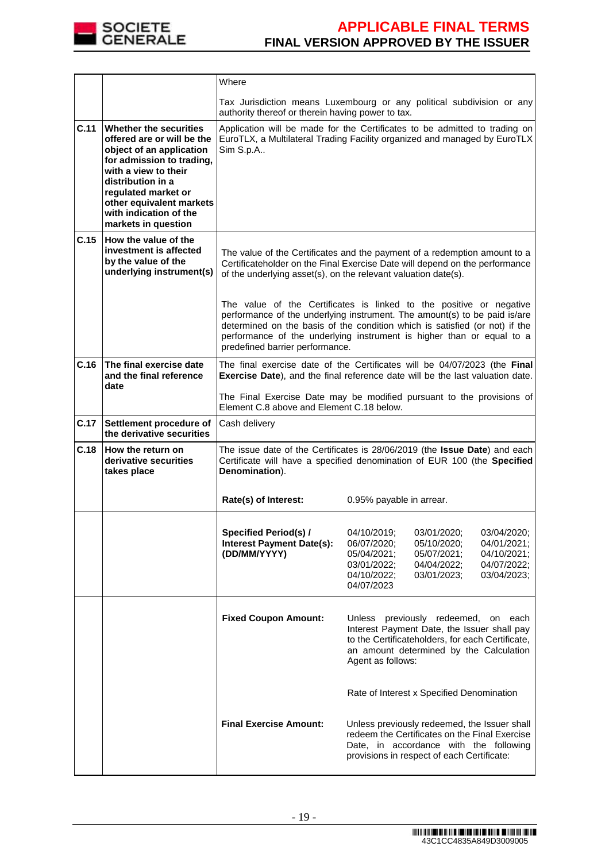

|      |                                                                                                                                                                                                                                                                | Where                                                                                                                                                                                                                      |                                                                                                                                                                                                                                                                                                          |
|------|----------------------------------------------------------------------------------------------------------------------------------------------------------------------------------------------------------------------------------------------------------------|----------------------------------------------------------------------------------------------------------------------------------------------------------------------------------------------------------------------------|----------------------------------------------------------------------------------------------------------------------------------------------------------------------------------------------------------------------------------------------------------------------------------------------------------|
|      |                                                                                                                                                                                                                                                                | authority thereof or therein having power to tax.                                                                                                                                                                          | Tax Jurisdiction means Luxembourg or any political subdivision or any                                                                                                                                                                                                                                    |
| C.11 | Whether the securities<br>offered are or will be the<br>object of an application<br>for admission to trading,<br>with a view to their<br>distribution in a<br>regulated market or<br>other equivalent markets<br>with indication of the<br>markets in question | Sim S.p.A                                                                                                                                                                                                                  | Application will be made for the Certificates to be admitted to trading on<br>EuroTLX, a Multilateral Trading Facility organized and managed by EuroTLX                                                                                                                                                  |
| C.15 | How the value of the<br>investment is affected<br>by the value of the<br>underlying instrument(s)                                                                                                                                                              | The value of the Certificates and the payment of a redemption amount to a<br>Certificateholder on the Final Exercise Date will depend on the performance<br>of the underlying asset(s), on the relevant valuation date(s). |                                                                                                                                                                                                                                                                                                          |
|      |                                                                                                                                                                                                                                                                | predefined barrier performance.                                                                                                                                                                                            | The value of the Certificates is linked to the positive or negative<br>performance of the underlying instrument. The amount(s) to be paid is/are<br>determined on the basis of the condition which is satisfied (or not) if the<br>performance of the underlying instrument is higher than or equal to a |
| C.16 | The final exercise date<br>and the final reference<br>date                                                                                                                                                                                                     |                                                                                                                                                                                                                            | The final exercise date of the Certificates will be 04/07/2023 (the Final<br>Exercise Date), and the final reference date will be the last valuation date.                                                                                                                                               |
|      |                                                                                                                                                                                                                                                                | Element C.8 above and Element C.18 below.                                                                                                                                                                                  | The Final Exercise Date may be modified pursuant to the provisions of                                                                                                                                                                                                                                    |
| C.17 | Settlement procedure of<br>the derivative securities                                                                                                                                                                                                           | Cash delivery                                                                                                                                                                                                              |                                                                                                                                                                                                                                                                                                          |
| C.18 | How the return on<br>derivative securities<br>takes place                                                                                                                                                                                                      | The issue date of the Certificates is 28/06/2019 (the <b>Issue Date</b> ) and each<br>Certificate will have a specified denomination of EUR 100 (the Specified<br>Denomination).                                           |                                                                                                                                                                                                                                                                                                          |
|      |                                                                                                                                                                                                                                                                | Rate(s) of Interest:                                                                                                                                                                                                       | 0.95% payable in arrear.                                                                                                                                                                                                                                                                                 |
|      |                                                                                                                                                                                                                                                                | <b>Specified Period(s) /</b><br><b>Interest Payment Date(s):</b><br>(DD/MM/YYYY)                                                                                                                                           | 04/10/2019;<br>03/01/2020;<br>03/04/2020;<br>06/07/2020;<br>05/10/2020;<br>04/01/2021;<br>05/04/2021;<br>05/07/2021:<br>04/10/2021;<br>03/01/2022;<br>04/04/2022;<br>04/07/2022;<br>04/10/2022;<br>03/01/2023;<br>03/04/2023;<br>04/07/2023                                                              |
|      |                                                                                                                                                                                                                                                                | <b>Fixed Coupon Amount:</b>                                                                                                                                                                                                | Unless previously redeemed, on each<br>Interest Payment Date, the Issuer shall pay<br>to the Certificateholders, for each Certificate,<br>an amount determined by the Calculation<br>Agent as follows:                                                                                                   |
|      |                                                                                                                                                                                                                                                                |                                                                                                                                                                                                                            | Rate of Interest x Specified Denomination                                                                                                                                                                                                                                                                |
|      |                                                                                                                                                                                                                                                                | <b>Final Exercise Amount:</b>                                                                                                                                                                                              | Unless previously redeemed, the Issuer shall<br>redeem the Certificates on the Final Exercise<br>Date, in accordance with the following<br>provisions in respect of each Certificate:                                                                                                                    |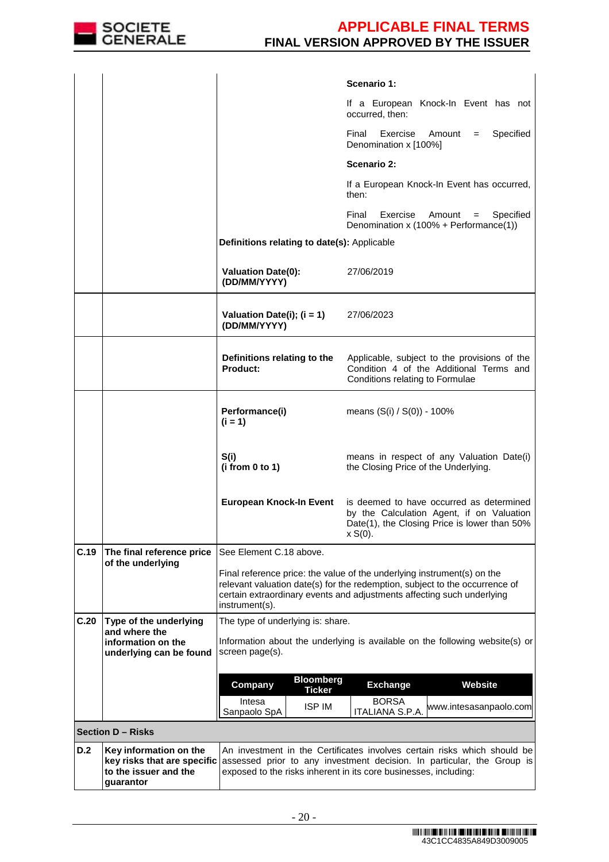

|      |                                                |                                              | Scenario 1:                                                                                                                                                                                                                      |
|------|------------------------------------------------|----------------------------------------------|----------------------------------------------------------------------------------------------------------------------------------------------------------------------------------------------------------------------------------|
|      |                                                |                                              | If a European Knock-In Event has not<br>occurred, then:                                                                                                                                                                          |
|      |                                                |                                              | Exercise<br>Specified<br>Final<br>Amount<br>$=$<br>Denomination x [100%]                                                                                                                                                         |
|      |                                                |                                              | Scenario 2:                                                                                                                                                                                                                      |
|      |                                                |                                              | If a European Knock-In Event has occurred,<br>then:                                                                                                                                                                              |
|      |                                                |                                              | Final<br>Exercise<br>$Amount =$<br>Specified<br>Denomination x (100% + Performance(1))                                                                                                                                           |
|      |                                                | Definitions relating to date(s): Applicable  |                                                                                                                                                                                                                                  |
|      |                                                | <b>Valuation Date(0):</b><br>(DD/MM/YYYY)    | 27/06/2019                                                                                                                                                                                                                       |
|      |                                                | Valuation Date(i); (i = 1)<br>(DD/MM/YYYY)   | 27/06/2023                                                                                                                                                                                                                       |
|      |                                                | Definitions relating to the<br>Product:      | Applicable, subject to the provisions of the<br>Condition 4 of the Additional Terms and<br>Conditions relating to Formulae                                                                                                       |
|      |                                                | Performance(i)<br>$(i = 1)$                  | means $(S(i) / S(0)) - 100\%$                                                                                                                                                                                                    |
|      |                                                | S(i)<br>(i from 0 to 1)                      | means in respect of any Valuation Date(i)<br>the Closing Price of the Underlying.                                                                                                                                                |
|      |                                                | <b>European Knock-In Event</b>               | is deemed to have occurred as determined<br>by the Calculation Agent, if on Valuation<br>Date(1), the Closing Price is lower than 50%<br>$x S(0)$ .                                                                              |
| C.19 | The final reference price<br>of the underlying | See Element C.18 above.                      |                                                                                                                                                                                                                                  |
|      |                                                | instrument(s).                               | Final reference price: the value of the underlying instrument(s) on the<br>relevant valuation date(s) for the redemption, subject to the occurrence of<br>certain extraordinary events and adjustments affecting such underlying |
| C.20 | Type of the underlying<br>and where the        | The type of underlying is: share.            |                                                                                                                                                                                                                                  |
|      | information on the<br>underlying can be found  | screen page(s).                              | Information about the underlying is available on the following website(s) or                                                                                                                                                     |
|      |                                                | <b>Bloomberg</b><br>Company<br><b>Ticker</b> | Website<br><b>Exchange</b>                                                                                                                                                                                                       |
|      |                                                | Intesa<br><b>ISP IM</b><br>Sanpaolo SpA      | <b>BORSA</b><br>www.intesasanpaolo.com<br>ITALIANA S.P.A.                                                                                                                                                                        |
|      | <b>Section D - Risks</b>                       |                                              |                                                                                                                                                                                                                                  |
| D.2  | Key information on the                         |                                              | An investment in the Certificates involves certain risks which should be                                                                                                                                                         |
|      | to the issuer and the<br>guarantor             |                                              | key risks that are specific assessed prior to any investment decision. In particular, the Group is<br>exposed to the risks inherent in its core businesses, including:                                                           |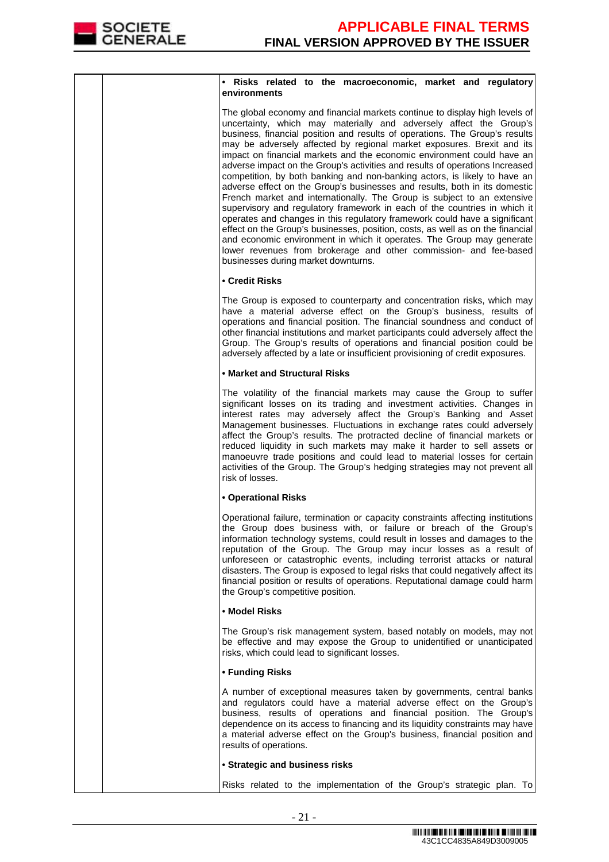

|  | . Risks related to the macroeconomic, market and regulatory<br>environments                                                                                                                                                                                                                                                                                                                                                                                                                                                                                                                                                                                                                                                                                                                                                                                                                                                                                                                                                                                                                                                                  |
|--|----------------------------------------------------------------------------------------------------------------------------------------------------------------------------------------------------------------------------------------------------------------------------------------------------------------------------------------------------------------------------------------------------------------------------------------------------------------------------------------------------------------------------------------------------------------------------------------------------------------------------------------------------------------------------------------------------------------------------------------------------------------------------------------------------------------------------------------------------------------------------------------------------------------------------------------------------------------------------------------------------------------------------------------------------------------------------------------------------------------------------------------------|
|  | The global economy and financial markets continue to display high levels of<br>uncertainty, which may materially and adversely affect the Group's<br>business, financial position and results of operations. The Group's results<br>may be adversely affected by regional market exposures. Brexit and its<br>impact on financial markets and the economic environment could have an<br>adverse impact on the Group's activities and results of operations Increased<br>competition, by both banking and non-banking actors, is likely to have an<br>adverse effect on the Group's businesses and results, both in its domestic<br>French market and internationally. The Group is subject to an extensive<br>supervisory and regulatory framework in each of the countries in which it<br>operates and changes in this regulatory framework could have a significant<br>effect on the Group's businesses, position, costs, as well as on the financial<br>and economic environment in which it operates. The Group may generate<br>lower revenues from brokerage and other commission- and fee-based<br>businesses during market downturns. |
|  | • Credit Risks                                                                                                                                                                                                                                                                                                                                                                                                                                                                                                                                                                                                                                                                                                                                                                                                                                                                                                                                                                                                                                                                                                                               |
|  | The Group is exposed to counterparty and concentration risks, which may<br>have a material adverse effect on the Group's business, results of<br>operations and financial position. The financial soundness and conduct of<br>other financial institutions and market participants could adversely affect the<br>Group. The Group's results of operations and financial position could be<br>adversely affected by a late or insufficient provisioning of credit exposures.                                                                                                                                                                                                                                                                                                                                                                                                                                                                                                                                                                                                                                                                  |
|  | • Market and Structural Risks                                                                                                                                                                                                                                                                                                                                                                                                                                                                                                                                                                                                                                                                                                                                                                                                                                                                                                                                                                                                                                                                                                                |
|  | The volatility of the financial markets may cause the Group to suffer<br>significant losses on its trading and investment activities. Changes in<br>interest rates may adversely affect the Group's Banking and Asset<br>Management businesses. Fluctuations in exchange rates could adversely<br>affect the Group's results. The protracted decline of financial markets or<br>reduced liquidity in such markets may make it harder to sell assets or<br>manoeuvre trade positions and could lead to material losses for certain<br>activities of the Group. The Group's hedging strategies may not prevent all<br>risk of losses.                                                                                                                                                                                                                                                                                                                                                                                                                                                                                                          |
|  | • Operational Risks                                                                                                                                                                                                                                                                                                                                                                                                                                                                                                                                                                                                                                                                                                                                                                                                                                                                                                                                                                                                                                                                                                                          |
|  | Operational failure, termination or capacity constraints affecting institutions<br>the Group does business with, or failure or breach of the Group's<br>information technology systems, could result in losses and damages to the<br>reputation of the Group. The Group may incur losses as a result of<br>unforeseen or catastrophic events, including terrorist attacks or natural<br>disasters. The Group is exposed to legal risks that could negatively affect its<br>financial position or results of operations. Reputational damage could harm<br>the Group's competitive position.                                                                                                                                                                                                                                                                                                                                                                                                                                                                                                                                                  |
|  | • Model Risks                                                                                                                                                                                                                                                                                                                                                                                                                                                                                                                                                                                                                                                                                                                                                                                                                                                                                                                                                                                                                                                                                                                                |
|  | The Group's risk management system, based notably on models, may not<br>be effective and may expose the Group to unidentified or unanticipated<br>risks, which could lead to significant losses.                                                                                                                                                                                                                                                                                                                                                                                                                                                                                                                                                                                                                                                                                                                                                                                                                                                                                                                                             |
|  | • Funding Risks                                                                                                                                                                                                                                                                                                                                                                                                                                                                                                                                                                                                                                                                                                                                                                                                                                                                                                                                                                                                                                                                                                                              |
|  | A number of exceptional measures taken by governments, central banks<br>and regulators could have a material adverse effect on the Group's<br>business, results of operations and financial position. The Group's<br>dependence on its access to financing and its liquidity constraints may have<br>a material adverse effect on the Group's business, financial position and<br>results of operations.                                                                                                                                                                                                                                                                                                                                                                                                                                                                                                                                                                                                                                                                                                                                     |
|  | • Strategic and business risks                                                                                                                                                                                                                                                                                                                                                                                                                                                                                                                                                                                                                                                                                                                                                                                                                                                                                                                                                                                                                                                                                                               |
|  | Risks related to the implementation of the Group's strategic plan. To                                                                                                                                                                                                                                                                                                                                                                                                                                                                                                                                                                                                                                                                                                                                                                                                                                                                                                                                                                                                                                                                        |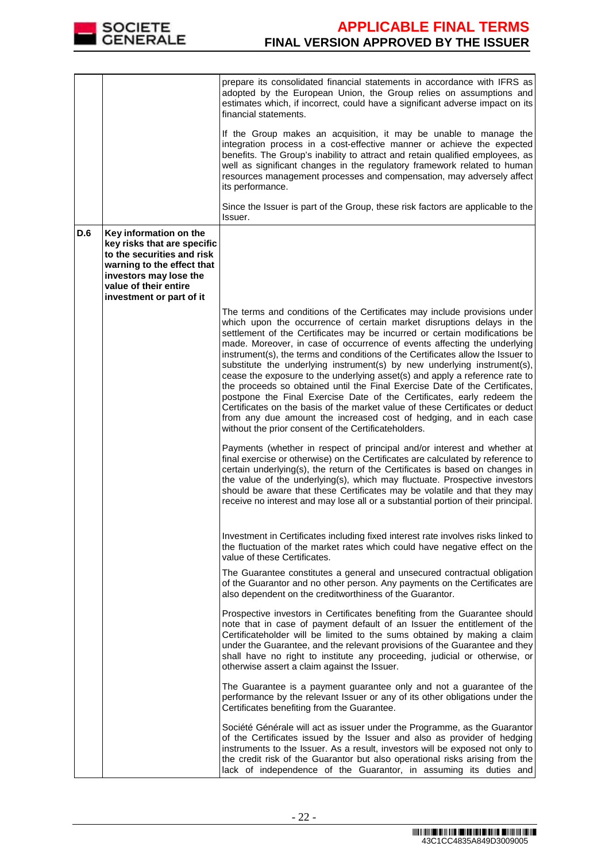

|            |                                                                                                                                                                                                  | prepare its consolidated financial statements in accordance with IFRS as<br>adopted by the European Union, the Group relies on assumptions and<br>estimates which, if incorrect, could have a significant adverse impact on its<br>financial statements.                                                                                                                                                                                                                                                                                                                                                                                                                                                                                                                                                                                                                                                                            |
|------------|--------------------------------------------------------------------------------------------------------------------------------------------------------------------------------------------------|-------------------------------------------------------------------------------------------------------------------------------------------------------------------------------------------------------------------------------------------------------------------------------------------------------------------------------------------------------------------------------------------------------------------------------------------------------------------------------------------------------------------------------------------------------------------------------------------------------------------------------------------------------------------------------------------------------------------------------------------------------------------------------------------------------------------------------------------------------------------------------------------------------------------------------------|
|            |                                                                                                                                                                                                  | If the Group makes an acquisition, it may be unable to manage the<br>integration process in a cost-effective manner or achieve the expected<br>benefits. The Group's inability to attract and retain qualified employees, as<br>well as significant changes in the regulatory framework related to human<br>resources management processes and compensation, may adversely affect<br>its performance.                                                                                                                                                                                                                                                                                                                                                                                                                                                                                                                               |
|            |                                                                                                                                                                                                  | Since the Issuer is part of the Group, these risk factors are applicable to the<br>Issuer.                                                                                                                                                                                                                                                                                                                                                                                                                                                                                                                                                                                                                                                                                                                                                                                                                                          |
| <b>D.6</b> | Key information on the<br>key risks that are specific<br>to the securities and risk<br>warning to the effect that<br>investors may lose the<br>value of their entire<br>investment or part of it |                                                                                                                                                                                                                                                                                                                                                                                                                                                                                                                                                                                                                                                                                                                                                                                                                                                                                                                                     |
|            |                                                                                                                                                                                                  | The terms and conditions of the Certificates may include provisions under<br>which upon the occurrence of certain market disruptions delays in the<br>settlement of the Certificates may be incurred or certain modifications be<br>made. Moreover, in case of occurrence of events affecting the underlying<br>instrument(s), the terms and conditions of the Certificates allow the Issuer to<br>substitute the underlying instrument(s) by new underlying instrument(s),<br>cease the exposure to the underlying asset(s) and apply a reference rate to<br>the proceeds so obtained until the Final Exercise Date of the Certificates,<br>postpone the Final Exercise Date of the Certificates, early redeem the<br>Certificates on the basis of the market value of these Certificates or deduct<br>from any due amount the increased cost of hedging, and in each case<br>without the prior consent of the Certificateholders. |
|            |                                                                                                                                                                                                  | Payments (whether in respect of principal and/or interest and whether at<br>final exercise or otherwise) on the Certificates are calculated by reference to<br>certain underlying(s), the return of the Certificates is based on changes in<br>the value of the underlying(s), which may fluctuate. Prospective investors<br>should be aware that these Certificates may be volatile and that they may<br>receive no interest and may lose all or a substantial portion of their principal.                                                                                                                                                                                                                                                                                                                                                                                                                                         |
|            |                                                                                                                                                                                                  | Investment in Certificates including fixed interest rate involves risks linked to<br>the fluctuation of the market rates which could have negative effect on the<br>value of these Certificates.                                                                                                                                                                                                                                                                                                                                                                                                                                                                                                                                                                                                                                                                                                                                    |
|            |                                                                                                                                                                                                  | The Guarantee constitutes a general and unsecured contractual obligation<br>of the Guarantor and no other person. Any payments on the Certificates are<br>also dependent on the creditworthiness of the Guarantor.                                                                                                                                                                                                                                                                                                                                                                                                                                                                                                                                                                                                                                                                                                                  |
|            |                                                                                                                                                                                                  | Prospective investors in Certificates benefiting from the Guarantee should<br>note that in case of payment default of an Issuer the entitlement of the<br>Certificateholder will be limited to the sums obtained by making a claim<br>under the Guarantee, and the relevant provisions of the Guarantee and they<br>shall have no right to institute any proceeding, judicial or otherwise, or<br>otherwise assert a claim against the Issuer.                                                                                                                                                                                                                                                                                                                                                                                                                                                                                      |
|            |                                                                                                                                                                                                  | The Guarantee is a payment guarantee only and not a guarantee of the<br>performance by the relevant Issuer or any of its other obligations under the<br>Certificates benefiting from the Guarantee.                                                                                                                                                                                                                                                                                                                                                                                                                                                                                                                                                                                                                                                                                                                                 |
|            |                                                                                                                                                                                                  | Société Générale will act as issuer under the Programme, as the Guarantor<br>of the Certificates issued by the Issuer and also as provider of hedging<br>instruments to the Issuer. As a result, investors will be exposed not only to<br>the credit risk of the Guarantor but also operational risks arising from the<br>lack of independence of the Guarantor, in assuming its duties and                                                                                                                                                                                                                                                                                                                                                                                                                                                                                                                                         |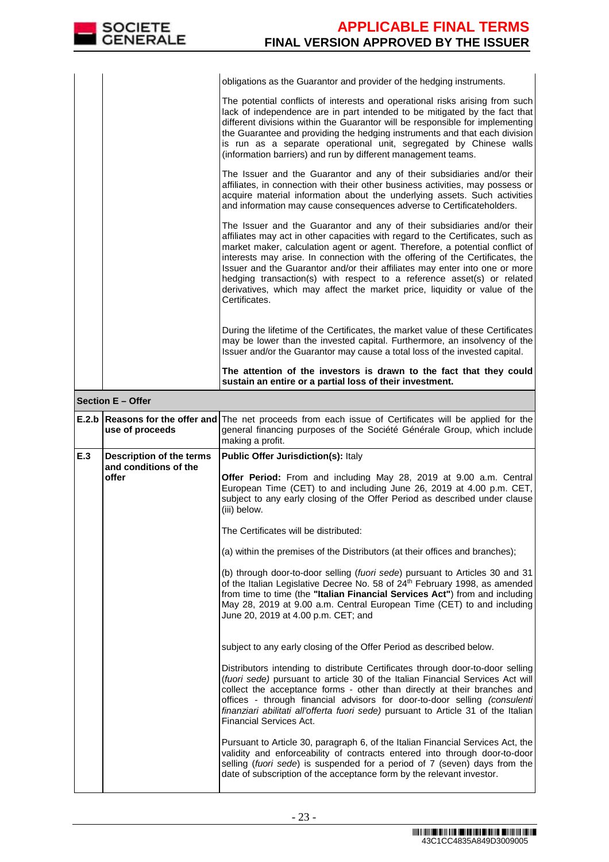|     | <b>SOCIETE</b><br><b>GENERALE</b> | <b>APPLICABLE FINAL TERMS</b><br><b>FINAL VERSION APPROVED BY THE ISSUER</b>                                                                                                                                                                                                                                                                                                                                                                                                                                                                                                       |
|-----|-----------------------------------|------------------------------------------------------------------------------------------------------------------------------------------------------------------------------------------------------------------------------------------------------------------------------------------------------------------------------------------------------------------------------------------------------------------------------------------------------------------------------------------------------------------------------------------------------------------------------------|
|     |                                   |                                                                                                                                                                                                                                                                                                                                                                                                                                                                                                                                                                                    |
|     |                                   | obligations as the Guarantor and provider of the hedging instruments.                                                                                                                                                                                                                                                                                                                                                                                                                                                                                                              |
|     |                                   | The potential conflicts of interests and operational risks arising from such<br>lack of independence are in part intended to be mitigated by the fact that<br>different divisions within the Guarantor will be responsible for implementing<br>the Guarantee and providing the hedging instruments and that each division<br>is run as a separate operational unit, segregated by Chinese walls<br>(information barriers) and run by different management teams.                                                                                                                   |
|     |                                   | The Issuer and the Guarantor and any of their subsidiaries and/or their<br>affiliates, in connection with their other business activities, may possess or<br>acquire material information about the underlying assets. Such activities<br>and information may cause consequences adverse to Certificateholders.                                                                                                                                                                                                                                                                    |
|     |                                   | The Issuer and the Guarantor and any of their subsidiaries and/or their<br>affiliates may act in other capacities with regard to the Certificates, such as<br>market maker, calculation agent or agent. Therefore, a potential conflict of<br>interests may arise. In connection with the offering of the Certificates, the<br>Issuer and the Guarantor and/or their affiliates may enter into one or more<br>hedging transaction(s) with respect to a reference asset(s) or related<br>derivatives, which may affect the market price, liquidity or value of the<br>Certificates. |
|     |                                   | During the lifetime of the Certificates, the market value of these Certificates<br>may be lower than the invested capital. Furthermore, an insolvency of the<br>Issuer and/or the Guarantor may cause a total loss of the invested capital.                                                                                                                                                                                                                                                                                                                                        |
|     |                                   | The attention of the investors is drawn to the fact that they could<br>sustain an entire or a partial loss of their investment.                                                                                                                                                                                                                                                                                                                                                                                                                                                    |
|     | Section E - Offer                 |                                                                                                                                                                                                                                                                                                                                                                                                                                                                                                                                                                                    |
|     | use of proceeds                   | <b>E.2.b Reasons for the offer and The net proceeds from each issue of Certificates will be applied for the</b><br>general financing purposes of the Société Générale Group, which include<br>making a profit.                                                                                                                                                                                                                                                                                                                                                                     |
| E.3 | Description of the terms          | Public Offer Jurisdiction(s): Italy                                                                                                                                                                                                                                                                                                                                                                                                                                                                                                                                                |
|     | and conditions of the<br>otter    | Offer Period: From and including May 28, 2019 at 9.00 a.m. Central<br>European Time (CET) to and including June 26, 2019 at 4.00 p.m. CET,<br>subject to any early closing of the Offer Period as described under clause<br>(iii) below.                                                                                                                                                                                                                                                                                                                                           |
|     |                                   | The Certificates will be distributed:                                                                                                                                                                                                                                                                                                                                                                                                                                                                                                                                              |
|     |                                   | (a) within the premises of the Distributors (at their offices and branches);                                                                                                                                                                                                                                                                                                                                                                                                                                                                                                       |
|     |                                   | (b) through door-to-door selling (fuori sede) pursuant to Articles 30 and 31<br>of the Italian Legislative Decree No. 58 of 24 <sup>th</sup> February 1998, as amended<br>from time to time (the "Italian Financial Services Act") from and including<br>May 28, 2019 at 9.00 a.m. Central European Time (CET) to and including<br>June 20, 2019 at 4.00 p.m. CET; and                                                                                                                                                                                                             |
|     |                                   | subject to any early closing of the Offer Period as described below.                                                                                                                                                                                                                                                                                                                                                                                                                                                                                                               |
|     |                                   | Distributors intending to distribute Certificates through door-to-door selling<br>(fuori sede) pursuant to article 30 of the Italian Financial Services Act will<br>collect the acceptance forms - other than directly at their branches and<br>offices - through financial advisors for door-to-door selling (consulenti                                                                                                                                                                                                                                                          |
|     |                                   | finanziari abilitati all'offerta fuori sede) pursuant to Article 31 of the Italian<br>Financial Services Act.                                                                                                                                                                                                                                                                                                                                                                                                                                                                      |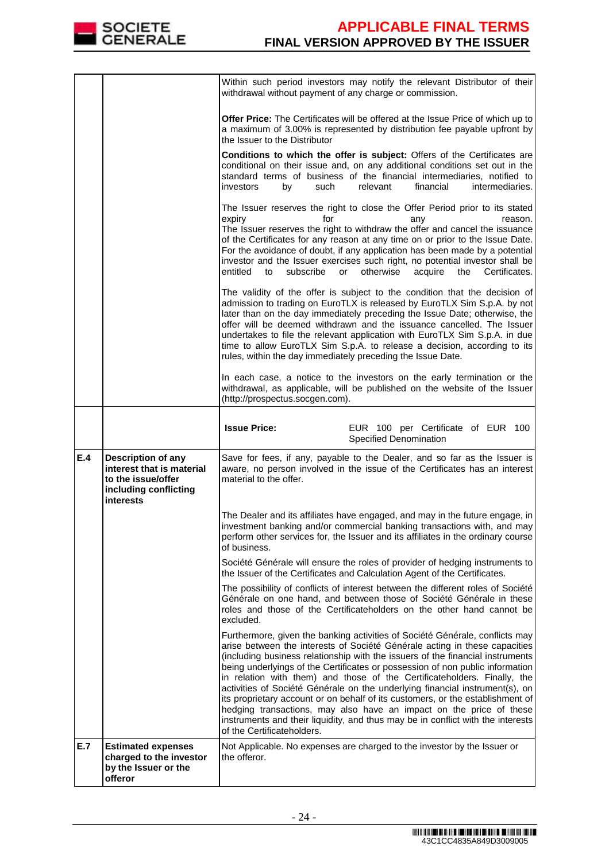

|     |                                                                                                                    | Within such period investors may notify the relevant Distributor of their<br>withdrawal without payment of any charge or commission.                                                                                                                                                                                                                                                                                                                                                                                                                                                                                                                                                                                                                                |
|-----|--------------------------------------------------------------------------------------------------------------------|---------------------------------------------------------------------------------------------------------------------------------------------------------------------------------------------------------------------------------------------------------------------------------------------------------------------------------------------------------------------------------------------------------------------------------------------------------------------------------------------------------------------------------------------------------------------------------------------------------------------------------------------------------------------------------------------------------------------------------------------------------------------|
|     |                                                                                                                    | Offer Price: The Certificates will be offered at the Issue Price of which up to<br>a maximum of 3.00% is represented by distribution fee payable upfront by<br>the Issuer to the Distributor                                                                                                                                                                                                                                                                                                                                                                                                                                                                                                                                                                        |
|     |                                                                                                                    | Conditions to which the offer is subject: Offers of the Certificates are<br>conditional on their issue and, on any additional conditions set out in the<br>standard terms of business of the financial intermediaries, notified to<br>relevant<br>financial<br>intermediaries.<br>investors<br>by<br>such                                                                                                                                                                                                                                                                                                                                                                                                                                                           |
|     |                                                                                                                    | The Issuer reserves the right to close the Offer Period prior to its stated<br>for<br>reason.<br>expiry<br>any<br>The Issuer reserves the right to withdraw the offer and cancel the issuance<br>of the Certificates for any reason at any time on or prior to the Issue Date.<br>For the avoidance of doubt, if any application has been made by a potential<br>investor and the Issuer exercises such right, no potential investor shall be<br>entitled<br>subscribe<br>otherwise<br>acquire<br>Certificates.<br>to<br>or<br>the                                                                                                                                                                                                                                  |
|     |                                                                                                                    | The validity of the offer is subject to the condition that the decision of<br>admission to trading on EuroTLX is released by EuroTLX Sim S.p.A. by not<br>later than on the day immediately preceding the Issue Date; otherwise, the<br>offer will be deemed withdrawn and the issuance cancelled. The Issuer<br>undertakes to file the relevant application with EuroTLX Sim S.p.A. in due<br>time to allow EuroTLX Sim S.p.A. to release a decision, according to its<br>rules, within the day immediately preceding the Issue Date.                                                                                                                                                                                                                              |
|     |                                                                                                                    | In each case, a notice to the investors on the early termination or the<br>withdrawal, as applicable, will be published on the website of the Issuer<br>(http://prospectus.socgen.com).                                                                                                                                                                                                                                                                                                                                                                                                                                                                                                                                                                             |
|     |                                                                                                                    | <b>Issue Price:</b><br>EUR 100 per Certificate of EUR 100<br>Specified Denomination                                                                                                                                                                                                                                                                                                                                                                                                                                                                                                                                                                                                                                                                                 |
| E.4 | <b>Description of any</b><br>interest that is material<br>to the issue/offer<br>including conflicting<br>interests | Save for fees, if any, payable to the Dealer, and so far as the Issuer is<br>aware, no person involved in the issue of the Certificates has an interest<br>material to the offer.                                                                                                                                                                                                                                                                                                                                                                                                                                                                                                                                                                                   |
|     |                                                                                                                    | The Dealer and its affiliates have engaged, and may in the future engage, in<br>investment banking and/or commercial banking transactions with, and may<br>perform other services for, the Issuer and its affiliates in the ordinary course<br>of business.                                                                                                                                                                                                                                                                                                                                                                                                                                                                                                         |
|     |                                                                                                                    | Société Générale will ensure the roles of provider of hedging instruments to<br>the Issuer of the Certificates and Calculation Agent of the Certificates.                                                                                                                                                                                                                                                                                                                                                                                                                                                                                                                                                                                                           |
|     |                                                                                                                    | The possibility of conflicts of interest between the different roles of Société<br>Générale on one hand, and between those of Société Générale in these<br>roles and those of the Certificateholders on the other hand cannot be<br>excluded.                                                                                                                                                                                                                                                                                                                                                                                                                                                                                                                       |
|     |                                                                                                                    | Furthermore, given the banking activities of Société Générale, conflicts may<br>arise between the interests of Société Générale acting in these capacities<br>(including business relationship with the issuers of the financial instruments<br>being underlyings of the Certificates or possession of non public information<br>in relation with them) and those of the Certificateholders. Finally, the<br>activities of Société Générale on the underlying financial instrument(s), on<br>its proprietary account or on behalf of its customers, or the establishment of<br>hedging transactions, may also have an impact on the price of these<br>instruments and their liquidity, and thus may be in conflict with the interests<br>of the Certificateholders. |
| E.7 | <b>Estimated expenses</b><br>charged to the investor<br>by the Issuer or the<br>offeror                            | Not Applicable. No expenses are charged to the investor by the Issuer or<br>the offeror.                                                                                                                                                                                                                                                                                                                                                                                                                                                                                                                                                                                                                                                                            |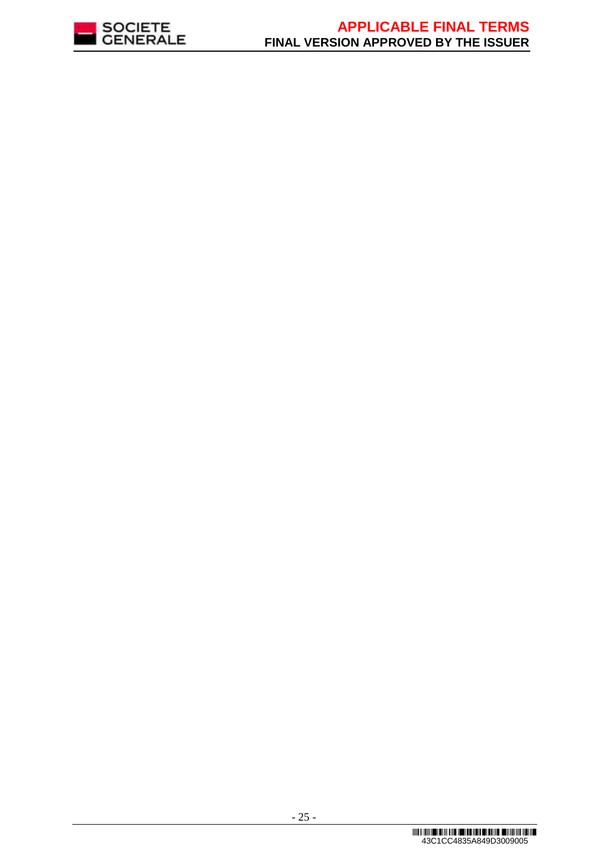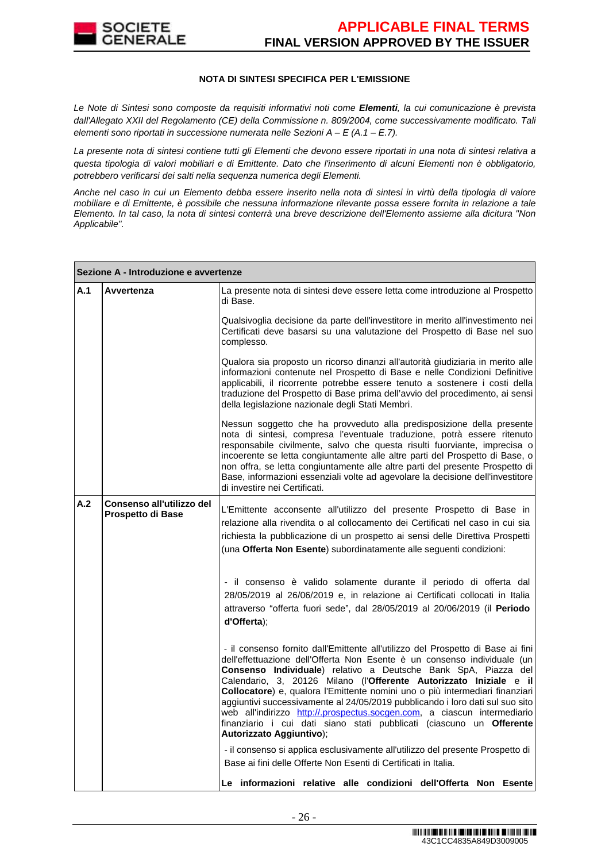

### **NOTA DI SINTESI SPECIFICA PER L'EMISSIONE**

Le Note di Sintesi sono composte da requisiti informativi noti come **Elementi**, la cui comunicazione è prevista dall'Allegato XXII del Regolamento (CE) della Commissione n. 809/2004, come successivamente modificato. Tali elementi sono riportati in successione numerata nelle Sezioni  $A - E(A.1 - E.7)$ .

La presente nota di sintesi contiene tutti gli Elementi che devono essere riportati in una nota di sintesi relativa a questa tipologia di valori mobiliari e di Emittente. Dato che l'inserimento di alcuni Elementi non è obbligatorio, potrebbero verificarsi dei salti nella sequenza numerica degli Elementi.

Anche nel caso in cui un Elemento debba essere inserito nella nota di sintesi in virtù della tipologia di valore mobiliare e di Emittente, è possibile che nessuna informazione rilevante possa essere fornita in relazione a tale Elemento. In tal caso, la nota di sintesi conterrà una breve descrizione dell'Elemento assieme alla dicitura "Non Applicabile".

|     | Sezione A - Introduzione e avvertenze          |                                                                                                                                                                                                                                                                                                                                                                                                                                                                                                                                                                                                                                                      |  |
|-----|------------------------------------------------|------------------------------------------------------------------------------------------------------------------------------------------------------------------------------------------------------------------------------------------------------------------------------------------------------------------------------------------------------------------------------------------------------------------------------------------------------------------------------------------------------------------------------------------------------------------------------------------------------------------------------------------------------|--|
| A.1 | Avvertenza                                     | La presente nota di sintesi deve essere letta come introduzione al Prospetto<br>di Base.                                                                                                                                                                                                                                                                                                                                                                                                                                                                                                                                                             |  |
|     |                                                | Qualsivoglia decisione da parte dell'investitore in merito all'investimento nei<br>Certificati deve basarsi su una valutazione del Prospetto di Base nel suo<br>complesso.                                                                                                                                                                                                                                                                                                                                                                                                                                                                           |  |
|     |                                                | Qualora sia proposto un ricorso dinanzi all'autorità giudiziaria in merito alle<br>informazioni contenute nel Prospetto di Base e nelle Condizioni Definitive<br>applicabili, il ricorrente potrebbe essere tenuto a sostenere i costi della<br>traduzione del Prospetto di Base prima dell'avvio del procedimento, ai sensi<br>della legislazione nazionale degli Stati Membri.                                                                                                                                                                                                                                                                     |  |
|     |                                                | Nessun soggetto che ha provveduto alla predisposizione della presente<br>nota di sintesi, compresa l'eventuale traduzione, potrà essere ritenuto<br>responsabile civilmente, salvo che questa risulti fuorviante, imprecisa o<br>incoerente se letta congiuntamente alle altre parti del Prospetto di Base, o<br>non offra, se letta congiuntamente alle altre parti del presente Prospetto di<br>Base, informazioni essenziali volte ad agevolare la decisione dell'investitore<br>di investire nei Certificati.                                                                                                                                    |  |
| A.2 | Consenso all'utilizzo del<br>Prospetto di Base | L'Emittente acconsente all'utilizzo del presente Prospetto di Base in<br>relazione alla rivendita o al collocamento dei Certificati nel caso in cui sia<br>richiesta la pubblicazione di un prospetto ai sensi delle Direttiva Prospetti<br>(una Offerta Non Esente) subordinatamente alle seguenti condizioni:                                                                                                                                                                                                                                                                                                                                      |  |
|     |                                                | - il consenso è valido solamente durante il periodo di offerta dal<br>28/05/2019 al 26/06/2019 e, in relazione ai Certificati collocati in Italia<br>attraverso "offerta fuori sede", dal 28/05/2019 al 20/06/2019 (il Periodo<br>d'Offerta);                                                                                                                                                                                                                                                                                                                                                                                                        |  |
|     |                                                | - il consenso fornito dall'Emittente all'utilizzo del Prospetto di Base ai fini<br>dell'effettuazione dell'Offerta Non Esente è un consenso individuale (un<br>Consenso Individuale) relativo a Deutsche Bank SpA, Piazza del<br>Calendario, 3, 20126 Milano (l'Offerente Autorizzato Iniziale e il<br>Collocatore) e, qualora l'Emittente nomini uno o più intermediari finanziari<br>aggiuntivi successivamente al 24/05/2019 pubblicando i loro dati sul suo sito<br>web all'indirizzo http://.prospectus.socgen.com, a ciascun intermediario<br>finanziario i cui dati siano stati pubblicati (ciascuno un Offerente<br>Autorizzato Aggiuntivo); |  |
|     |                                                | - il consenso si applica esclusivamente all'utilizzo del presente Prospetto di<br>Base ai fini delle Offerte Non Esenti di Certificati in Italia.                                                                                                                                                                                                                                                                                                                                                                                                                                                                                                    |  |
|     |                                                | Le informazioni relative alle condizioni dell'Offerta Non Esente                                                                                                                                                                                                                                                                                                                                                                                                                                                                                                                                                                                     |  |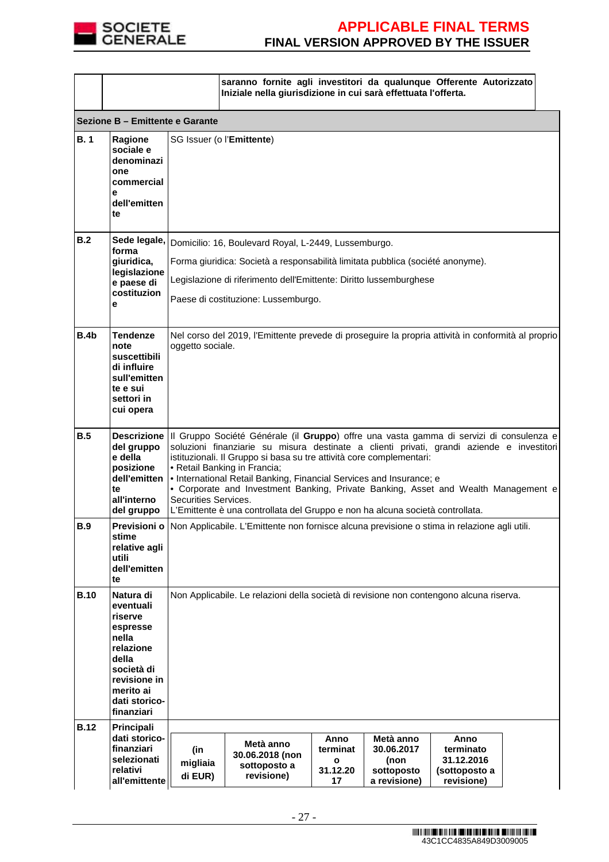

|             |                                                                                                                                                        | saranno fornite agli investitori da qualunque Offerente Autorizzato<br>Iniziale nella giurisdizione in cui sarà effettuata l'offerta.                                                                                                                                                                                                                                                                                                                                                                                                                                |  |  |
|-------------|--------------------------------------------------------------------------------------------------------------------------------------------------------|----------------------------------------------------------------------------------------------------------------------------------------------------------------------------------------------------------------------------------------------------------------------------------------------------------------------------------------------------------------------------------------------------------------------------------------------------------------------------------------------------------------------------------------------------------------------|--|--|
|             | Sezione B - Emittente e Garante                                                                                                                        |                                                                                                                                                                                                                                                                                                                                                                                                                                                                                                                                                                      |  |  |
| B.1         | Ragione<br>sociale e<br>denominazi<br>one<br>commercial<br>е<br>dell'emitten<br>te                                                                     | SG Issuer (o l'Emittente)                                                                                                                                                                                                                                                                                                                                                                                                                                                                                                                                            |  |  |
| B.2         | forma<br>giuridica,<br>legislazione<br>e paese di<br>costituzion<br>е                                                                                  | Sede legale, Domicilio: 16, Boulevard Royal, L-2449, Lussemburgo.<br>Forma giuridica: Società a responsabilità limitata pubblica (société anonyme).<br>Legislazione di riferimento dell'Emittente: Diritto lussemburghese<br>Paese di costituzione: Lussemburgo.                                                                                                                                                                                                                                                                                                     |  |  |
| B.4b        | <b>Tendenze</b><br>note<br>suscettibili<br>di influire<br>sull'emitten<br>te e sui<br>settori in<br>cui opera                                          | Nel corso del 2019, l'Emittente prevede di proseguire la propria attività in conformità al proprio<br>oggetto sociale.                                                                                                                                                                                                                                                                                                                                                                                                                                               |  |  |
| B.5         | <b>Descrizione</b><br>del gruppo<br>e della<br>posizione<br>dell'emitten<br>te<br>all'interno<br>del gruppo                                            | III Gruppo Société Générale (il Gruppo) offre una vasta gamma di servizi di consulenza e<br>soluzioni finanziarie su misura destinate a clienti privati, grandi aziende e investitori<br>istituzionali. Il Gruppo si basa su tre attività core complementari:<br>• Retail Banking in Francia;<br>Io International Retail Banking, Financial Services and Insurance; e<br>• Corporate and Investment Banking, Private Banking, Asset and Wealth Management e<br>Securities Services.<br>L'Emittente è una controllata del Gruppo e non ha alcuna società controllata. |  |  |
| <b>B.9</b>  | stime<br>relative agli<br>utili<br>dell'emitten<br>te                                                                                                  | Previsioni o Non Applicabile. L'Emittente non fornisce alcuna previsione o stima in relazione agli utili.                                                                                                                                                                                                                                                                                                                                                                                                                                                            |  |  |
| <b>B.10</b> | Natura di<br>eventuali<br>riserve<br>espresse<br>nella<br>relazione<br>della<br>società di<br>revisione in<br>merito ai<br>dati storico-<br>finanziari | Non Applicabile. Le relazioni della società di revisione non contengono alcuna riserva.                                                                                                                                                                                                                                                                                                                                                                                                                                                                              |  |  |
| <b>B.12</b> | Principali<br>dati storico-<br>finanziari<br>selezionati<br>relativi<br>all'emittente                                                                  | Anno<br>Metà anno<br>Anno<br>Metà anno<br>30.06.2017<br>terminato<br>terminat<br>(in<br>30.06.2018 (non<br>31.12.2016<br>(non<br>o<br>migliaia<br>sottoposto a<br>31.12.20<br>sottoposto<br>(sottoposto a<br>revisione)<br>di EUR)<br>a revisione)<br>revisione)<br>17                                                                                                                                                                                                                                                                                               |  |  |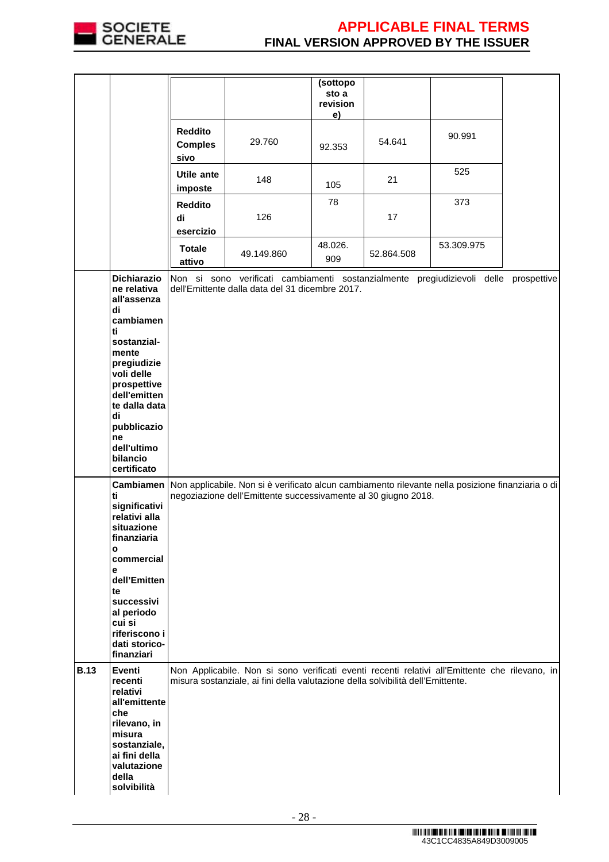

|             |                                                                                                                                                         |                                          |                                                                                                                                                                                   | (sottopo<br>sto a |            |            |  |
|-------------|---------------------------------------------------------------------------------------------------------------------------------------------------------|------------------------------------------|-----------------------------------------------------------------------------------------------------------------------------------------------------------------------------------|-------------------|------------|------------|--|
|             |                                                                                                                                                         |                                          |                                                                                                                                                                                   | revision<br>e)    |            |            |  |
|             |                                                                                                                                                         | <b>Reddito</b><br><b>Comples</b><br>sivo | 29.760                                                                                                                                                                            | 92.353            | 54.641     | 90.991     |  |
|             |                                                                                                                                                         | Utile ante<br>imposte                    | 148                                                                                                                                                                               | 105               | 21         | 525        |  |
|             |                                                                                                                                                         | <b>Reddito</b><br>di<br>esercizio        | 126                                                                                                                                                                               | 78                | 17         | 373        |  |
|             |                                                                                                                                                         | <b>Totale</b><br>attivo                  | 49.149.860                                                                                                                                                                        | 48.026.<br>909    | 52.864.508 | 53.309.975 |  |
|             | <b>Dichiarazio</b><br>ne relativa<br>all'assenza                                                                                                        |                                          | Non si sono verificati cambiamenti sostanzialmente pregiudizievoli delle prospettive<br>dell'Emittente dalla data del 31 dicembre 2017.                                           |                   |            |            |  |
|             | di<br>cambiamen<br>ti                                                                                                                                   |                                          |                                                                                                                                                                                   |                   |            |            |  |
|             | sostanzial-<br>mente<br>pregiudizie                                                                                                                     |                                          |                                                                                                                                                                                   |                   |            |            |  |
|             | voli delle<br>prospettive<br>dell'emitten<br>te dalla data<br>di                                                                                        |                                          |                                                                                                                                                                                   |                   |            |            |  |
|             | pubblicazio<br>ne<br>dell'ultimo                                                                                                                        |                                          |                                                                                                                                                                                   |                   |            |            |  |
|             | bilancio<br>certificato                                                                                                                                 |                                          |                                                                                                                                                                                   |                   |            |            |  |
|             | Cambiamen<br>ti<br>significativi<br>relativi alla<br>situazione<br>finanziaria<br>ο<br>commercial                                                       |                                          | Non applicabile. Non si è verificato alcun cambiamento rilevante nella posizione finanziaria o di<br>negoziazione dell'Emittente successivamente al 30 giugno 2018.               |                   |            |            |  |
|             | е<br>dell'Emitten<br>te<br>successivi<br>al periodo<br>cui si<br>riferiscono i<br>dati storico-<br>finanziari                                           |                                          |                                                                                                                                                                                   |                   |            |            |  |
| <b>B.13</b> | Eventi<br>recenti<br>relativi<br>all'emittente<br>che<br>rilevano, in<br>misura<br>sostanziale,<br>ai fini della<br>valutazione<br>della<br>solvibilità |                                          | Non Applicabile. Non si sono verificati eventi recenti relativi all'Emittente che rilevano, in<br>misura sostanziale, ai fini della valutazione della solvibilità dell'Emittente. |                   |            |            |  |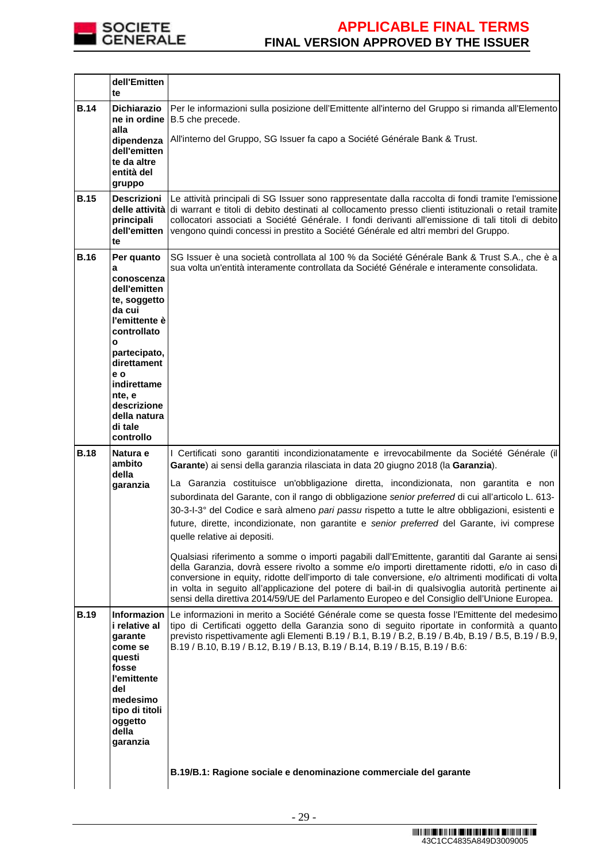

|             | dell'Emitten<br>te                                                                                                                                                                                                                 |                                                                                                                                                                                                                                                                                                                                                                                                                                                                                                                                                                                                                                                                                                                                                                                                                                                                                                                                                                                                                                                                                                                                    |
|-------------|------------------------------------------------------------------------------------------------------------------------------------------------------------------------------------------------------------------------------------|------------------------------------------------------------------------------------------------------------------------------------------------------------------------------------------------------------------------------------------------------------------------------------------------------------------------------------------------------------------------------------------------------------------------------------------------------------------------------------------------------------------------------------------------------------------------------------------------------------------------------------------------------------------------------------------------------------------------------------------------------------------------------------------------------------------------------------------------------------------------------------------------------------------------------------------------------------------------------------------------------------------------------------------------------------------------------------------------------------------------------------|
| <b>B.14</b> | <b>Dichiarazio</b><br>ne in ordine<br>alla                                                                                                                                                                                         | Per le informazioni sulla posizione dell'Emittente all'interno del Gruppo si rimanda all'Elemento<br>B.5 che precede.                                                                                                                                                                                                                                                                                                                                                                                                                                                                                                                                                                                                                                                                                                                                                                                                                                                                                                                                                                                                              |
|             | dipendenza<br>dell'emitten<br>te da altre<br>entità del<br>gruppo                                                                                                                                                                  | All'interno del Gruppo, SG Issuer fa capo a Société Générale Bank & Trust.                                                                                                                                                                                                                                                                                                                                                                                                                                                                                                                                                                                                                                                                                                                                                                                                                                                                                                                                                                                                                                                         |
| <b>B.15</b> | <b>Descrizioni</b><br>principali<br>dell'emitten<br>te                                                                                                                                                                             | Le attività principali di SG Issuer sono rappresentate dalla raccolta di fondi tramite l'emissione<br>delle attività di warrant e titoli di debito destinati al collocamento presso clienti istituzionali o retail tramite<br>collocatori associati a Société Générale. I fondi derivanti all'emissione di tali titoli di debito<br>vengono quindi concessi in prestito a Société Générale ed altri membri del Gruppo.                                                                                                                                                                                                                                                                                                                                                                                                                                                                                                                                                                                                                                                                                                             |
| <b>B.16</b> | Per quanto<br>a<br>conoscenza<br>dell'emitten<br>te, soggetto<br>da cui<br>l'emittente è<br>controllato<br>о<br>partecipato,<br>direttament<br>e o<br>indirettame<br>nte, e<br>descrizione<br>della natura<br>di tale<br>controllo | SG Issuer è una società controllata al 100 % da Société Générale Bank & Trust S.A., che è a<br>sua volta un'entità interamente controllata da Société Générale e interamente consolidata.                                                                                                                                                                                                                                                                                                                                                                                                                                                                                                                                                                                                                                                                                                                                                                                                                                                                                                                                          |
| <b>B.18</b> | Natura e<br>ambito<br>della<br>garanzia                                                                                                                                                                                            | I Certificati sono garantiti incondizionatamente e irrevocabilmente da Société Générale (il<br>Garante) ai sensi della garanzia rilasciata in data 20 giugno 2018 (la Garanzia).<br>La Garanzia costituisce un'obbligazione diretta, incondizionata, non garantita e non<br>subordinata del Garante, con il rango di obbligazione senior preferred di cui all'articolo L. 613-<br>30-3-l-3° del Codice e sarà almeno pari passu rispetto a tutte le altre obbligazioni, esistenti e<br>future, dirette, incondizionate, non garantite e senior preferred del Garante, ivi comprese<br>quelle relative ai depositi.<br>Qualsiasi riferimento a somme o importi pagabili dall'Emittente, garantiti dal Garante ai sensi<br>della Garanzia, dovrà essere rivolto a somme e/o importi direttamente ridotti, e/o in caso di<br>conversione in equity, ridotte dell'importo di tale conversione, e/o altrimenti modificati di volta<br>in volta in seguito all'applicazione del potere di bail-in di qualsivoglia autorità pertinente ai<br>sensi della direttiva 2014/59/UE del Parlamento Europeo e del Consiglio dell'Unione Europea. |
| <b>B.19</b> | <b>Informazion</b><br>i relative al<br>garante<br>come se<br>questi<br>fosse<br>l'emittente<br>del<br>medesimo<br>tipo di titoli<br>oggetto<br>della<br>garanzia                                                                   | Le informazioni in merito a Société Générale come se questa fosse l'Emittente del medesimo<br>tipo di Certificati oggetto della Garanzia sono di seguito riportate in conformità a quanto<br>previsto rispettivamente agli Elementi B.19 / B.1, B.19 / B.2, B.19 / B.4b, B.19 / B.5, B.19 / B.9,<br>B.19 / B.10, B.19 / B.12, B.19 / B.13, B.19 / B.14, B.19 / B.15, B.19 / B.6:<br>B.19/B.1: Ragione sociale e denominazione commerciale del garante                                                                                                                                                                                                                                                                                                                                                                                                                                                                                                                                                                                                                                                                              |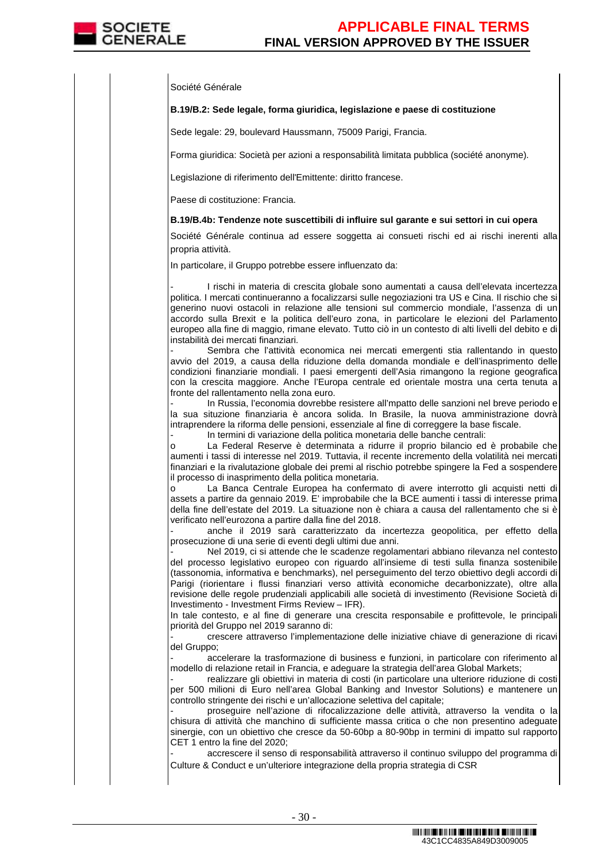Société Générale

### **B.19/B.2: Sede legale, forma giuridica, legislazione e paese di costituzione**

Sede legale: 29, boulevard Haussmann, 75009 Parigi, Francia.

Forma giuridica: Società per azioni a responsabilità limitata pubblica (société anonyme).

Legislazione di riferimento dell'Emittente: diritto francese.

Paese di costituzione: Francia.

#### **B.19/B.4b: Tendenze note suscettibili di influire sul garante e sui settori in cui opera**

Société Générale continua ad essere soggetta ai consueti rischi ed ai rischi inerenti alla propria attività.

In particolare, il Gruppo potrebbe essere influenzato da:

I rischi in materia di crescita globale sono aumentati a causa dell'elevata incertezza politica. I mercati continueranno a focalizzarsi sulle negoziazioni tra US e Cina. Il rischio che si generino nuovi ostacoli in relazione alle tensioni sul commercio mondiale, l'assenza di un accordo sulla Brexit e la politica dell'euro zona, in particolare le elezioni del Parlamento europeo alla fine di maggio, rimane elevato. Tutto ciò in un contesto di alti livelli del debito e di instabilità dei mercati finanziari.

Sembra che l'attività economica nei mercati emergenti stia rallentando in questo avvio del 2019, a causa della riduzione della domanda mondiale e dell'inasprimento delle condizioni finanziarie mondiali. I paesi emergenti dell'Asia rimangono la regione geografica con la crescita maggiore. Anche l'Europa centrale ed orientale mostra una certa tenuta a fronte del rallentamento nella zona euro.

In Russia, l'economia dovrebbe resistere all'mpatto delle sanzioni nel breve periodo e la sua situzione finanziaria è ancora solida. In Brasile, la nuova amministrazione dovrà intraprendere la riforma delle pensioni, essenziale al fine di correggere la base fiscale.

In termini di variazione della politica monetaria delle banche centrali:

o La Federal Reserve è determinata a ridurre il proprio bilancio ed è probabile che aumenti i tassi di interesse nel 2019. Tuttavia, il recente incremento della volatilità nei mercati finanziari e la rivalutazione globale dei premi al rischio potrebbe spingere la Fed a sospendere il processo di inasprimento della politica monetaria.

o La Banca Centrale Europea ha confermato di avere interrotto gli acquisti netti di assets a partire da gennaio 2019. E' improbabile che la BCE aumenti i tassi di interesse prima della fine dell'estate del 2019. La situazione non è chiara a causa del rallentamento che si è verificato nell'eurozona a partire dalla fine del 2018.

anche il 2019 sarà caratterizzato da incertezza geopolitica, per effetto della prosecuzione di una serie di eventi degli ultimi due anni.

Nel 2019, ci si attende che le scadenze regolamentari abbiano rilevanza nel contesto del processo legislativo europeo con riguardo all'insieme di testi sulla finanza sostenibile (tassonomia, informativa e benchmarks), nel perseguimento del terzo obiettivo degli accordi di Parigi (riorientare i flussi finanziari verso attività economiche decarbonizzate), oltre alla revisione delle regole prudenziali applicabili alle società di investimento (Revisione Società di Investimento - Investment Firms Review – IFR).

In tale contesto, e al fine di generare una crescita responsabile e profittevole, le principali priorità del Gruppo nel 2019 saranno di:

- crescere attraverso l'implementazione delle iniziative chiave di generazione di ricavi del Gruppo;

- accelerare la trasformazione di business e funzioni, in particolare con riferimento al modello di relazione retail in Francia, e adeguare la strategia dell'area Global Markets;

realizzare gli obiettivi in materia di costi (in particolare una ulteriore riduzione di costi per 500 milioni di Euro nell'area Global Banking and Investor Solutions) e mantenere un controllo stringente dei rischi e un'allocazione selettiva del capitale;

proseguire nell'azione di rifocalizzazione delle attività, attraverso la vendita o la chisura di attività che manchino di sufficiente massa critica o che non presentino adeguate sinergie, con un obiettivo che cresce da 50-60bp a 80-90bp in termini di impatto sul rapporto CET 1 entro la fine del 2020;

- accrescere il senso di responsabilità attraverso il continuo sviluppo del programma di Culture & Conduct e un'ulteriore integrazione della propria strategia di CSR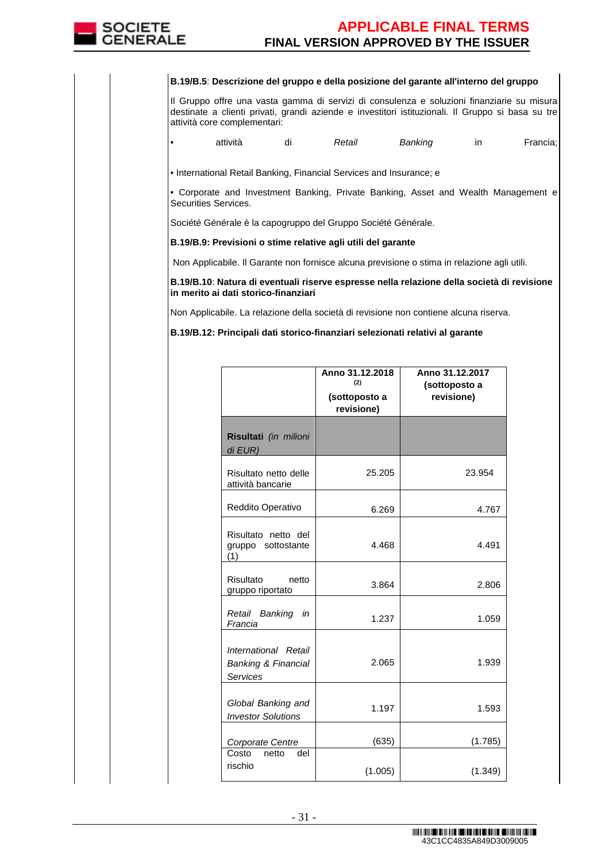

### **B.19/B.5**: **Descrizione del gruppo e della posizione del garante all'interno del gruppo**

Il Gruppo offre una vasta gamma di servizi di consulenza e soluzioni finanziarie su misura destinate a clienti privati, grandi aziende e investitori istituzionali. Il Gruppo si basa su tre attività core complementari:

• attività di Retail Banking in Francia;

• International Retail Banking, Financial Services and Insurance; e

• Corporate and Investment Banking, Private Banking, Asset and Wealth Management e Securities Services.

Société Générale è la capogruppo del Gruppo Société Générale.

**B.19/B.9: Previsioni o stime relative agli utili del garante** 

Non Applicabile. Il Garante non fornisce alcuna previsione o stima in relazione agli utili.

**B.19/B.10**: **Natura di eventuali riserve espresse nella relazione della società di revisione in merito ai dati storico-finanziari**

Non Applicabile. La relazione della società di revisione non contiene alcuna riserva.

**B.19/B.12: Principali dati storico-finanziari selezionati relativi al garante** 

|                                                                    | Anno 31.12.2018<br>(2)<br>(sottoposto a<br>revisione) | Anno 31.12.2017<br>(sottoposto a<br>revisione) |
|--------------------------------------------------------------------|-------------------------------------------------------|------------------------------------------------|
| Risultati (in milioni<br>di EUR)                                   |                                                       |                                                |
| Risultato netto delle<br>attività bancarie                         | 25.205                                                | 23.954                                         |
| Reddito Operativo                                                  | 6.269                                                 | 4.767                                          |
| Risultato netto del<br>gruppo sottostante<br>(1)                   | 4.468                                                 | 4.491                                          |
| Risultato<br>netto<br>gruppo riportato                             | 3.864                                                 | 2.806                                          |
| Retail Banking<br>in<br>Francia                                    | 1.237                                                 | 1.059                                          |
| International Retail<br><b>Banking &amp; Financial</b><br>Services | 2.065                                                 | 1.939                                          |
| Global Banking and<br><b>Investor Solutions</b>                    | 1.197                                                 | 1.593                                          |
| Corporate Centre                                                   | (635)                                                 | (1.785)                                        |
| Costo<br>netto<br>del<br>rischio                                   | (1.005)                                               | (1.349)                                        |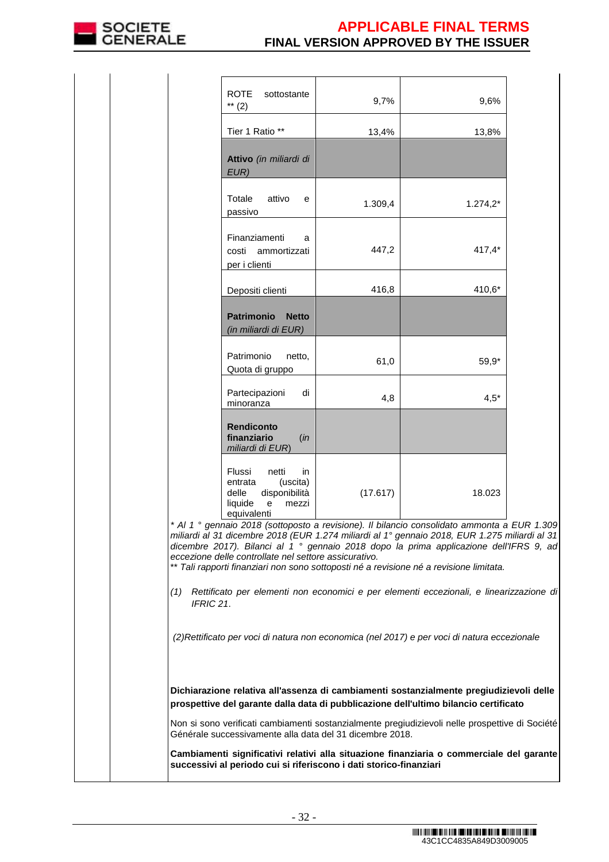

|                  | <b>ROTE</b><br>sottostante<br>** $(2)$                                                                         | 9,7%     | 9,6%                                                                                                                                                                                                                                                                                                                                                                                                                                                                                    |  |
|------------------|----------------------------------------------------------------------------------------------------------------|----------|-----------------------------------------------------------------------------------------------------------------------------------------------------------------------------------------------------------------------------------------------------------------------------------------------------------------------------------------------------------------------------------------------------------------------------------------------------------------------------------------|--|
|                  | Tier 1 Ratio **                                                                                                | 13,4%    | 13,8%                                                                                                                                                                                                                                                                                                                                                                                                                                                                                   |  |
|                  | Attivo (in miliardi di<br>EUR)                                                                                 |          |                                                                                                                                                                                                                                                                                                                                                                                                                                                                                         |  |
|                  | Totale<br>attivo<br>е<br>passivo                                                                               | 1.309,4  | $1.274,2*$                                                                                                                                                                                                                                                                                                                                                                                                                                                                              |  |
|                  | Finanziamenti<br>a<br>costi<br>ammortizzati<br>per i clienti                                                   | 447,2    | $417,4*$                                                                                                                                                                                                                                                                                                                                                                                                                                                                                |  |
|                  | Depositi clienti                                                                                               | 416,8    | 410,6*                                                                                                                                                                                                                                                                                                                                                                                                                                                                                  |  |
|                  | <b>Patrimonio</b><br><b>Netto</b><br>(in miliardi di EUR)                                                      |          |                                                                                                                                                                                                                                                                                                                                                                                                                                                                                         |  |
|                  | Patrimonio<br>netto,<br>Quota di gruppo                                                                        | 61,0     | 59,9*                                                                                                                                                                                                                                                                                                                                                                                                                                                                                   |  |
|                  | Partecipazioni<br>di<br>minoranza                                                                              | 4,8      | $4,5*$                                                                                                                                                                                                                                                                                                                                                                                                                                                                                  |  |
|                  | <b>Rendiconto</b><br>finanziario<br>(in<br>miliardi di EUR)                                                    |          |                                                                                                                                                                                                                                                                                                                                                                                                                                                                                         |  |
|                  | Flussi<br>netti<br>in<br>(uscita)<br>entrata<br>disponibilità<br>delle<br>liquide<br>е<br>mezzi<br>equivalenti | (17.617) | 18.023                                                                                                                                                                                                                                                                                                                                                                                                                                                                                  |  |
| (1)<br>IFRIC 21. | eccezione delle controllate nel settore assicurativo.                                                          |          | * Al 1 ° gennaio 2018 (sottoposto a revisione). Il bilancio consolidato ammonta a EUR 1.309<br>miliardi al 31 dicembre 2018 (EUR 1.274 miliardi al 1º gennaio 2018, EUR 1.275 miliardi al 31<br>dicembre 2017). Bilanci al 1 <sup>°</sup> gennaio 2018 dopo la prima applicazione dell'IFRS 9, ad<br>** Tali rapporti finanziari non sono sottoposti né a revisione né a revisione limitata.<br>Rettificato per elementi non economici e per elementi eccezionali, e linearizzazione di |  |
|                  |                                                                                                                |          | (2) Rettificato per voci di natura non economica (nel 2017) e per voci di natura eccezionale                                                                                                                                                                                                                                                                                                                                                                                            |  |
|                  |                                                                                                                |          | Dichiarazione relativa all'assenza di cambiamenti sostanzialmente pregiudizievoli delle<br>prospettive del garante dalla data di pubblicazione dell'ultimo bilancio certificato                                                                                                                                                                                                                                                                                                         |  |
|                  | Générale successivamente alla data del 31 dicembre 2018.                                                       |          | Non si sono verificati cambiamenti sostanzialmente pregiudizievoli nelle prospettive di Société                                                                                                                                                                                                                                                                                                                                                                                         |  |
|                  | successivi al periodo cui si riferiscono i dati storico-finanziari                                             |          | Cambiamenti significativi relativi alla situazione finanziaria o commerciale del garante                                                                                                                                                                                                                                                                                                                                                                                                |  |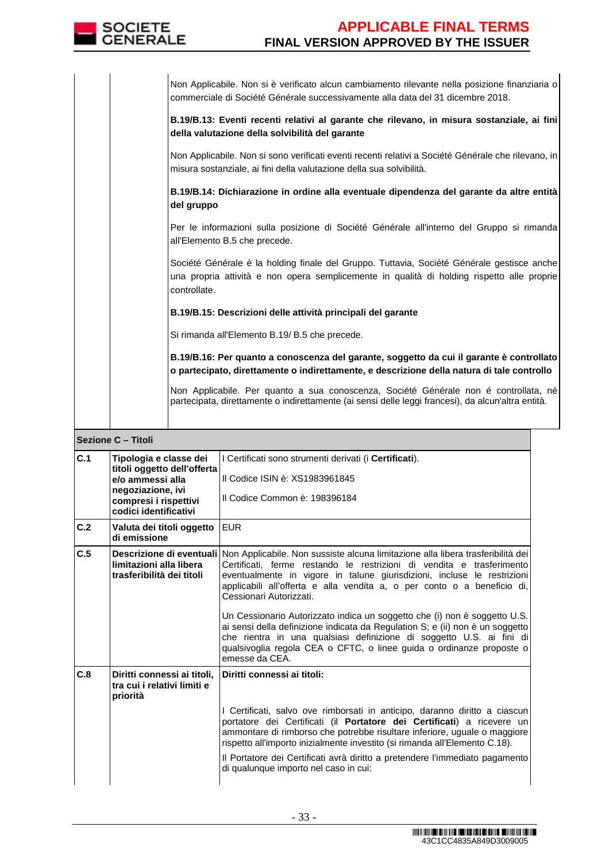

Non Applicabile. Non si è verificato alcun cambiamento rilevante nella posizione finanziaria o commerciale di Société Générale successivamente alla data del 31 dicembre 2018. **B.19/B.13: Eventi recenti relativi al garante che rilevano, in misura sostanziale, ai fini della valutazione della solvibilità del garante** Non Applicabile. Non si sono verificati eventi recenti relativi a Société Générale che rilevano, in misura sostanziale, ai fini della valutazione della sua solvibilità. **B.19/B.14: Dichiarazione in ordine alla eventuale dipendenza del garante da altre entità del gruppo** Per le informazioni sulla posizione di Société Générale all'interno del Gruppo si rimanda all'Elemento B.5 che precede. Société Générale è la holding finale del Gruppo. Tuttavia, Société Générale gestisce anche una propria attività e non opera semplicemente in qualità di holding rispetto alle proprie controllate. **B.19/B.15: Descrizioni delle attività principali del garante** Si rimanda all'Elemento B.19/ B.5 che precede. **B.19/B.16: Per quanto a conoscenza del garante, soggetto da cui il garante è controllato o partecipato, direttamente o indirettamente, e descrizione della natura di tale controllo** Non Applicabile. Per quanto a sua conoscenza, Société Générale non é controllata, né partecipata, direttamente o indirettamente (ai sensi delle leggi francesi), da alcun'altra entità.

#### **Sezione C – Titoli**

| C.1 | Tipologia e classe dei<br>titoli oggetto dell'offerta<br>e/o ammessi alla<br>negoziazione, ivi<br>compresi i rispettivi<br>codici identificativi | I Certificati sono strumenti derivati (i Certificati).<br>Il Codice ISIN è: XS1983961845<br>Il Codice Common è: 198396184                                                                                                                                                                                                                                                                                                                                                                                                                                                                                                                                                                          |
|-----|--------------------------------------------------------------------------------------------------------------------------------------------------|----------------------------------------------------------------------------------------------------------------------------------------------------------------------------------------------------------------------------------------------------------------------------------------------------------------------------------------------------------------------------------------------------------------------------------------------------------------------------------------------------------------------------------------------------------------------------------------------------------------------------------------------------------------------------------------------------|
| C.2 | Valuta dei titoli oggetto<br>di emissione                                                                                                        | <b>EUR</b>                                                                                                                                                                                                                                                                                                                                                                                                                                                                                                                                                                                                                                                                                         |
| C.5 | limitazioni alla libera<br>trasferibilità dei titoli                                                                                             | Descrizione di eventuali Non Applicabile. Non sussiste alcuna limitazione alla libera trasferibilità dei<br>Certificati, ferme restando le restrizioni di vendita e trasferimento<br>eventualmente in vigore in talune giurisdizioni, incluse le restrizioni<br>applicabili all'offerta e alla vendita a, o per conto o a beneficio di,<br>Cessionari Autorizzati.<br>Un Cessionario Autorizzato indica un soggetto che (i) non è soggetto U.S.<br>ai sensi della definizione indicata da Regulation S; e (ii) non è un soggetto<br>che rientra in una qualsiasi definizione di soggetto U.S. ai fini di<br>qualsivoglia regola CEA o CFTC, o linee guida o ordinanze proposte o<br>emesse da CEA. |
| C.8 | Diritti connessi ai titoli,<br>tra cui i relativi limiti e<br>priorità                                                                           | Diritti connessi ai titoli:<br>I Certificati, salvo ove rimborsati in anticipo, daranno diritto a ciascun<br>portatore dei Certificati (il Portatore dei Certificati) a ricevere un<br>ammontare di rimborso che potrebbe risultare inferiore, uguale o maggiore<br>rispetto all'importo inizialmente investito (si rimanda all'Elemento C.18).<br>Il Portatore dei Certificati avrà diritto a pretendere l'immediato pagamento<br>di qualunque importo nel caso in cui:                                                                                                                                                                                                                           |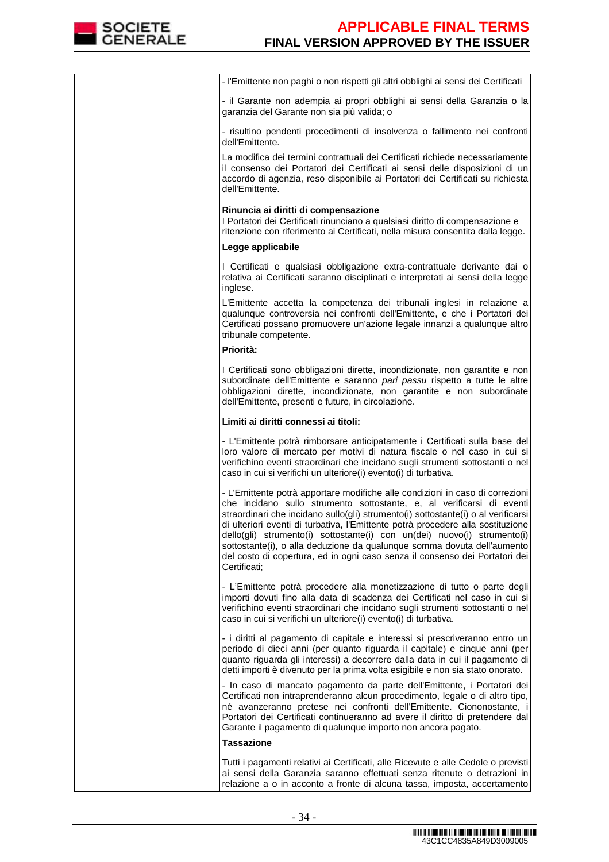- l'Emittente non paghi o non rispetti gli altri obblighi ai sensi dei Certificati

- il Garante non adempia ai propri obblighi ai sensi della Garanzia o la garanzia del Garante non sia più valida; o

- risultino pendenti procedimenti di insolvenza o fallimento nei confronti dell'Emittente.

 La modifica dei termini contrattuali dei Certificati richiede necessariamente il consenso dei Portatori dei Certificati ai sensi delle disposizioni di un accordo di agenzia, reso disponibile ai Portatori dei Certificati su richiesta dell'Emittente.

#### **Rinuncia ai diritti di compensazione**

I Portatori dei Certificati rinunciano a qualsiasi diritto di compensazione e ritenzione con riferimento ai Certificati, nella misura consentita dalla legge.

### **Legge applicabile**

I Certificati e qualsiasi obbligazione extra-contrattuale derivante dai o relativa ai Certificati saranno disciplinati e interpretati ai sensi della legge inglese.

 L'Emittente accetta la competenza dei tribunali inglesi in relazione a qualunque controversia nei confronti dell'Emittente, e che i Portatori dei Certificati possano promuovere un'azione legale innanzi a qualunque altro tribunale competente.

## **Priorità:**

I Certificati sono obbligazioni dirette, incondizionate, non garantite e non subordinate dell'Emittente e saranno pari passu rispetto a tutte le altre obbligazioni dirette, incondizionate, non garantite e non subordinate dell'Emittente, presenti e future, in circolazione.

### **Limiti ai diritti connessi ai titoli:**

- L'Emittente potrà rimborsare anticipatamente i Certificati sulla base del loro valore di mercato per motivi di natura fiscale o nel caso in cui si verifichino eventi straordinari che incidano sugli strumenti sottostanti o nel caso in cui si verifichi un ulteriore(i) evento(i) di turbativa.

- L'Emittente potrà apportare modifiche alle condizioni in caso di correzioni che incidano sullo strumento sottostante, e, al verificarsi di eventi straordinari che incidano sullo(gli) strumento(i) sottostante(i) o al verificarsi di ulteriori eventi di turbativa, l'Emittente potrà procedere alla sostituzione dello(gli) strumento(i) sottostante(i) con un(dei) nuovo(i) strumento(i) sottostante(i), o alla deduzione da qualunque somma dovuta dell'aumento del costo di copertura, ed in ogni caso senza il consenso dei Portatori dei Certificati;

- L'Emittente potrà procedere alla monetizzazione di tutto o parte degli importi dovuti fino alla data di scadenza dei Certificati nel caso in cui si verifichino eventi straordinari che incidano sugli strumenti sottostanti o nel caso in cui si verifichi un ulteriore(i) evento(i) di turbativa.

- i diritti al pagamento di capitale e interessi si prescriveranno entro un periodo di dieci anni (per quanto riguarda il capitale) e cinque anni (per quanto riguarda gli interessi) a decorrere dalla data in cui il pagamento di detti importi è divenuto per la prima volta esigibile e non sia stato onorato.

 - In caso di mancato pagamento da parte dell'Emittente, i Portatori dei Certificati non intraprenderanno alcun procedimento, legale o di altro tipo, né avanzeranno pretese nei confronti dell'Emittente. Ciononostante, i Portatori dei Certificati continueranno ad avere il diritto di pretendere dal Garante il pagamento di qualunque importo non ancora pagato.

#### **Tassazione**

Tutti i pagamenti relativi ai Certificati, alle Ricevute e alle Cedole o previsti ai sensi della Garanzia saranno effettuati senza ritenute o detrazioni in relazione a o in acconto a fronte di alcuna tassa, imposta, accertamento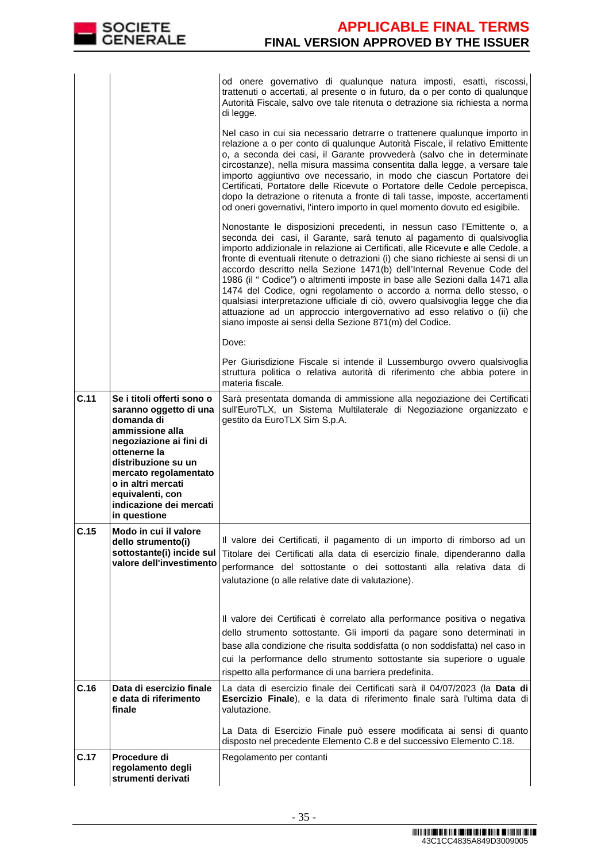|      | SOCIETE<br><b>GENERALE</b>                                                                                                                                                                                                                                            | <b>APPLICABLE FINAL TERMS</b><br><b>FINAL VERSION APPROVED BY THE ISSUER</b>                                                                                                                                                                                                                                                                                                                                                                                                                                                                                                                                                                                                                                                                                                     |
|------|-----------------------------------------------------------------------------------------------------------------------------------------------------------------------------------------------------------------------------------------------------------------------|----------------------------------------------------------------------------------------------------------------------------------------------------------------------------------------------------------------------------------------------------------------------------------------------------------------------------------------------------------------------------------------------------------------------------------------------------------------------------------------------------------------------------------------------------------------------------------------------------------------------------------------------------------------------------------------------------------------------------------------------------------------------------------|
|      |                                                                                                                                                                                                                                                                       |                                                                                                                                                                                                                                                                                                                                                                                                                                                                                                                                                                                                                                                                                                                                                                                  |
|      |                                                                                                                                                                                                                                                                       | od onere governativo di qualunque natura imposti, esatti, riscossi,<br>trattenuti o accertati, al presente o in futuro, da o per conto di qualunque<br>Autorità Fiscale, salvo ove tale ritenuta o detrazione sia richiesta a norma<br>di legge.                                                                                                                                                                                                                                                                                                                                                                                                                                                                                                                                 |
|      |                                                                                                                                                                                                                                                                       | Nel caso in cui sia necessario detrarre o trattenere qualunque importo in<br>relazione a o per conto di qualunque Autorità Fiscale, il relativo Emittente<br>o, a seconda dei casi, il Garante provvederà (salvo che in determinate<br>circostanze), nella misura massima consentita dalla legge, a versare tale<br>importo aggiuntivo ove necessario, in modo che ciascun Portatore dei<br>Certificati, Portatore delle Ricevute o Portatore delle Cedole percepisca,<br>dopo la detrazione o ritenuta a fronte di tali tasse, imposte, accertamenti<br>od oneri governativi, l'intero importo in quel momento dovuto ed esigibile.                                                                                                                                             |
|      |                                                                                                                                                                                                                                                                       | Nonostante le disposizioni precedenti, in nessun caso l'Emittente o, a<br>seconda dei casi, il Garante, sarà tenuto al pagamento di qualsivoglia<br>importo addizionale in relazione ai Certificati, alle Ricevute e alle Cedole, a<br>fronte di eventuali ritenute o detrazioni (i) che siano richieste ai sensi di un<br>accordo descritto nella Sezione 1471(b) dell'Internal Revenue Code del<br>1986 (il " Codice") o altrimenti imposte in base alle Sezioni dalla 1471 alla<br>1474 del Codice, ogni regolamento o accordo a norma dello stesso, o<br>qualsiasi interpretazione ufficiale di ciò, ovvero qualsivoglia legge che dia<br>attuazione ad un approccio intergovernativo ad esso relativo o (ii) che<br>siano imposte ai sensi della Sezione 871(m) del Codice. |
|      |                                                                                                                                                                                                                                                                       | Dove:                                                                                                                                                                                                                                                                                                                                                                                                                                                                                                                                                                                                                                                                                                                                                                            |
|      |                                                                                                                                                                                                                                                                       | Per Giurisdizione Fiscale si intende il Lussemburgo ovvero qualsivoglia<br>struttura politica o relativa autorità di riferimento che abbia potere in<br>materia fiscale.                                                                                                                                                                                                                                                                                                                                                                                                                                                                                                                                                                                                         |
| C.11 | Se i titoli offerti sono o<br>saranno oggetto di una<br>domanda di<br>ammissione alla<br>negoziazione ai fini di<br>ottenerne la<br>distribuzione su un<br>mercato regolamentato<br>o in altri mercati<br>equivalenti, con<br>indicazione dei mercati<br>in questione | Sarà presentata domanda di ammissione alla negoziazione dei Certificati<br>sull'EuroTLX, un Sistema Multilaterale di Negoziazione organizzato e<br>gestito da EuroTLX Sim S.p.A.                                                                                                                                                                                                                                                                                                                                                                                                                                                                                                                                                                                                 |
| C.15 | Modo in cui il valore<br>dello strumento(i)<br>sottostante(i) incide sul<br>valore dell'investimento                                                                                                                                                                  | Il valore dei Certificati, il pagamento di un importo di rimborso ad un<br>Titolare dei Certificati alla data di esercizio finale, dipenderanno dalla<br>performance del sottostante o dei sottostanti alla relativa data di<br>valutazione (o alle relative date di valutazione).                                                                                                                                                                                                                                                                                                                                                                                                                                                                                               |
|      |                                                                                                                                                                                                                                                                       | Il valore dei Certificati è correlato alla performance positiva o negativa<br>dello strumento sottostante. Gli importi da pagare sono determinati in<br>base alla condizione che risulta soddisfatta (o non soddisfatta) nel caso in<br>cui la performance dello strumento sottostante sia superiore o uguale<br>rispetto alla performance di una barriera predefinita.                                                                                                                                                                                                                                                                                                                                                                                                          |
| C.16 | Data di esercizio finale<br>e data di riferimento<br>finale                                                                                                                                                                                                           | La data di esercizio finale dei Certificati sarà il 04/07/2023 (la Data di<br>Esercizio Finale), e la data di riferimento finale sarà l'ultima data di<br>valutazione.                                                                                                                                                                                                                                                                                                                                                                                                                                                                                                                                                                                                           |
|      |                                                                                                                                                                                                                                                                       | La Data di Esercizio Finale può essere modificata ai sensi di quanto<br>disposto nel precedente Elemento C.8 e del successivo Elemento C.18.                                                                                                                                                                                                                                                                                                                                                                                                                                                                                                                                                                                                                                     |
| C.17 | Procedure di<br>regolamento degli<br>strumenti derivati                                                                                                                                                                                                               | Regolamento per contanti                                                                                                                                                                                                                                                                                                                                                                                                                                                                                                                                                                                                                                                                                                                                                         |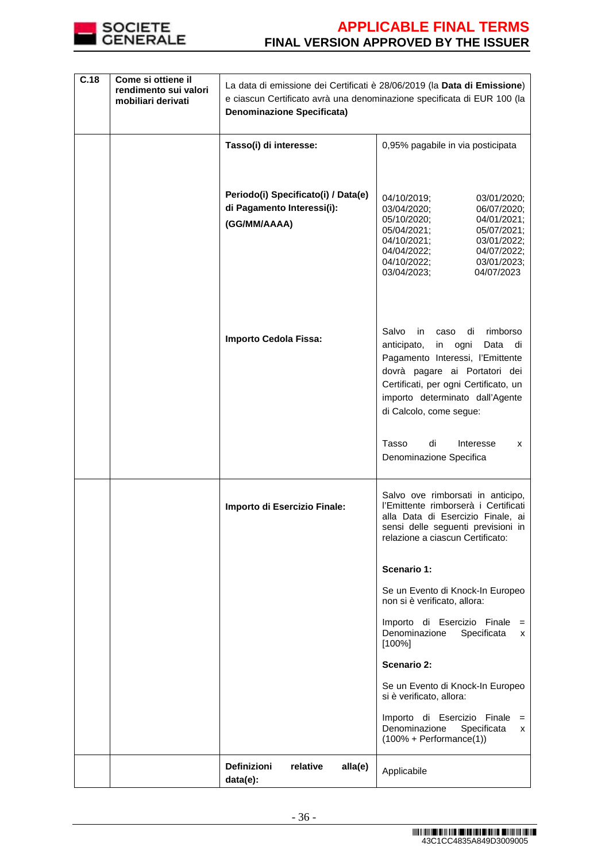

| C.18 | Come si ottiene il<br>rendimento sui valori<br>mobiliari derivati | La data di emissione dei Certificati è 28/06/2019 (la Data di Emissione)<br>e ciascun Certificato avrà una denominazione specificata di EUR 100 (la<br><b>Denominazione Specificata)</b> |                                                                                                                                                                                                                                                                                               |
|------|-------------------------------------------------------------------|------------------------------------------------------------------------------------------------------------------------------------------------------------------------------------------|-----------------------------------------------------------------------------------------------------------------------------------------------------------------------------------------------------------------------------------------------------------------------------------------------|
|      |                                                                   | Tasso(i) di interesse:                                                                                                                                                                   | 0,95% pagabile in via posticipata                                                                                                                                                                                                                                                             |
|      |                                                                   | Periodo(i) Specificato(i) / Data(e)<br>di Pagamento Interessi(i):<br>(GG/MM/AAAA)                                                                                                        | 04/10/2019;<br>03/01/2020;<br>03/04/2020;<br>06/07/2020;<br>05/10/2020;<br>04/01/2021;<br>05/04/2021;<br>05/07/2021;<br>04/10/2021;<br>03/01/2022;<br>04/04/2022;<br>04/07/2022;<br>04/10/2022;<br>03/01/2023;<br>03/04/2023;<br>04/07/2023                                                   |
|      |                                                                   | Importo Cedola Fissa:                                                                                                                                                                    | Salvo<br>in<br>di<br>rimborso<br>caso<br>anticipato,<br>in<br>ogni<br>Data<br>di<br>Pagamento Interessi, l'Emittente<br>dovrà pagare ai Portatori dei<br>Certificati, per ogni Certificato, un<br>importo determinato dall'Agente<br>di Calcolo, come segue:<br>Tasso<br>di<br>Interesse<br>x |
|      |                                                                   |                                                                                                                                                                                          | Denominazione Specifica                                                                                                                                                                                                                                                                       |
|      |                                                                   | Importo di Esercizio Finale:                                                                                                                                                             | Salvo ove rimborsati in anticipo,<br>l'Emittente rimborserà i Certificati<br>alla Data di Esercizio Finale, ai<br>sensi delle seguenti previsioni in<br>relazione a ciascun Certificato:                                                                                                      |
|      |                                                                   |                                                                                                                                                                                          | Scenario 1:                                                                                                                                                                                                                                                                                   |
|      |                                                                   |                                                                                                                                                                                          | Se un Evento di Knock-In Europeo<br>non si è verificato, allora:                                                                                                                                                                                                                              |
|      |                                                                   |                                                                                                                                                                                          | Importo di Esercizio Finale<br>$=$<br>Denominazione<br>Specificata<br>x<br>$[100\%]$                                                                                                                                                                                                          |
|      |                                                                   |                                                                                                                                                                                          | <b>Scenario 2:</b>                                                                                                                                                                                                                                                                            |
|      |                                                                   |                                                                                                                                                                                          | Se un Evento di Knock-In Europeo<br>si è verificato, allora:                                                                                                                                                                                                                                  |
|      |                                                                   |                                                                                                                                                                                          | Importo di Esercizio Finale<br>$=$<br>Denominazione<br>Specificata<br>x<br>$(100\% + Performance(1))$                                                                                                                                                                                         |
|      |                                                                   | <b>Definizioni</b><br>relative<br>alla(e)<br>data(e):                                                                                                                                    | Applicabile                                                                                                                                                                                                                                                                                   |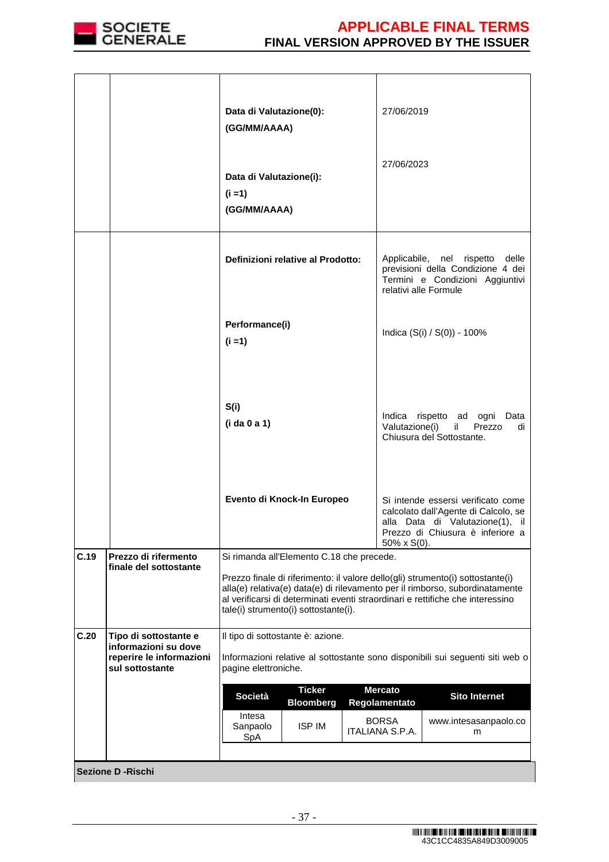

|      |                                                                                              | Data di Valutazione(0):<br>(GG/MM/AAAA)                                                                                                                                                                                                                                                                                               | 27/06/2019<br>27/06/2023                                                                                                                                         |  |  |
|------|----------------------------------------------------------------------------------------------|---------------------------------------------------------------------------------------------------------------------------------------------------------------------------------------------------------------------------------------------------------------------------------------------------------------------------------------|------------------------------------------------------------------------------------------------------------------------------------------------------------------|--|--|
|      |                                                                                              | Data di Valutazione(i):<br>$(i = 1)$<br>(GG/MM/AAAA)                                                                                                                                                                                                                                                                                  |                                                                                                                                                                  |  |  |
|      |                                                                                              | Definizioni relative al Prodotto:                                                                                                                                                                                                                                                                                                     | Applicabile, nel rispetto<br>delle<br>previsioni della Condizione 4 dei<br>Termini e Condizioni Aggiuntivi<br>relativi alle Formule                              |  |  |
|      |                                                                                              | Performance(i)<br>$(i = 1)$                                                                                                                                                                                                                                                                                                           | Indica (S(i) / S(0)) - 100%                                                                                                                                      |  |  |
|      |                                                                                              | S(i)<br>(i da 0 a 1)                                                                                                                                                                                                                                                                                                                  | rispetto ad ogni Data<br>Indica<br>Valutazione(i)<br>Prezzo<br>il -<br>di<br>Chiusura del Sottostante.                                                           |  |  |
|      |                                                                                              | Evento di Knock-In Europeo                                                                                                                                                                                                                                                                                                            | Si intende essersi verificato come<br>calcolato dall'Agente di Calcolo, se<br>alla Data di Valutazione(1), il<br>Prezzo di Chiusura è inferiore a<br>50% x S(0). |  |  |
| C.19 | Prezzo di rifermento<br>finale del sottostante                                               | Si rimanda all'Elemento C.18 che precede.<br>Prezzo finale di riferimento: il valore dello(gli) strumento(i) sottostante(i)<br>alla(e) relativa(e) data(e) di rilevamento per il rimborso, subordinatamente<br>al verificarsi di determinati eventi straordinari e rettifiche che interessino<br>tale(i) strumento(i) sottostante(i). |                                                                                                                                                                  |  |  |
| C.20 | Tipo di sottostante e<br>informazioni su dove<br>reperire le informazioni<br>sul sottostante | Il tipo di sottostante è: azione.<br>pagine elettroniche.                                                                                                                                                                                                                                                                             | Informazioni relative al sottostante sono disponibili sui seguenti siti web o                                                                                    |  |  |
|      |                                                                                              | <b>Ticker</b><br><b>Società</b><br><b>Bloomberg</b>                                                                                                                                                                                                                                                                                   | <b>Mercato</b><br><b>Sito Internet</b><br>Regolamentato                                                                                                          |  |  |
|      |                                                                                              | Intesa<br><b>ISP IM</b><br>Sanpaolo<br>SpA                                                                                                                                                                                                                                                                                            | <b>BORSA</b><br>www.intesasanpaolo.co<br>ITALIANA S.P.A.<br>m                                                                                                    |  |  |
|      |                                                                                              |                                                                                                                                                                                                                                                                                                                                       |                                                                                                                                                                  |  |  |
|      | Sezione D - Rischi                                                                           |                                                                                                                                                                                                                                                                                                                                       |                                                                                                                                                                  |  |  |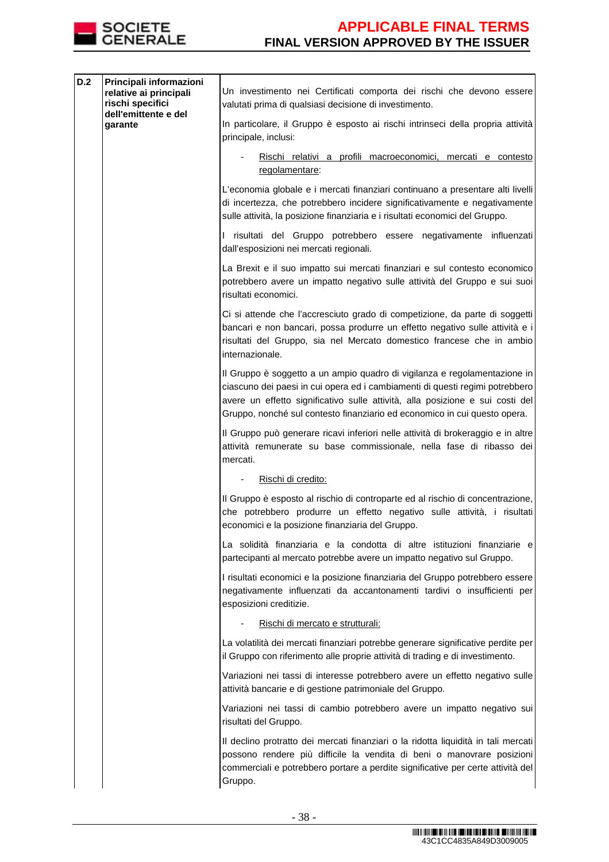

| D.2 | Principali informazioni<br>relative ai principali<br>rischi specifici<br>dell'emittente e del<br>garante | Un investimento nei Certificati comporta dei rischi che devono essere<br>valutati prima di qualsiasi decisione di investimento.                                                                                                                                                                                         |
|-----|----------------------------------------------------------------------------------------------------------|-------------------------------------------------------------------------------------------------------------------------------------------------------------------------------------------------------------------------------------------------------------------------------------------------------------------------|
|     |                                                                                                          | In particolare, il Gruppo è esposto ai rischi intrinseci della propria attività<br>principale, inclusi:                                                                                                                                                                                                                 |
|     |                                                                                                          | Rischi relativi a profili macroeconomici, mercati e contesto<br>regolamentare:                                                                                                                                                                                                                                          |
|     |                                                                                                          | L'economia globale e i mercati finanziari continuano a presentare alti livelli<br>di incertezza, che potrebbero incidere significativamente e negativamente<br>sulle attività, la posizione finanziaria e i risultati economici del Gruppo.                                                                             |
|     |                                                                                                          | I risultati del Gruppo potrebbero essere negativamente influenzati<br>dall'esposizioni nei mercati regionali.                                                                                                                                                                                                           |
|     |                                                                                                          | La Brexit e il suo impatto sui mercati finanziari e sul contesto economico<br>potrebbero avere un impatto negativo sulle attività del Gruppo e sui suoi<br>risultati economici.                                                                                                                                         |
|     |                                                                                                          | Ci si attende che l'accresciuto grado di competizione, da parte di soggetti<br>bancari e non bancari, possa produrre un effetto negativo sulle attività e i<br>risultati del Gruppo, sia nel Mercato domestico francese che in ambio<br>internazionale.                                                                 |
|     |                                                                                                          | Il Gruppo è soggetto a un ampio quadro di vigilanza e regolamentazione in<br>ciascuno dei paesi in cui opera ed i cambiamenti di questi regimi potrebbero<br>avere un effetto significativo sulle attività, alla posizione e sui costi del<br>Gruppo, nonché sul contesto finanziario ed economico in cui questo opera. |
|     |                                                                                                          | Il Gruppo può generare ricavi inferiori nelle attività di brokeraggio e in altre<br>attività remunerate su base commissionale, nella fase di ribasso dei<br>mercati.                                                                                                                                                    |
|     |                                                                                                          | Rischi di credito:                                                                                                                                                                                                                                                                                                      |
|     |                                                                                                          | Il Gruppo è esposto al rischio di controparte ed al rischio di concentrazione,<br>che potrebbero produrre un effetto negativo sulle attività, i risultati<br>economici e la posizione finanziaria del Gruppo.                                                                                                           |
|     |                                                                                                          | La solidità finanziaria e la condotta di altre istituzioni finanziarie e<br>partecipanti al mercato potrebbe avere un impatto negativo sul Gruppo.                                                                                                                                                                      |
|     |                                                                                                          | I risultati economici e la posizione finanziaria del Gruppo potrebbero essere<br>negativamente influenzati da accantonamenti tardivi o insufficienti per<br>esposizioni creditizie.                                                                                                                                     |
|     |                                                                                                          | Rischi di mercato e strutturali:                                                                                                                                                                                                                                                                                        |
|     |                                                                                                          | La volatilità dei mercati finanziari potrebbe generare significative perdite per<br>il Gruppo con riferimento alle proprie attività di trading e di investimento.                                                                                                                                                       |
|     |                                                                                                          | Variazioni nei tassi di interesse potrebbero avere un effetto negativo sulle<br>attività bancarie e di gestione patrimoniale del Gruppo.                                                                                                                                                                                |
|     |                                                                                                          | Variazioni nei tassi di cambio potrebbero avere un impatto negativo sui<br>risultati del Gruppo.                                                                                                                                                                                                                        |
|     |                                                                                                          | Il declino protratto dei mercati finanziari o la ridotta liquidità in tali mercati<br>possono rendere più difficile la vendita di beni o manovrare posizioni<br>commerciali e potrebbero portare a perdite significative per certe attività del<br>Gruppo.                                                              |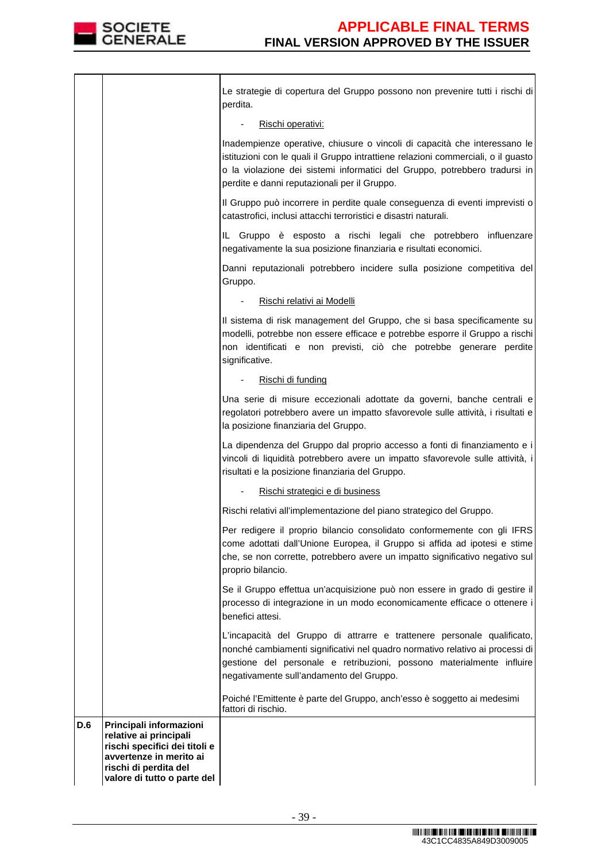

|     |                                                                                                                                                                       | Le strategie di copertura del Gruppo possono non prevenire tutti i rischi di<br>perdita.                                                                                                                                                                                                     |
|-----|-----------------------------------------------------------------------------------------------------------------------------------------------------------------------|----------------------------------------------------------------------------------------------------------------------------------------------------------------------------------------------------------------------------------------------------------------------------------------------|
|     |                                                                                                                                                                       | Rischi operativi:                                                                                                                                                                                                                                                                            |
|     |                                                                                                                                                                       | Inadempienze operative, chiusure o vincoli di capacità che interessano le<br>istituzioni con le quali il Gruppo intrattiene relazioni commerciali, o il guasto<br>o la violazione dei sistemi informatici del Gruppo, potrebbero tradursi in<br>perdite e danni reputazionali per il Gruppo. |
|     |                                                                                                                                                                       | Il Gruppo può incorrere in perdite quale conseguenza di eventi imprevisti o<br>catastrofici, inclusi attacchi terroristici e disastri naturali.                                                                                                                                              |
|     |                                                                                                                                                                       | IL Gruppo è esposto a rischi legali che potrebbero influenzare<br>negativamente la sua posizione finanziaria e risultati economici.                                                                                                                                                          |
|     |                                                                                                                                                                       | Danni reputazionali potrebbero incidere sulla posizione competitiva del<br>Gruppo.                                                                                                                                                                                                           |
|     |                                                                                                                                                                       | Rischi relativi ai Modelli                                                                                                                                                                                                                                                                   |
|     |                                                                                                                                                                       | Il sistema di risk management del Gruppo, che si basa specificamente su<br>modelli, potrebbe non essere efficace e potrebbe esporre il Gruppo a rischi<br>non identificati e non previsti, ciò che potrebbe generare perdite<br>significative.                                               |
|     |                                                                                                                                                                       | Rischi di funding                                                                                                                                                                                                                                                                            |
|     |                                                                                                                                                                       | Una serie di misure eccezionali adottate da governi, banche centrali e<br>regolatori potrebbero avere un impatto sfavorevole sulle attività, i risultati e<br>la posizione finanziaria del Gruppo.                                                                                           |
|     |                                                                                                                                                                       | La dipendenza del Gruppo dal proprio accesso a fonti di finanziamento e i<br>vincoli di liquidità potrebbero avere un impatto sfavorevole sulle attività, i<br>risultati e la posizione finanziaria del Gruppo.                                                                              |
|     |                                                                                                                                                                       | Rischi strategici e di business                                                                                                                                                                                                                                                              |
|     |                                                                                                                                                                       | Rischi relativi all'implementazione del piano strategico del Gruppo.                                                                                                                                                                                                                         |
|     |                                                                                                                                                                       | Per redigere il proprio bilancio consolidato conformemente con gli IFRS<br>come adottati dall'Unione Europea, il Gruppo si affida ad ipotesi e stime<br>che, se non corrette, potrebbero avere un impatto significativo negativo sul<br>proprio bilancio.                                    |
|     |                                                                                                                                                                       | Se il Gruppo effettua un'acquisizione può non essere in grado di gestire il<br>processo di integrazione in un modo economicamente efficace o ottenere i<br>benefici attesi.                                                                                                                  |
|     |                                                                                                                                                                       | L'incapacità del Gruppo di attrarre e trattenere personale qualificato,<br>nonché cambiamenti significativi nel quadro normativo relativo ai processi di<br>gestione del personale e retribuzioni, possono materialmente influire<br>negativamente sull'andamento del Gruppo.                |
|     |                                                                                                                                                                       | Poiché l'Emittente è parte del Gruppo, anch'esso è soggetto ai medesimi<br>fattori di rischio.                                                                                                                                                                                               |
| D.6 | Principali informazioni<br>relative ai principali<br>rischi specifici dei titoli e<br>avvertenze in merito ai<br>rischi di perdita del<br>valore di tutto o parte del |                                                                                                                                                                                                                                                                                              |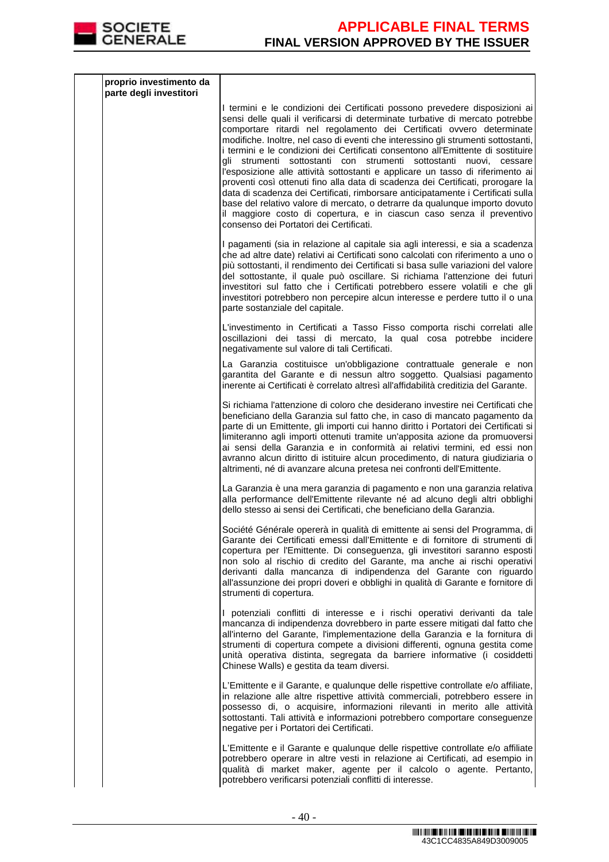

| proprio investimento da<br>parte degli investitori |                                                                                                                                                                                                                                                                                                                                                                                                                                                                                                                                                                                                                                                                                                                                                                                                                                                                                                                                                     |
|----------------------------------------------------|-----------------------------------------------------------------------------------------------------------------------------------------------------------------------------------------------------------------------------------------------------------------------------------------------------------------------------------------------------------------------------------------------------------------------------------------------------------------------------------------------------------------------------------------------------------------------------------------------------------------------------------------------------------------------------------------------------------------------------------------------------------------------------------------------------------------------------------------------------------------------------------------------------------------------------------------------------|
|                                                    | I termini e le condizioni dei Certificati possono prevedere disposizioni ai<br>sensi delle quali il verificarsi di determinate turbative di mercato potrebbe<br>comportare ritardi nel regolamento dei Certificati ovvero determinate<br>modifiche. Inoltre, nel caso di eventi che interessino gli strumenti sottostanti,<br>i termini e le condizioni dei Certificati consentono all'Emittente di sostituire<br>gli strumenti sottostanti con strumenti sottostanti nuovi,<br>cessare<br>l'esposizione alle attività sottostanti e applicare un tasso di riferimento ai<br>proventi così ottenuti fino alla data di scadenza dei Certificati, prorogare la<br>data di scadenza dei Certificati, rimborsare anticipatamente i Certificati sulla<br>base del relativo valore di mercato, o detrarre da qualunque importo dovuto<br>il maggiore costo di copertura, e in ciascun caso senza il preventivo<br>consenso dei Portatori dei Certificati. |
|                                                    | I pagamenti (sia in relazione al capitale sia agli interessi, e sia a scadenza<br>che ad altre date) relativi ai Certificati sono calcolati con riferimento a uno o<br>più sottostanti, il rendimento dei Certificati si basa sulle variazioni del valore<br>del sottostante, il quale può oscillare. Si richiama l'attenzione dei futuri<br>investitori sul fatto che i Certificati potrebbero essere volatili e che gli<br>investitori potrebbero non percepire alcun interesse e perdere tutto il o una<br>parte sostanziale del capitale.                                                                                                                                                                                                                                                                                                                                                                                                       |
|                                                    | L'investimento in Certificati a Tasso Fisso comporta rischi correlati alle<br>oscillazioni dei tassi di mercato, la qual cosa potrebbe incidere<br>negativamente sul valore di tali Certificati.                                                                                                                                                                                                                                                                                                                                                                                                                                                                                                                                                                                                                                                                                                                                                    |
|                                                    | La Garanzia costituisce un'obbligazione contrattuale generale e non<br>garantita del Garante e di nessun altro soggetto. Qualsiasi pagamento<br>inerente ai Certificati è correlato altresì all'affidabilità creditizia del Garante.                                                                                                                                                                                                                                                                                                                                                                                                                                                                                                                                                                                                                                                                                                                |
|                                                    | Si richiama l'attenzione di coloro che desiderano investire nei Certificati che<br>beneficiano della Garanzia sul fatto che, in caso di mancato pagamento da<br>parte di un Emittente, gli importi cui hanno diritto i Portatori dei Certificati si<br>limiteranno agli importi ottenuti tramite un'apposita azione da promuoversi<br>ai sensi della Garanzia e in conformità ai relativi termini, ed essi non<br>avranno alcun diritto di istituire alcun procedimento, di natura giudiziaria o<br>altrimenti, né di avanzare alcuna pretesa nei confronti dell'Emittente.                                                                                                                                                                                                                                                                                                                                                                         |
|                                                    | La Garanzia è una mera garanzia di pagamento e non una garanzia relativa<br>alla performance dell'Emittente rilevante né ad alcuno degli altri obblighi<br>dello stesso ai sensi dei Certificati, che beneficiano della Garanzia.                                                                                                                                                                                                                                                                                                                                                                                                                                                                                                                                                                                                                                                                                                                   |
|                                                    | Société Générale opererà in qualità di emittente ai sensi del Programma, di<br>Garante dei Certificati emessi dall'Emittente e di fornitore di strumenti di<br>copertura per l'Emittente. Di conseguenza, gli investitori saranno esposti<br>non solo al rischio di credito del Garante, ma anche ai rischi operativi<br>derivanti dalla mancanza di indipendenza del Garante con riguardo<br>all'assunzione dei propri doveri e obblighi in qualità di Garante e fornitore di<br>strumenti di copertura.                                                                                                                                                                                                                                                                                                                                                                                                                                           |
|                                                    | I potenziali conflitti di interesse e i rischi operativi derivanti da tale<br>mancanza di indipendenza dovrebbero in parte essere mitigati dal fatto che<br>all'interno del Garante, l'implementazione della Garanzia e la fornitura di<br>strumenti di copertura compete a divisioni differenti, ognuna gestita come<br>unità operativa distinta, segregata da barriere informative (i cosiddetti<br>Chinese Walls) e gestita da team diversi.                                                                                                                                                                                                                                                                                                                                                                                                                                                                                                     |
|                                                    | L'Emittente e il Garante, e qualunque delle rispettive controllate e/o affiliate,<br>in relazione alle altre rispettive attività commerciali, potrebbero essere in<br>possesso di, o acquisire, informazioni rilevanti in merito alle attività<br>sottostanti. Tali attività e informazioni potrebbero comportare conseguenze<br>negative per i Portatori dei Certificati.                                                                                                                                                                                                                                                                                                                                                                                                                                                                                                                                                                          |
|                                                    | L'Emittente e il Garante e qualunque delle rispettive controllate e/o affiliate<br>potrebbero operare in altre vesti in relazione ai Certificati, ad esempio in<br>qualità di market maker, agente per il calcolo o agente. Pertanto,<br>potrebbero verificarsi potenziali conflitti di interesse.                                                                                                                                                                                                                                                                                                                                                                                                                                                                                                                                                                                                                                                  |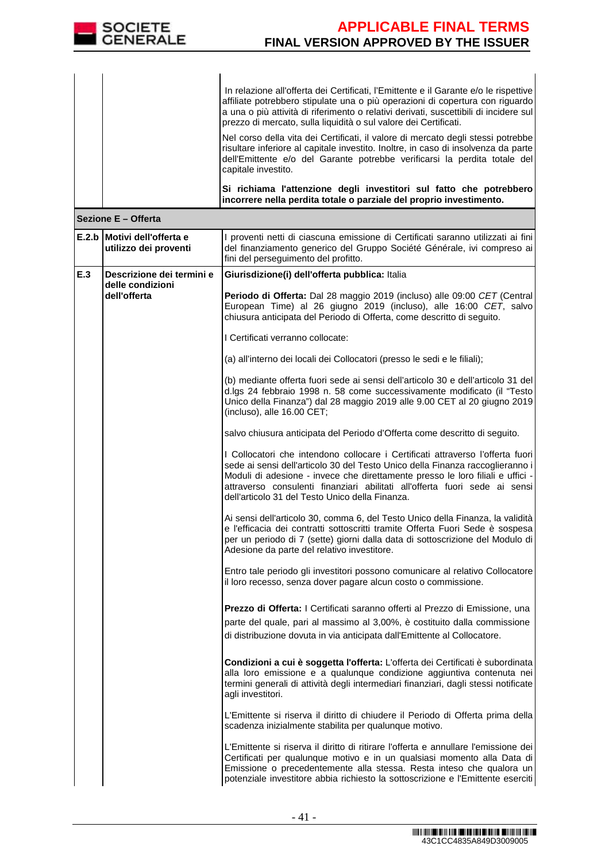

 $\mathbf{S}$   $\mathbf{S}$  =  $\mathbf{S}$  =  $\mathbf{S}$  =  $\mathbf{S}$   $\mathbf{S}$  =  $\mathbf{S}$  =  $\mathbf{S}$  =  $\mathbf{S}$  =  $\mathbf{S}$  =  $\mathbf{S}$  =  $\mathbf{S}$  =  $\mathbf{S}$  =  $\mathbf{S}$  =  $\mathbf{S}$  =  $\mathbf{S}$  =  $\mathbf{S}$  =  $\mathbf{S}$  =  $\mathbf{S}$  =  $\mathbf{S}$  =  $\mathbf{$ 

# **APPLICABLE FINAL TERMS FINAL VERSION APPROVED BY THE ISSUER**

In relazione all'offerta dei Certificati, l'Emittente e il Garante e/o le rispettive affiliate potrebbero stipulate una o più operazioni di copertura con riguardo a una o più attività di riferimento o relativi derivati, suscettibili di incidere sul prezzo di mercato, sulla liquidità o sul valore dei Certificati.

 Nel corso della vita dei Certificati, il valore di mercato degli stessi potrebbe risultare inferiore al capitale investito. Inoltre, in caso di insolvenza da parte dell'Emittente e/o del Garante potrebbe verificarsi la perdita totale del capitale investito.

**Si richiama l'attenzione degli investitori sul fatto che potrebbero incorrere nella perdita totale o parziale del proprio investimento.**

| JEZIUNE E – UNERIA |                                                               |                                                                                                                                                                                                                                                                                                                                                                                    |  |
|--------------------|---------------------------------------------------------------|------------------------------------------------------------------------------------------------------------------------------------------------------------------------------------------------------------------------------------------------------------------------------------------------------------------------------------------------------------------------------------|--|
|                    | E.2.b Motivi dell'offerta e<br>utilizzo dei proventi          | I proventi netti di ciascuna emissione di Certificati saranno utilizzati ai fini<br>del finanziamento generico del Gruppo Société Générale, ivi compreso ai<br>fini del perseguimento del profitto.                                                                                                                                                                                |  |
| E.3                | Descrizione dei termini e<br>delle condizioni<br>dell'offerta | Giurisdizione(i) dell'offerta pubblica: Italia                                                                                                                                                                                                                                                                                                                                     |  |
|                    |                                                               | Periodo di Offerta: Dal 28 maggio 2019 (incluso) alle 09:00 CET (Central<br>European Time) al 26 giugno 2019 (incluso), alle 16:00 CET, salvo<br>chiusura anticipata del Periodo di Offerta, come descritto di seguito.                                                                                                                                                            |  |
|                    |                                                               | I Certificati verranno collocate:                                                                                                                                                                                                                                                                                                                                                  |  |
|                    |                                                               | (a) all'interno dei locali dei Collocatori (presso le sedi e le filiali);                                                                                                                                                                                                                                                                                                          |  |
|                    |                                                               | (b) mediante offerta fuori sede ai sensi dell'articolo 30 e dell'articolo 31 del<br>d.lgs 24 febbraio 1998 n. 58 come successivamente modificato (il "Testo<br>Unico della Finanza") dal 28 maggio 2019 alle 9.00 CET al 20 giugno 2019<br>(incluso), alle 16.00 CET;                                                                                                              |  |
|                    |                                                               | salvo chiusura anticipata del Periodo d'Offerta come descritto di seguito.                                                                                                                                                                                                                                                                                                         |  |
|                    |                                                               | I Collocatori che intendono collocare i Certificati attraverso l'offerta fuori<br>sede ai sensi dell'articolo 30 del Testo Unico della Finanza raccoglieranno i<br>Moduli di adesione - invece che direttamente presso le loro filiali e uffici -<br>attraverso consulenti finanziari abilitati all'offerta fuori sede ai sensi<br>dell'articolo 31 del Testo Unico della Finanza. |  |
|                    |                                                               | Ai sensi dell'articolo 30, comma 6, del Testo Unico della Finanza, la validità<br>e l'efficacia dei contratti sottoscritti tramite Offerta Fuori Sede è sospesa<br>per un periodo di 7 (sette) giorni dalla data di sottoscrizione del Modulo di<br>Adesione da parte del relativo investitore.                                                                                    |  |
|                    |                                                               | Entro tale periodo gli investitori possono comunicare al relativo Collocatore<br>il loro recesso, senza dover pagare alcun costo o commissione.                                                                                                                                                                                                                                    |  |
|                    |                                                               | Prezzo di Offerta: I Certificati saranno offerti al Prezzo di Emissione, una<br>parte del quale, pari al massimo al 3,00%, è costituito dalla commissione<br>di distribuzione dovuta in via anticipata dall'Emittente al Collocatore.                                                                                                                                              |  |
|                    |                                                               | Condizioni a cui è soggetta l'offerta: L'offerta dei Certificati è subordinata<br>alla loro emissione e a qualunque condizione aggiuntiva contenuta nei<br>termini generali di attività degli intermediari finanziari, dagli stessi notificate<br>agli investitori.                                                                                                                |  |
|                    |                                                               | L'Emittente si riserva il diritto di chiudere il Periodo di Offerta prima della<br>scadenza inizialmente stabilita per qualunque motivo.                                                                                                                                                                                                                                           |  |
|                    |                                                               | L'Emittente si riserva il diritto di ritirare l'offerta e annullare l'emissione dei<br>Certificati per qualunque motivo e in un qualsiasi momento alla Data di<br>Emissione o precedentemente alla stessa. Resta inteso che qualora un<br>potenziale investitore abbia richiesto la sottoscrizione e l'Emittente eserciti                                                          |  |